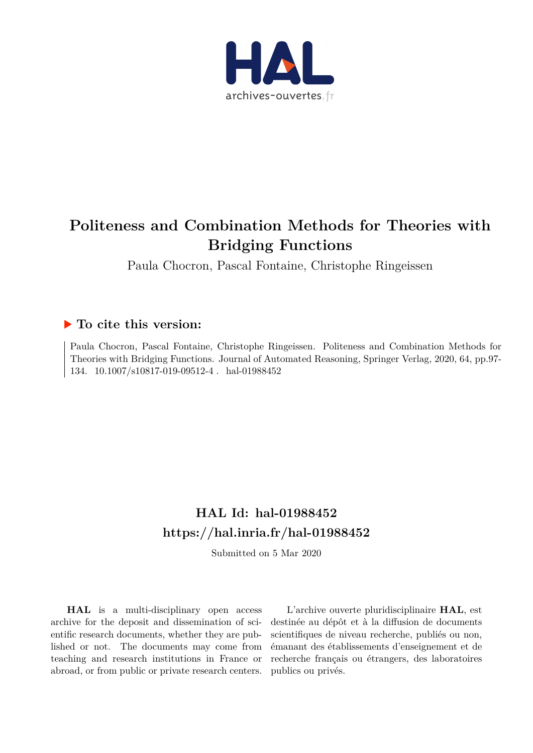

# **Politeness and Combination Methods for Theories with Bridging Functions**

Paula Chocron, Pascal Fontaine, Christophe Ringeissen

# **To cite this version:**

Paula Chocron, Pascal Fontaine, Christophe Ringeissen. Politeness and Combination Methods for Theories with Bridging Functions. Journal of Automated Reasoning, Springer Verlag, 2020, 64, pp.97- 134. 10.1007/s10817-019-09512-4. hal-01988452

# **HAL Id: hal-01988452 <https://hal.inria.fr/hal-01988452>**

Submitted on 5 Mar 2020

**HAL** is a multi-disciplinary open access archive for the deposit and dissemination of scientific research documents, whether they are published or not. The documents may come from teaching and research institutions in France or abroad, or from public or private research centers.

L'archive ouverte pluridisciplinaire **HAL**, est destinée au dépôt et à la diffusion de documents scientifiques de niveau recherche, publiés ou non, émanant des établissements d'enseignement et de recherche français ou étrangers, des laboratoires publics ou privés.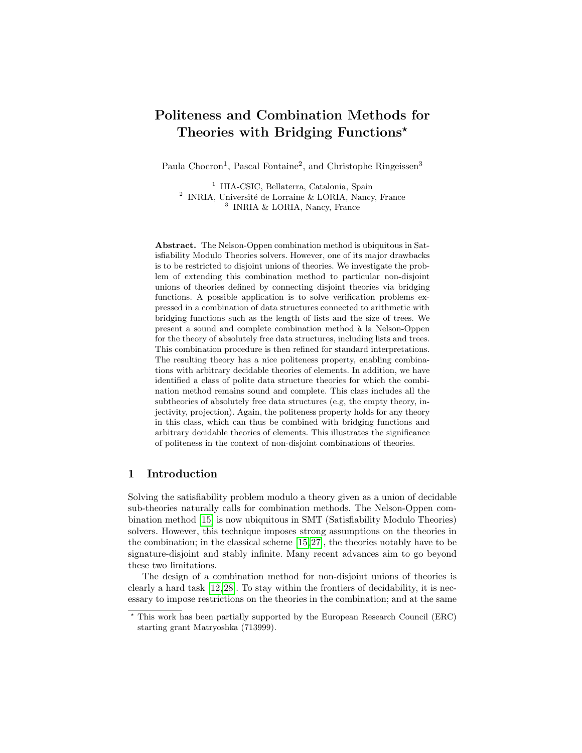# Politeness and Combination Methods for Theories with Bridging Functions?

Paula Chocron<sup>1</sup>, Pascal Fontaine<sup>2</sup>, and Christophe Ringeissen<sup>3</sup>

1 IIIA-CSIC, Bellaterra, Catalonia, Spain <sup>2</sup> INRIA, Université de Lorraine & LORIA, Nancy, France 3 INRIA & LORIA, Nancy, France

Abstract. The Nelson-Oppen combination method is ubiquitous in Satisfiability Modulo Theories solvers. However, one of its major drawbacks is to be restricted to disjoint unions of theories. We investigate the problem of extending this combination method to particular non-disjoint unions of theories defined by connecting disjoint theories via bridging functions. A possible application is to solve verification problems expressed in a combination of data structures connected to arithmetic with bridging functions such as the length of lists and the size of trees. We present a sound and complete combination method à la Nelson-Oppen for the theory of absolutely free data structures, including lists and trees. This combination procedure is then refined for standard interpretations. The resulting theory has a nice politeness property, enabling combinations with arbitrary decidable theories of elements. In addition, we have identified a class of polite data structure theories for which the combination method remains sound and complete. This class includes all the subtheories of absolutely free data structures (e.g, the empty theory, injectivity, projection). Again, the politeness property holds for any theory in this class, which can thus be combined with bridging functions and arbitrary decidable theories of elements. This illustrates the significance of politeness in the context of non-disjoint combinations of theories.

# 1 Introduction

Solving the satisfiability problem modulo a theory given as a union of decidable sub-theories naturally calls for combination methods. The Nelson-Oppen combination method [\[15\]](#page-43-0) is now ubiquitous in SMT (Satisfiability Modulo Theories) solvers. However, this technique imposes strong assumptions on the theories in the combination; in the classical scheme [\[15,](#page-43-0) [27\]](#page-44-0), the theories notably have to be signature-disjoint and stably infinite. Many recent advances aim to go beyond these two limitations.

The design of a combination method for non-disjoint unions of theories is clearly a hard task [\[12,](#page-43-1) [28\]](#page-44-1). To stay within the frontiers of decidability, it is necessary to impose restrictions on the theories in the combination; and at the same

<sup>?</sup> This work has been partially supported by the European Research Council (ERC) starting grant Matryoshka (713999).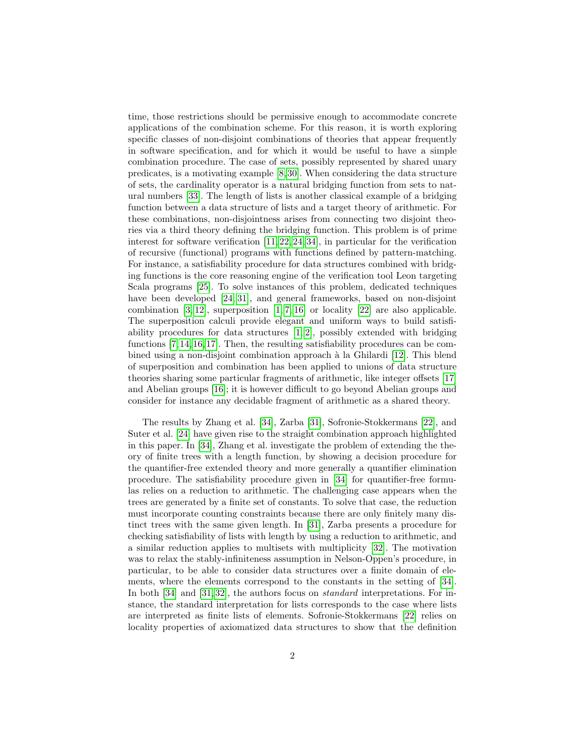time, those restrictions should be permissive enough to accommodate concrete applications of the combination scheme. For this reason, it is worth exploring specific classes of non-disjoint combinations of theories that appear frequently in software specification, and for which it would be useful to have a simple combination procedure. The case of sets, possibly represented by shared unary predicates, is a motivating example [\[8,](#page-43-2) [30\]](#page-44-2). When considering the data structure of sets, the cardinality operator is a natural bridging function from sets to natural numbers [\[33\]](#page-44-3). The length of lists is another classical example of a bridging function between a data structure of lists and a target theory of arithmetic. For these combinations, non-disjointness arises from connecting two disjoint theories via a third theory defining the bridging function. This problem is of prime interest for software verification  $[11, 22, 24, 34]$  $[11, 22, 24, 34]$  $[11, 22, 24, 34]$  $[11, 22, 24, 34]$ , in particular for the verification of recursive (functional) programs with functions defined by pattern-matching. For instance, a satisfiability procedure for data structures combined with bridging functions is the core reasoning engine of the verification tool Leon targeting Scala programs [\[25\]](#page-44-7). To solve instances of this problem, dedicated techniques have been developed [\[24,](#page-44-5) [31\]](#page-44-8), and general frameworks, based on non-disjoint combination [\[3,](#page-43-4) [12\]](#page-43-1), superposition  $[1, 7, 16]$  $[1, 7, 16]$  $[1, 7, 16]$  or locality [\[22\]](#page-44-4) are also applicable. The superposition calculi provide elegant and uniform ways to build satisfiability procedures for data structures [\[1,](#page-42-0) [2\]](#page-42-1), possibly extended with bridging functions [\[7,](#page-43-5) [14,](#page-43-7) [16,](#page-43-6) [17\]](#page-43-8). Then, the resulting satisfiability procedures can be com-bined using a non-disjoint combination approach à la Ghilardi [\[12\]](#page-43-1). This blend of superposition and combination has been applied to unions of data structure theories sharing some particular fragments of arithmetic, like integer offsets [\[17\]](#page-43-8) and Abelian groups [\[16\]](#page-43-6); it is however difficult to go beyond Abelian groups and consider for instance any decidable fragment of arithmetic as a shared theory.

The results by Zhang et al. [\[34\]](#page-44-6), Zarba [\[31\]](#page-44-8), Sofronie-Stokkermans [\[22\]](#page-44-4), and Suter et al. [\[24\]](#page-44-5) have given rise to the straight combination approach highlighted in this paper. In [\[34\]](#page-44-6), Zhang et al. investigate the problem of extending the theory of finite trees with a length function, by showing a decision procedure for the quantifier-free extended theory and more generally a quantifier elimination procedure. The satisfiability procedure given in [\[34\]](#page-44-6) for quantifier-free formulas relies on a reduction to arithmetic. The challenging case appears when the trees are generated by a finite set of constants. To solve that case, the reduction must incorporate counting constraints because there are only finitely many distinct trees with the same given length. In [\[31\]](#page-44-8), Zarba presents a procedure for checking satisfiability of lists with length by using a reduction to arithmetic, and a similar reduction applies to multisets with multiplicity [\[32\]](#page-44-9). The motivation was to relax the stably-infiniteness assumption in Nelson-Oppen's procedure, in particular, to be able to consider data structures over a finite domain of elements, where the elements correspond to the constants in the setting of [\[34\]](#page-44-6). In both [\[34\]](#page-44-6) and [\[31,](#page-44-8) [32\]](#page-44-9), the authors focus on standard interpretations. For instance, the standard interpretation for lists corresponds to the case where lists are interpreted as finite lists of elements. Sofronie-Stokkermans [\[22\]](#page-44-4) relies on locality properties of axiomatized data structures to show that the definition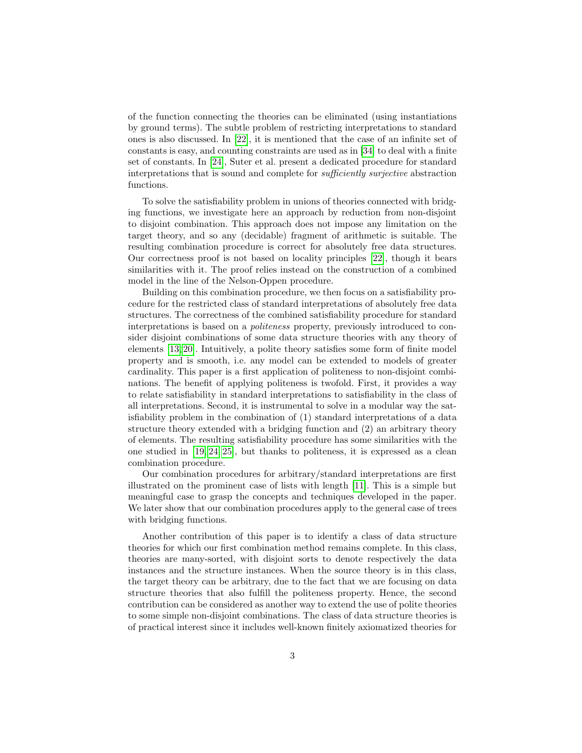of the function connecting the theories can be eliminated (using instantiations by ground terms). The subtle problem of restricting interpretations to standard ones is also discussed. In [\[22\]](#page-44-4), it is mentioned that the case of an infinite set of constants is easy, and counting constraints are used as in [\[34\]](#page-44-6) to deal with a finite set of constants. In [\[24\]](#page-44-5), Suter et al. present a dedicated procedure for standard interpretations that is sound and complete for *sufficiently surjective* abstraction functions.

To solve the satisfiability problem in unions of theories connected with bridging functions, we investigate here an approach by reduction from non-disjoint to disjoint combination. This approach does not impose any limitation on the target theory, and so any (decidable) fragment of arithmetic is suitable. The resulting combination procedure is correct for absolutely free data structures. Our correctness proof is not based on locality principles [\[22\]](#page-44-4), though it bears similarities with it. The proof relies instead on the construction of a combined model in the line of the Nelson-Oppen procedure.

Building on this combination procedure, we then focus on a satisfiability procedure for the restricted class of standard interpretations of absolutely free data structures. The correctness of the combined satisfiability procedure for standard interpretations is based on a politeness property, previously introduced to consider disjoint combinations of some data structure theories with any theory of elements [\[13,](#page-43-9) [20\]](#page-44-10). Intuitively, a polite theory satisfies some form of finite model property and is smooth, i.e. any model can be extended to models of greater cardinality. This paper is a first application of politeness to non-disjoint combinations. The benefit of applying politeness is twofold. First, it provides a way to relate satisfiability in standard interpretations to satisfiability in the class of all interpretations. Second, it is instrumental to solve in a modular way the satisfiability problem in the combination of (1) standard interpretations of a data structure theory extended with a bridging function and (2) an arbitrary theory of elements. The resulting satisfiability procedure has some similarities with the one studied in [\[19,](#page-44-11) [24,](#page-44-5) [25\]](#page-44-7), but thanks to politeness, it is expressed as a clean combination procedure.

Our combination procedures for arbitrary/standard interpretations are first illustrated on the prominent case of lists with length [\[11\]](#page-43-3). This is a simple but meaningful case to grasp the concepts and techniques developed in the paper. We later show that our combination procedures apply to the general case of trees with bridging functions.

Another contribution of this paper is to identify a class of data structure theories for which our first combination method remains complete. In this class, theories are many-sorted, with disjoint sorts to denote respectively the data instances and the structure instances. When the source theory is in this class, the target theory can be arbitrary, due to the fact that we are focusing on data structure theories that also fulfill the politeness property. Hence, the second contribution can be considered as another way to extend the use of polite theories to some simple non-disjoint combinations. The class of data structure theories is of practical interest since it includes well-known finitely axiomatized theories for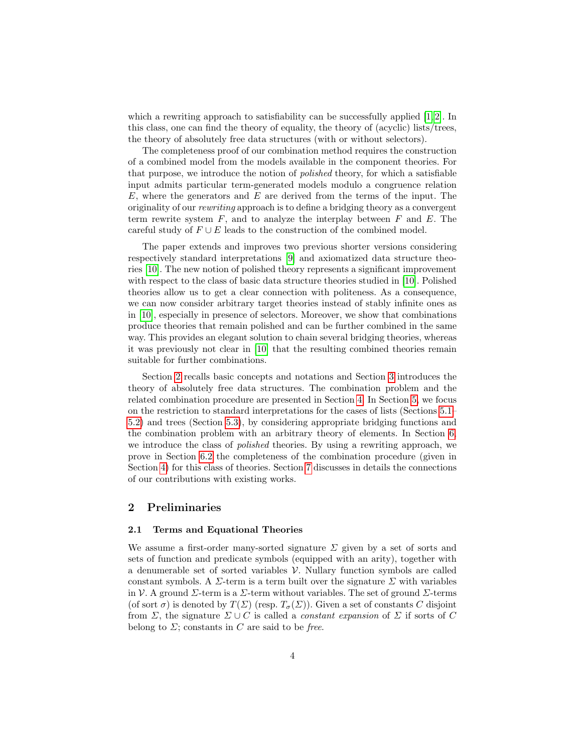which a rewriting approach to satisfiability can be successfully applied  $[1, 2]$  $[1, 2]$ . In this class, one can find the theory of equality, the theory of (acyclic) lists/trees, the theory of absolutely free data structures (with or without selectors).

The completeness proof of our combination method requires the construction of a combined model from the models available in the component theories. For that purpose, we introduce the notion of polished theory, for which a satisfiable input admits particular term-generated models modulo a congruence relation  $E$ , where the generators and  $E$  are derived from the terms of the input. The originality of our rewriting approach is to define a bridging theory as a convergent term rewrite system  $F$ , and to analyze the interplay between  $F$  and  $E$ . The careful study of  $F \cup E$  leads to the construction of the combined model.

The paper extends and improves two previous shorter versions considering respectively standard interpretations [\[9\]](#page-43-10) and axiomatized data structure theories [\[10\]](#page-43-11). The new notion of polished theory represents a significant improvement with respect to the class of basic data structure theories studied in [\[10\]](#page-43-11). Polished theories allow us to get a clear connection with politeness. As a consequence, we can now consider arbitrary target theories instead of stably infinite ones as in [\[10\]](#page-43-11), especially in presence of selectors. Moreover, we show that combinations produce theories that remain polished and can be further combined in the same way. This provides an elegant solution to chain several bridging theories, whereas it was previously not clear in [\[10\]](#page-43-11) that the resulting combined theories remain suitable for further combinations.

Section [2](#page-4-0) recalls basic concepts and notations and Section [3](#page-6-0) introduces the theory of absolutely free data structures. The combination problem and the related combination procedure are presented in Section [4.](#page-8-0) In Section [5,](#page-13-0) we focus on the restriction to standard interpretations for the cases of lists (Sections [5.1–](#page-14-0) [5.2\)](#page-18-0) and trees (Section [5.3\)](#page-21-0), by considering appropriate bridging functions and the combination problem with an arbitrary theory of elements. In Section [6,](#page-27-0) we introduce the class of polished theories. By using a rewriting approach, we prove in Section [6.2](#page-32-0) the completeness of the combination procedure (given in Section [4\)](#page-8-0) for this class of theories. Section [7](#page-38-0) discusses in details the connections of our contributions with existing works.

# <span id="page-4-0"></span>2 Preliminaries

#### 2.1 Terms and Equational Theories

We assume a first-order many-sorted signature  $\Sigma$  given by a set of sorts and sets of function and predicate symbols (equipped with an arity), together with a denumerable set of sorted variables  $V$ . Nullary function symbols are called constant symbols. A  $\Sigma$ -term is a term built over the signature  $\Sigma$  with variables in V. A ground  $\Sigma$ -term is a  $\Sigma$ -term without variables. The set of ground  $\Sigma$ -terms (of sort  $\sigma$ ) is denoted by  $T(\Sigma)$  (resp.  $T_{\sigma}(\Sigma)$ ). Given a set of constants C disjoint from  $\Sigma$ , the signature  $\Sigma \cup C$  is called a *constant expansion* of  $\Sigma$  if sorts of C belong to  $\Sigma$ ; constants in C are said to be free.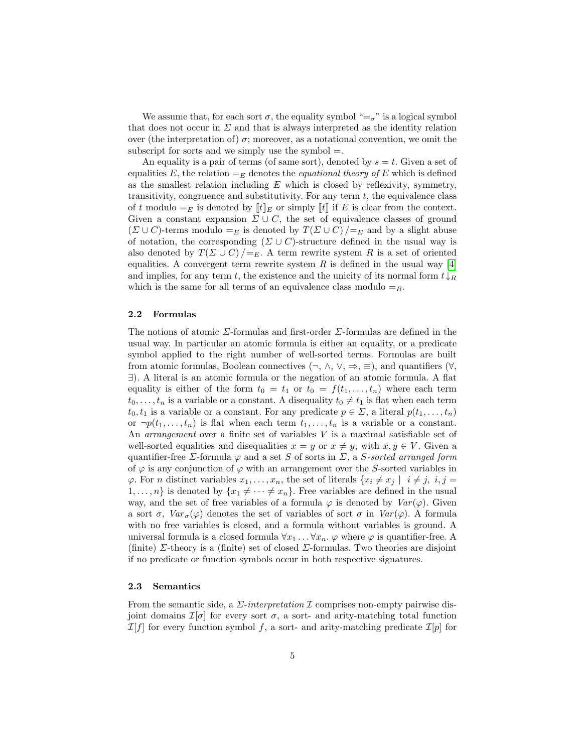We assume that, for each sort  $\sigma$ , the equality symbol "= $\sigma$ " is a logical symbol that does not occur in  $\Sigma$  and that is always interpreted as the identity relation over (the interpretation of)  $\sigma$ ; moreover, as a notational convention, we omit the subscript for sorts and we simply use the symbol  $=$ .

An equality is a pair of terms (of same sort), denoted by  $s = t$ . Given a set of equalities E, the relation  $=_E$  denotes the *equational theory of E* which is defined as the smallest relation including  $E$  which is closed by reflexivity, symmetry, transitivity, congruence and substitutivity. For any term  $t$ , the equivalence class of t modulo  $=_E$  is denoted by  $[[t]]_E$  or simply  $[[t]]$  if E is clear from the context. Given a constant expansion  $\Sigma \cup C$ , the set of equivalence classes of ground  $(\Sigma \cup C)$ -terms modulo = E is denoted by  $T(\Sigma \cup C)/=E$  and by a slight abuse of notation, the corresponding  $(\Sigma \cup C)$ -structure defined in the usual way is also denoted by  $T(\Sigma \cup C)/=E$ . A term rewrite system R is a set of oriented equalities. A convergent term rewrite system  $R$  is defined in the usual way [\[4\]](#page-43-12) and implies, for any term t, the existence and the unicity of its normal form  $t\downarrow_R$ which is the same for all terms of an equivalence class modulo  $=$ <sub>R</sub>.

#### 2.2 Formulas

The notions of atomic  $\Sigma$ -formulas and first-order  $\Sigma$ -formulas are defined in the usual way. In particular an atomic formula is either an equality, or a predicate symbol applied to the right number of well-sorted terms. Formulas are built from atomic formulas, Boolean connectives  $(\neg, \wedge, \vee, \Rightarrow, \equiv)$ , and quantifiers  $(\forall, \vee, \vee, \Rightarrow, \equiv)$ ∃). A literal is an atomic formula or the negation of an atomic formula. A flat equality is either of the form  $t_0 = t_1$  or  $t_0 = f(t_1, \ldots, t_n)$  where each term  $t_0, \ldots, t_n$  is a variable or a constant. A disequality  $t_0 \neq t_1$  is flat when each term  $t_0, t_1$  is a variable or a constant. For any predicate  $p \in \Sigma$ , a literal  $p(t_1, \ldots, t_n)$ or  $\neg p(t_1, \ldots, t_n)$  is flat when each term  $t_1, \ldots, t_n$  is a variable or a constant. An *arrangement* over a finite set of variables  $V$  is a maximal satisfiable set of well-sorted equalities and disequalities  $x = y$  or  $x \neq y$ , with  $x, y \in V$ . Given a quantifier-free  $\Sigma$ -formula  $\varphi$  and a set S of sorts in  $\Sigma$ , a S-sorted arranged form of  $\varphi$  is any conjunction of  $\varphi$  with an arrangement over the S-sorted variables in  $\varphi$ . For *n* distinct variables  $x_1, \ldots, x_n$ , the set of literals  $\{x_i \neq x_j \mid i \neq j, i, j =$  $1, \ldots, n$  is denoted by  $\{x_1 \neq \cdots \neq x_n\}$ . Free variables are defined in the usual way, and the set of free variables of a formula  $\varphi$  is denoted by  $Var(\varphi)$ . Given a sort  $\sigma$ ,  $Var_{\sigma}(\varphi)$  denotes the set of variables of sort  $\sigma$  in  $Var(\varphi)$ . A formula with no free variables is closed, and a formula without variables is ground. A universal formula is a closed formula  $\forall x_1 \dots \forall x_n$ .  $\varphi$  where  $\varphi$  is quantifier-free. A (finite)  $\Sigma$ -theory is a (finite) set of closed  $\Sigma$ -formulas. Two theories are disjoint if no predicate or function symbols occur in both respective signatures.

#### 2.3 Semantics

From the semantic side, a  $\Sigma\text{-}interpretation \mathcal{I}$  comprises non-empty pairwise disjoint domains  $\mathcal{I}[\sigma]$  for every sort  $\sigma$ , a sort- and arity-matching total function  $\mathcal{I}[f]$  for every function symbol f, a sort- and arity-matching predicate  $\mathcal{I}[p]$  for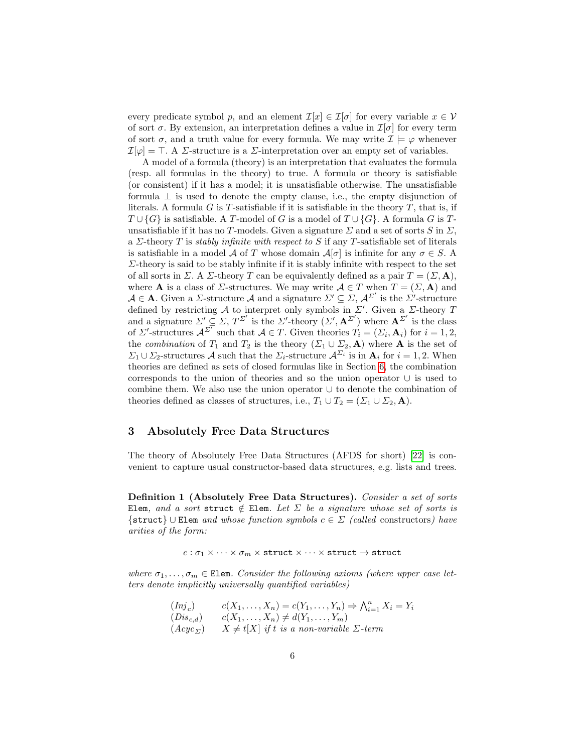every predicate symbol p, and an element  $\mathcal{I}[x] \in \mathcal{I}[\sigma]$  for every variable  $x \in \mathcal{V}$ of sort  $\sigma$ . By extension, an interpretation defines a value in  $\mathcal{I}[\sigma]$  for every term of sort  $\sigma$ , and a truth value for every formula. We may write  $\mathcal{I} \models \varphi$  whenever  $\mathcal{I}[\varphi] = \top$ . A *Σ*-structure is a *Σ*-interpretation over an empty set of variables.

A model of a formula (theory) is an interpretation that evaluates the formula (resp. all formulas in the theory) to true. A formula or theory is satisfiable (or consistent) if it has a model; it is unsatisfiable otherwise. The unsatisfiable formula  $\perp$  is used to denote the empty clause, i.e., the empty disjunction of literals. A formula G is T-satisfiable if it is satisfiable in the theory  $T$ , that is, if  $T \cup \{G\}$  is satisfiable. A T-model of G is a model of  $T \cup \{G\}$ . A formula G is Tunsatisfiable if it has no T-models. Given a signature  $\Sigma$  and a set of sorts S in  $\Sigma$ , a  $\Sigma$ -theory T is stably infinite with respect to S if any T-satisfiable set of literals is satisfiable in a model A of T whose domain  $\mathcal{A}[\sigma]$  is infinite for any  $\sigma \in S$ .  $\Sigma$ -theory is said to be stably infinite if it is stably infinite with respect to the set of all sorts in  $\Sigma$ . A  $\Sigma$ -theory T can be equivalently defined as a pair  $T = (\Sigma, \mathbf{A})$ , where **A** is a class of  $\Sigma$ -structures. We may write  $A \in T$  when  $T = (\Sigma, \mathbf{A})$  and  $A \in \mathbf{A}$ . Given a *Σ*-structure A and a signature  $\Sigma' \subseteq \Sigma$ ,  $\mathcal{A}^{\Sigma'}$  is the  $\Sigma'$ -structure defined by restricting A to interpret only symbols in  $\Sigma'$ . Given a  $\Sigma$ -theory T and a signature  $\Sigma' \subseteq \Sigma$ ,  $T^{\Sigma'}$  is the  $\Sigma'$ -theory  $(\Sigma', \mathbf{A}^{\Sigma'})$  where  $\mathbf{A}^{\Sigma'}$  is the class of  $\Sigma'$ -structures  $\mathcal{A}^{\Sigma'}$  such that  $\mathcal{A} \in T$ . Given theories  $T_i = (\Sigma_i, \mathbf{A}_i)$  for  $i = 1, 2,$ the combination of  $T_1$  and  $T_2$  is the theory  $(\Sigma_1 \cup \Sigma_2, \mathbf{A})$  where **A** is the set of  $\Sigma_1 \cup \Sigma_2$ -structures A such that the  $\Sigma_i$ -structure  $\mathcal{A}^{\Sigma_i}$  is in  $\mathbf{A}_i$  for  $i = 1, 2$ . When theories are defined as sets of closed formulas like in Section [6,](#page-27-0) the combination corresponds to the union of theories and so the union operator ∪ is used to combine them. We also use the union operator ∪ to denote the combination of theories defined as classes of structures, i.e.,  $T_1 \cup T_2 = (\Sigma_1 \cup \Sigma_2, \mathbf{A}).$ 

# <span id="page-6-0"></span>3 Absolutely Free Data Structures

<span id="page-6-1"></span>The theory of Absolutely Free Data Structures (AFDS for short) [\[22\]](#page-44-4) is convenient to capture usual constructor-based data structures, e.g. lists and trees.

Definition 1 (Absolutely Free Data Structures). Consider a set of sorts Elem, and a sort struct  $\notin$  Elem. Let  $\Sigma$  be a signature whose set of sorts is  $\{\text{struct}\}\cup\text{Element}$  and whose function symbols  $c \in \Sigma$  (called constructors) have arities of the form:

 $c:\sigma_1\times\cdots\times\sigma_m\times$  struct  $\times\cdots\times$  struct  $\to$  struct

where  $\sigma_1, \ldots, \sigma_m \in \mathbb{E}$  lem. Consider the following axioms (where upper case letters denote implicitly universally quantified variables)

$$
(Inj_c) \quad c(X_1, \ldots, X_n) = c(Y_1, \ldots, Y_n) \Rightarrow \bigwedge_{i=1}^n X_i = Y_i
$$
  
\n
$$
(Dis_{c,d}) \quad c(X_1, \ldots, X_n) \neq d(Y_1, \ldots, Y_m)
$$
  
\n
$$
(Avgc_{\Sigma}) \quad X \neq t[X] \text{ if } t \text{ is a non-variable } \Sigma\text{-term}
$$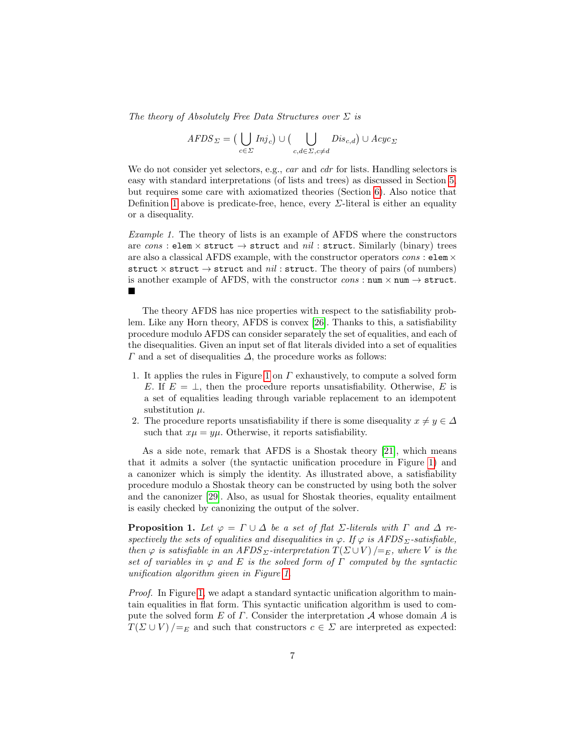The theory of Absolutely Free Data Structures over  $\Sigma$  is

$$
AFDS_{\Sigma} = \big(\bigcup_{c \in \Sigma} Inj_c\big) \cup \big(\bigcup_{c,d \in \Sigma, c \neq d} Dis_{c,d}\big) \cup Acyc_{\Sigma}
$$

We do not consider yet selectors, e.g., car and cdr for lists. Handling selectors is easy with standard interpretations (of lists and trees) as discussed in Section [5,](#page-13-0) but requires some care with axiomatized theories (Section [6\)](#page-27-0). Also notice that Definition [1](#page-6-1) above is predicate-free, hence, every  $\Sigma$ -literal is either an equality or a disequality.

<span id="page-7-0"></span>Example 1. The theory of lists is an example of AFDS where the constructors are cons : elem  $\times$  struct  $\rightarrow$  struct and nil : struct. Similarly (binary) trees are also a classical AFDS example, with the constructor operators  $cons :$  elem $\times$ struct  $\times$  struct  $\rightarrow$  struct and nil: struct. The theory of pairs (of numbers) is another example of AFDS, with the constructor cons :  $\text{num} \times \text{num} \rightarrow \text{struct}$ .  $\blacksquare$ 

The theory AFDS has nice properties with respect to the satisfiability problem. Like any Horn theory, AFDS is convex [\[26\]](#page-44-12). Thanks to this, a satisfiability procedure modulo AFDS can consider separately the set of equalities, and each of the disequalities. Given an input set of flat literals divided into a set of equalities  $\Gamma$  and a set of disequalities  $\Delta$ , the procedure works as follows:

- 1. It applies the rules in Figure [1](#page-8-1) on  $\Gamma$  exhaustively, to compute a solved form E. If  $E = \perp$ , then the procedure reports unsatisfiability. Otherwise, E is a set of equalities leading through variable replacement to an idempotent substitution  $\mu$ .
- 2. The procedure reports unsatisfiability if there is some disequality  $x \neq y \in \Delta$ such that  $x\mu = y\mu$ . Otherwise, it reports satisfiability.

As a side note, remark that AFDS is a Shostak theory [\[21\]](#page-44-13), which means that it admits a solver (the syntactic unification procedure in Figure [1\)](#page-8-1) and a canonizer which is simply the identity. As illustrated above, a satisfiability procedure modulo a Shostak theory can be constructed by using both the solver and the canonizer [\[29\]](#page-44-14). Also, as usual for Shostak theories, equality entailment is easily checked by canonizing the output of the solver.

<span id="page-7-1"></span>**Proposition 1.** Let  $\varphi = \Gamma \cup \Delta$  be a set of flat  $\Sigma$ -literals with  $\Gamma$  and  $\Delta$  respectively the sets of equalities and disequalities in  $\varphi$ . If  $\varphi$  is AFDS  $\Sigma$ -satisfiable, then  $\varphi$  is satisfiable in an AFDS  $\Sigma$ -interpretation  $T(\Sigma \cup V) / =_E$ , where V is the set of variables in  $\varphi$  and E is the solved form of  $\Gamma$  computed by the syntactic unification algorithm given in Figure [1.](#page-8-1)

Proof. In Figure [1,](#page-8-1) we adapt a standard syntactic unification algorithm to maintain equalities in flat form. This syntactic unification algorithm is used to compute the solved form  $E$  of  $\Gamma$ . Consider the interpretation  $\mathcal A$  whose domain  $A$  is  $T(\Sigma \cup V)/=E$  and such that constructors  $c \in \Sigma$  are interpreted as expected: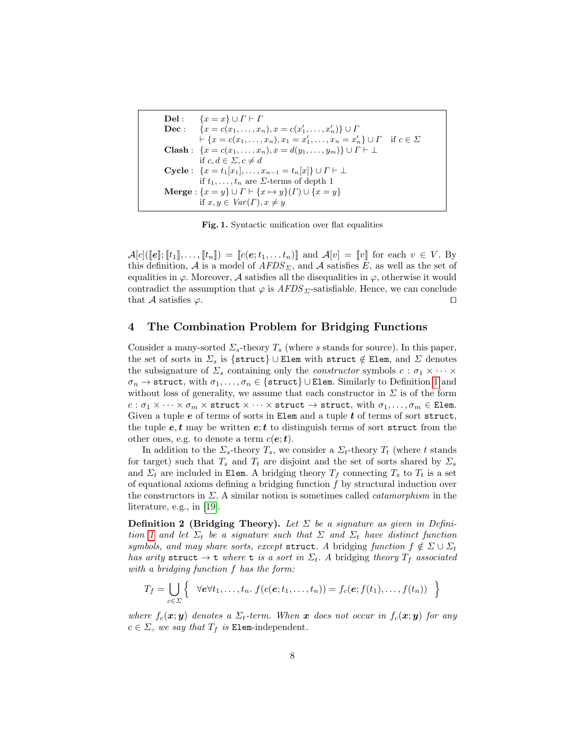|  | Del: $\{x=x\} \cup \Gamma \vdash \Gamma$                                                          |
|--|---------------------------------------------------------------------------------------------------|
|  | <b>Dec</b> : $\{x = c(x_1, \ldots, x_n), x = c(x'_1, \ldots, x'_n)\} \cup \Gamma$                 |
|  | $f \in \{x = c(x_1, \ldots, x_n), x_1 = x'_1, \ldots, x_n = x'_n\} \cup \Gamma$ if $c \in \Sigma$ |
|  | <b>Clash</b> : $\{x = c(x_1, , x_n), x = d(y_1, , y_m)\} \cup \Gamma \vdash \bot$                 |
|  | if $c, d \in \Sigma$ , $c \neq d$                                                                 |
|  | <b>Cycle</b> : $\{x = t_1[x_1], \ldots, x_{n-1} = t_n[x]\} \cup \Gamma \vdash \bot$               |
|  | if $t_1, \ldots, t_n$ are $\Sigma$ -terms of depth 1                                              |
|  | Merge : $\{x=y\} \cup \Gamma \vdash \{x \mapsto y\}(\Gamma) \cup \{x=y\}$                         |
|  | if $x, y \in Var(\Gamma), x \neq y$                                                               |

<span id="page-8-1"></span>Fig. 1. Syntactic unification over flat equalities

 $\mathcal{A}[c]([\![e]\!]; [t_1], \ldots, [t_n]) = [c(e; t_1, \ldots t_n)]$  and  $\mathcal{A}[v] = [v]$  for each  $v \in V$ . By this definition, A is a model of  $AFDS_{\Sigma}$ , and A satisfies E, as well as the set of equalities in  $\varphi$ . Moreover, A satisfies all the disequalities in  $\varphi$ , otherwise it would contradict the assumption that  $\varphi$  is AFDS  $\Sigma$ -satisfiable. Hence, we can conclude that A satisfies  $\varphi$ .

# <span id="page-8-0"></span>4 The Combination Problem for Bridging Functions

Consider a many-sorted  $\Sigma_s$ -theory  $T_s$  (where s stands for source). In this paper, the set of sorts in  $\Sigma_s$  is {struct} ∪ Elem with struct  $\notin$  Elem, and  $\Sigma$  denotes the subsignature of  $\Sigma_s$  containing only the *constructor* symbols  $c : \sigma_1 \times \cdots \times$  $\sigma_n \to$  struct, with  $\sigma_1, \ldots, \sigma_n \in \{\text{struct}\}\cup \text{Element}$ . Similarly to Definition [1](#page-6-1) and without loss of generality, we assume that each constructor in  $\Sigma$  is of the form  $c: \sigma_1 \times \cdots \times \sigma_m \times$  struct  $\times \cdots \times$  struct  $\rightarrow$  struct, with  $\sigma_1, \ldots, \sigma_m \in$  Elem. Given a tuple  $e$  of terms of sorts in Elem and a tuple  $t$  of terms of sort struct, the tuple  $e, t$  may be written  $e; t$  to distinguish terms of sort struct from the other ones, e.g. to denote a term  $c(\mathbf{e}; \mathbf{t})$ .

In addition to the  $\Sigma_s$ -theory  $T_s$ , we consider a  $\Sigma_t$ -theory  $T_t$  (where t stands for target) such that  $T_s$  and  $T_t$  are disjoint and the set of sorts shared by  $\Sigma_s$ and  $\Sigma_t$  are included in Elem. A bridging theory  $T_f$  connecting  $T_s$  to  $T_t$  is a set of equational axioms defining a bridging function  $f$  by structural induction over the constructors in  $\Sigma$ . A similar notion is sometimes called *catamorphism* in the literature, e.g., in [\[19\]](#page-44-11).

<span id="page-8-2"></span>**Definition 2 (Bridging Theory).** Let  $\Sigma$  be a signature as given in Defini-tion [1](#page-6-1) and let  $\Sigma_t$  be a signature such that  $\Sigma$  and  $\Sigma_t$  have distinct function symbols, and may share sorts, except struct. A bridging function  $f \notin \Sigma \cup \Sigma_t$ has arity struct  $\rightarrow$  t where t is a sort in  $\Sigma_t$ . A bridging theory  $T_f$  associated with a bridging function f has the form:

$$
T_f = \bigcup_{c \in \Sigma} \left\{ \forall e \forall t_1, \ldots, t_n. \ f(c(e; t_1, \ldots, t_n)) = f_c(e; f(t_1), \ldots, f(t_n)) \right\}
$$

where  $f_c(\mathbf{x}; \mathbf{y})$  denotes a  $\Sigma_t$ -term. When x does not occur in  $f_c(\mathbf{x}; \mathbf{y})$  for any  $c \in \Sigma$ , we say that  $T_f$  is **Elem-independent**.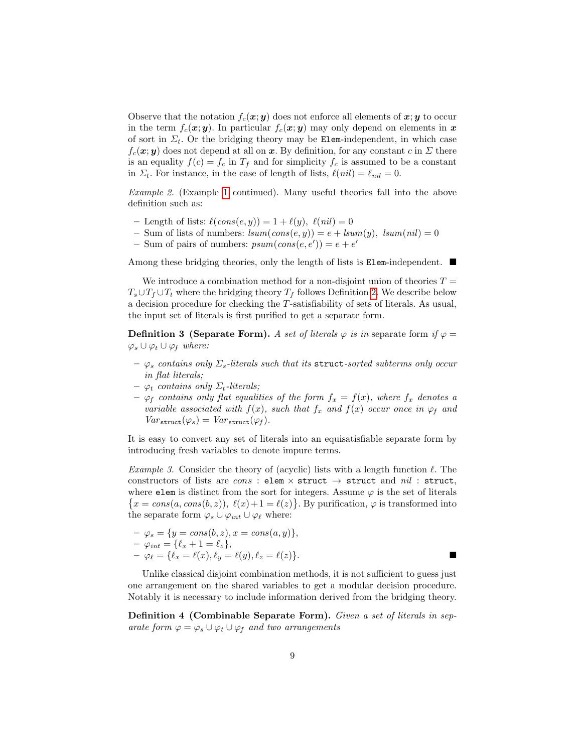Observe that the notation  $f_c(x; y)$  does not enforce all elements of x; y to occur in the term  $f_c(\mathbf{x}; \mathbf{y})$ . In particular  $f_c(\mathbf{x}; \mathbf{y})$  may only depend on elements in x of sort in  $\Sigma_t$ . Or the bridging theory may be **Elem**-independent, in which case  $f_c(\boldsymbol{x}; \boldsymbol{y})$  does not depend at all on  $\boldsymbol{x}$ . By definition, for any constant c in  $\Sigma$  there is an equality  $f(c) = f_c$  in  $T_f$  and for simplicity  $f_c$  is assumed to be a constant in  $\Sigma_t$ . For instance, in the case of length of lists,  $\ell(nil) = \ell_{nil} = 0$ .

Example 2. (Example [1](#page-7-0) continued). Many useful theories fall into the above definition such as:

- Length of lists:  $\ell(\text{cons}(e, y)) = 1 + \ell(y), \ell(\text{nil}) = 0$
- Sum of lists of numbers:  $lsum(cons(e, y)) = e + lsum(y), \;lsum(nil) = 0$
- Sum of pairs of numbers:  $psum(cons(e, e')) = e + e'$

Among these bridging theories, only the length of lists is  $Elem-independent$ .

We introduce a combination method for a non-disjoint union of theories  $T =$  $T_s \cup T_f \cup T_t$  where the bridging theory  $T_f$  follows Definition [2.](#page-8-2) We describe below a decision procedure for checking the T-satisfiability of sets of literals. As usual, the input set of literals is first purified to get a separate form.

**Definition 3 (Separate Form).** A set of literals  $\varphi$  is in separate form if  $\varphi$  =  $\varphi_s \cup \varphi_t \cup \varphi_f$  where:

- $-\varphi_s$  contains only  $\Sigma_s$ -literals such that its struct-sorted subterms only occur in flat literals;
- $\varphi_t$  contains only  $\Sigma_t$ -literals;
- $-\varphi_f$  contains only flat equalities of the form  $f_x = f(x)$ , where  $f_x$  denotes a variable associated with  $f(x)$ , such that  $f_x$  and  $f(x)$  occur once in  $\varphi_f$  and  $Var_{\text{struct}}(\varphi_s) = Var_{\text{struct}}(\varphi_f).$

It is easy to convert any set of literals into an equisatisfiable separate form by introducing fresh variables to denote impure terms.

<span id="page-9-0"></span>*Example 3.* Consider the theory of (acyclic) lists with a length function  $\ell$ . The constructors of lists are cons : elem  $\times$  struct  $\rightarrow$  struct and nil : struct, where elem is distinct from the sort for integers. Assume  $\varphi$  is the set of literals  $\{x = cons(a, cons(b, z)), \ell(x) + 1 = \ell(z)\}.$  By purification,  $\varphi$  is transformed into the separate form  $\varphi_s \cup \varphi_{int} \cup \varphi_\ell$  where:

$$
-\varphi_s = \{ y = cons(b, z), x = cons(a, y) \},\n-\varphi_{int} = \{ \ell_x + 1 = \ell_z \},\n-\varphi_{\ell} = \{ \ell_x = \ell(x), \ell_y = \ell(y), \ell_z = \ell(z) \}.
$$

Unlike classical disjoint combination methods, it is not sufficient to guess just one arrangement on the shared variables to get a modular decision procedure. Notably it is necessary to include information derived from the bridging theory.

<span id="page-9-1"></span>Definition 4 (Combinable Separate Form). Given a set of literals in separate form  $\varphi = \varphi_s \cup \varphi_t \cup \varphi_f$  and two arrangements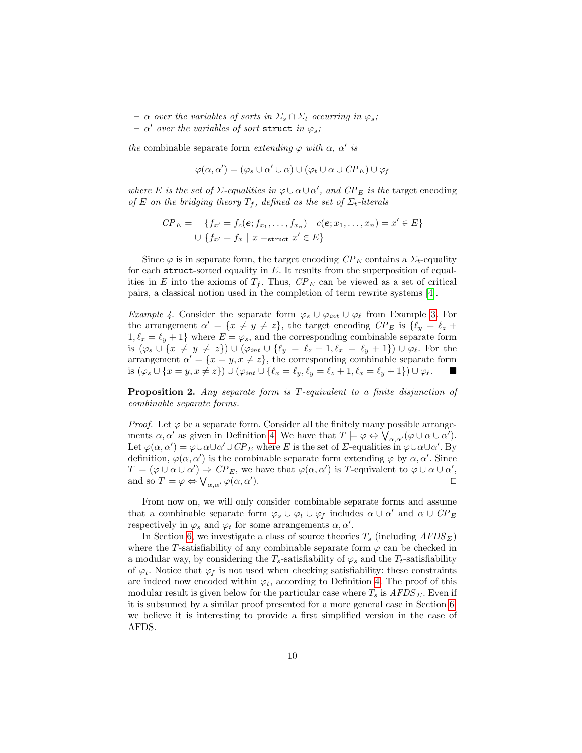- $\alpha$  over the variables of sorts in  $\Sigma_s \cap \Sigma_t$  occurring in  $\varphi_s$ ;
- $\alpha'$  over the variables of sort struct in  $\varphi_s$ ;

the combinable separate form extending  $\varphi$  with  $\alpha$ ,  $\alpha'$  is

$$
\varphi(\alpha, \alpha') = (\varphi_s \cup \alpha' \cup \alpha) \cup (\varphi_t \cup \alpha \cup CP_E) \cup \varphi_f
$$

where E is the set of  $\Sigma$ -equalities in  $\varphi \cup \alpha \cup \alpha'$ , and  $CP_E$  is the target encoding of E on the bridging theory  $T_f$ , defined as the set of  $\Sigma_t$ -literals

$$
CP_E = \{f_{x'} = f_c(e; f_{x_1}, \dots, f_{x_n}) \mid c(e; x_1, \dots, x_n) = x' \in E\}
$$
  

$$
\cup \{f_{x'} = f_x \mid x = \text{struct } x' \in E\}
$$

Since  $\varphi$  is in separate form, the target encoding  $CP_E$  contains a  $\Sigma_t$ -equality for each struct-sorted equality in  $E$ . It results from the superposition of equalities in E into the axioms of  $T_f$ . Thus,  $CP_E$  can be viewed as a set of critical pairs, a classical notion used in the completion of term rewrite systems [\[4\]](#page-43-12).

*Example 4.* Consider the separate form  $\varphi_s \cup \varphi_{int} \cup \varphi_\ell$  from Example [3.](#page-9-0) For the arrangement  $\alpha' = \{x \neq y \neq z\}$ , the target encoding  $CP_E$  is  $\{\ell_y = \ell_z + \ell_z\}$  $1, \ell_x = \ell_y + 1$  where  $E = \varphi_s$ , and the corresponding combinable separate form is  $(\varphi_s \cup \{x \neq y \neq z\}) \cup (\varphi_{int} \cup \{\ell_y = \ell_z + 1, \ell_x = \ell_y + 1\}) \cup \varphi_{\ell}$ . For the arrangement  $\alpha' = \{x = y, x \neq z\}$ , the corresponding combinable separate form is  $(\varphi_s \cup \{x = y, x \neq z\}) \cup (\varphi_{int} \cup \{\ell_x = \ell_y, \ell_y = \ell_z + 1, \ell_x = \ell_y + 1\}) \cup \varphi_{\ell}.$ 

Proposition 2. Any separate form is T-equivalent to a finite disjunction of combinable separate forms.

*Proof.* Let  $\varphi$  be a separate form. Consider all the finitely many possible arrangements  $\alpha, \alpha'$  as given in Definition [4.](#page-9-1) We have that  $T \models \varphi \Leftrightarrow \bigvee_{\alpha, \alpha'} (\varphi \cup \alpha \cup \alpha')$ . Let  $\varphi(\alpha, \alpha') = \varphi \cup \alpha \cup \alpha' \cup CP_E$  where E is the set of *Σ*-equalities in  $\varphi \cup \alpha \cup \alpha'$ . By definition,  $\varphi(\alpha, \alpha')$  is the combinable separate form extending  $\varphi$  by  $\alpha, \alpha'$ . Since  $T \models (\varphi \cup \alpha \cup \alpha') \Rightarrow CP_E$ , we have that  $\varphi(\alpha, \alpha')$  is T-equivalent to  $\varphi \cup \alpha \cup \alpha'$ , and so  $T \models \varphi \Leftrightarrow \bigvee_{\alpha,\alpha'} \varphi(\alpha,\alpha')$ ).  $\qquad \qquad \Box$ 

From now on, we will only consider combinable separate forms and assume that a combinable separate form  $\varphi_s \cup \varphi_t \cup \varphi_f$  includes  $\alpha \cup \alpha'$  and  $\alpha \cup CP_E$ respectively in  $\varphi_s$  and  $\varphi_t$  for some arrangements  $\alpha, \alpha'$ .

<span id="page-10-0"></span>In Section [6,](#page-27-0) we investigate a class of source theories  $T_s$  (including  $AFDS_{\Sigma}$ ) where the T-satisfiability of any combinable separate form  $\varphi$  can be checked in a modular way, by considering the  $T_s$ -satisfiability of  $\varphi_s$  and the  $T_t$ -satisfiability of  $\varphi_t$ . Notice that  $\varphi_f$  is not used when checking satisfiability: these constraints are indeed now encoded within  $\varphi_t$ , according to Definition [4.](#page-9-1) The proof of this modular result is given below for the particular case where  $T_s$  is  $AFDS_\Sigma$ . Even if it is subsumed by a similar proof presented for a more general case in Section [6,](#page-27-0) we believe it is interesting to provide a first simplified version in the case of AFDS.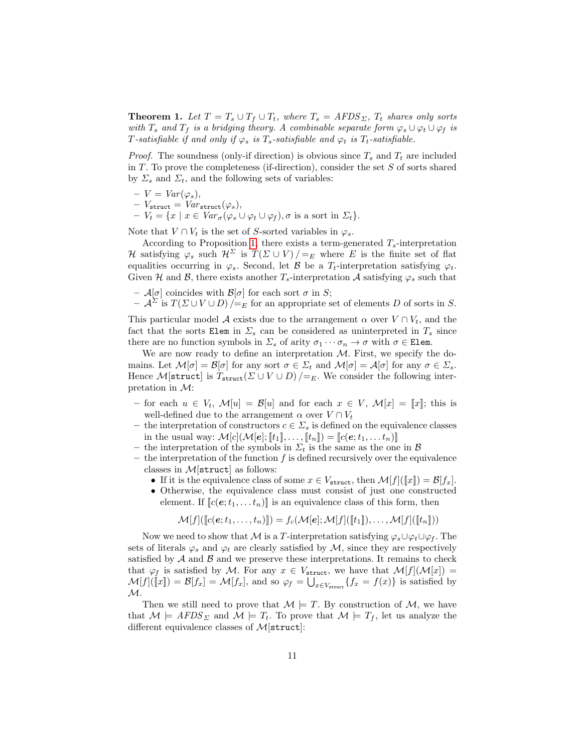**Theorem 1.** Let  $T = T_s \cup T_f \cup T_t$ , where  $T_s = AFDS_{\Sigma}$ ,  $T_t$  shares only sorts with  $T_s$  and  $T_f$  is a bridging theory. A combinable separate form  $\varphi_s \cup \varphi_t \cup \varphi_f$  is T-satisfiable if and only if  $\varphi_s$  is  $T_s$ -satisfiable and  $\varphi_t$  is  $T_t$ -satisfiable.

*Proof.* The soundness (only-if direction) is obvious since  $T_s$  and  $T_t$  are included in  $T$ . To prove the completeness (if-direction), consider the set  $S$  of sorts shared by  $\Sigma_s$  and  $\Sigma_t$ , and the following sets of variables:

$$
- V = Var(\varphi_s),
$$

- $V_{\text{struct}} = Var_{\text{struct}}(\varphi_s),$
- $-V_t = \{x \mid x \in Var_{\sigma}(\varphi_s \cup \varphi_t \cup \varphi_f), \sigma \text{ is a sort in } \Sigma_t\}.$

Note that  $V \cap V_t$  is the set of S-sorted variables in  $\varphi_s$ .

According to Proposition [1,](#page-7-1) there exists a term-generated  $T_s$ -interpretation H satisfying  $\varphi_s$  such  $\mathcal{H}^{\Sigma}$  is  $T(\Sigma \cup V)/=E$  where E is the finite set of flat equalities occurring in  $\varphi_s$ . Second, let B be a  $T_t$ -interpretation satisfying  $\varphi_t$ . Given H and B, there exists another  $T_s$ -interpretation A satisfying  $\varphi_s$  such that

 $\mathcal{A}[\sigma]$  coincides with  $\mathcal{B}[\sigma]$  for each sort  $\sigma$  in S;

 $\mathcal{A}^{\Sigma}$  is  $T(\Sigma \cup V \cup D)$   $\neq_{E}$  for an appropriate set of elements D of sorts in S.

This particular model A exists due to the arrangement  $\alpha$  over  $V \cap V_t$ , and the fact that the sorts Elem in  $\Sigma_s$  can be considered as uninterpreted in  $T_s$  since there are no function symbols in  $\Sigma_s$  of arity  $\sigma_1 \cdots \sigma_n \to \sigma$  with  $\sigma \in \text{Elem}$ .

We are now ready to define an interpretation  $M$ . First, we specify the domains. Let  $\mathcal{M}[\sigma] = \mathcal{B}[\sigma]$  for any sort  $\sigma \in \Sigma_t$  and  $\mathcal{M}[\sigma] = \mathcal{A}[\sigma]$  for any  $\sigma \in \Sigma_s$ . Hence M[struct] is  $T_{struct}(\Sigma \cup V \cup D)/=E$ . We consider the following interpretation in M:

- for each  $u \in V_t$ ,  $\mathcal{M}[u] = \mathcal{B}[u]$  and for each  $x \in V$ ,  $\mathcal{M}[x] = ||x||$ ; this is well-defined due to the arrangement  $\alpha$  over  $V \cap V_t$
- the interpretation of constructors  $c \in \Sigma_s$  is defined on the equivalence classes in the usual way:  $\mathcal{M}[c](\mathcal{M}[e]; [t_1], \ldots, [t_n]) = [c(e; t_1, \ldots, t_n)]$
- the interpretation of the symbols in  $\Sigma_t$  is the same as the one in  $\mathcal B$
- the interpretation of the function  $f$  is defined recursively over the equivalence classes in  $M[\text{struct}]$  as follows:
	- If it is the equivalence class of some  $x \in V_{\text{struct}}$ , then  $\mathcal{M}[f]([x]) = \mathcal{B}[f_x]$ .
	- Otherwise, the equivalence class must consist of just one constructed element. If  $\llbracket c(e; t_1, \ldots t_n) \rrbracket$  is an equivalence class of this form, then

$$
\mathcal{M}[f]([\llbracket c(e;t_1,\ldots,t_n)\rrbracket) = f_c(\mathcal{M}[e];\mathcal{M}[f]([\llbracket t_1\rrbracket),\ldots,\mathcal{M}[f]([\llbracket t_n\rrbracket)))
$$

Now we need to show that M is a T-interpretation satisfying  $\varphi_s \cup \varphi_t \cup \varphi_f$ . The sets of literals  $\varphi_s$  and  $\varphi_t$  are clearly satisfied by M, since they are respectively satisfied by  $A$  and  $B$  and we preserve these interpretations. It remains to check that  $\varphi_f$  is satisfied by M. For any  $x \in V_{\text{struct}}$ , we have that  $\mathcal{M}[f](\mathcal{M}[x]) =$  $\mathcal{M}[f]([x]) = \mathcal{B}[f_x] = \mathcal{M}[f_x]$ , and so  $\varphi_f = \bigcup_{x \in V_{\text{struct}}} \{f_x = f(x)\}$  is satisfied by M.

Then we still need to prove that  $\mathcal{M} \models T$ . By construction of  $\mathcal{M}$ , we have that  $M \models AFDS_{\Sigma}$  and  $M \models T_t$ . To prove that  $M \models T_f$ , let us analyze the different equivalence classes of  $M[\text{struct}]$ :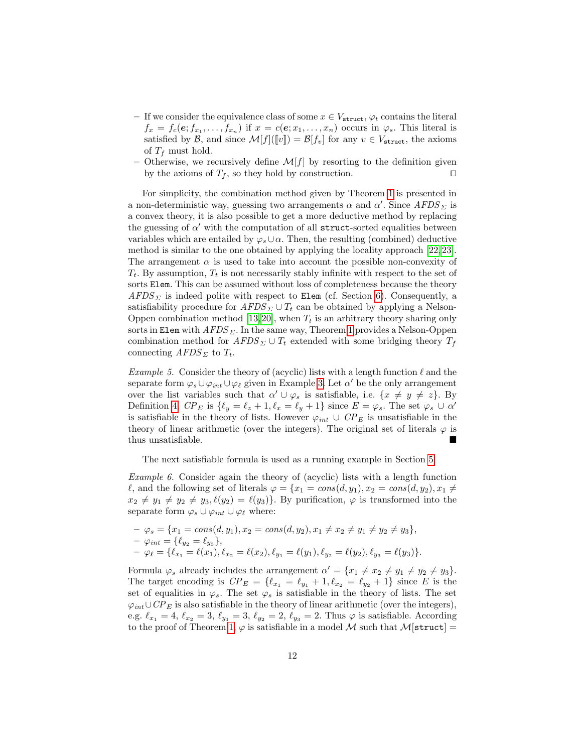- If we consider the equivalence class of some  $x \in V_{\text{struct}}, \varphi_t$  contains the literal  $f_x = f_c(e; f_{x_1}, \ldots, f_{x_n})$  if  $x = c(e; x_1, \ldots, x_n)$  occurs in  $\varphi_s$ . This literal is satisfied by B, and since  $\mathcal{M}[f]([v]) = \mathcal{B}[f_v]$  for any  $v \in V_{\text{struct}}$ , the axioms of  $T_f$  must hold.
- Otherwise, we recursively define  $\mathcal{M}[f]$  by resorting to the definition given by the axioms of  $T_f$ , so they hold by construction.

For simplicity, the combination method given by Theorem [1](#page-10-0) is presented in a non-deterministic way, guessing two arrangements  $\alpha$  and  $\alpha'$ . Since  $AFDS_\Sigma$  is a convex theory, it is also possible to get a more deductive method by replacing the guessing of  $\alpha'$  with the computation of all struct-sorted equalities between variables which are entailed by  $\varphi_s \cup \alpha$ . Then, the resulting (combined) deductive method is similar to the one obtained by applying the locality approach [\[22,](#page-44-4) [23\]](#page-44-15). The arrangement  $\alpha$  is used to take into account the possible non-convexity of  $T_t$ . By assumption,  $T_t$  is not necessarily stably infinite with respect to the set of sorts Elem. This can be assumed without loss of completeness because the theory  $AFDS_\Sigma$  is indeed polite with respect to Elem (cf. Section [6\)](#page-27-0). Consequently, a satisfiability procedure for  $AFDS \Sigma \cup T_t$  can be obtained by applying a Nelson-Oppen combination method [\[13,](#page-43-9)[20\]](#page-44-10), when  $T_t$  is an arbitrary theory sharing only sorts in Elem with  $AFDS_{\Sigma}$ . In the same way, Theorem [1](#page-10-0) provides a Nelson-Oppen combination method for  $AFDS_\Sigma \cup T_t$  extended with some bridging theory  $T_f$ connecting  $AFDS_\Sigma$  to  $T_t$ .

Example 5. Consider the theory of (acyclic) lists with a length function  $\ell$  and the separate form  $\varphi_s \cup \varphi_{int} \cup \varphi_\ell$  given in Example [3.](#page-9-0) Let  $\alpha'$  be the only arrangement over the list variables such that  $\alpha' \cup \varphi_s$  is satisfiable, i.e.  $\{x \neq y \neq z\}$ . By Definition [4,](#page-9-1)  $CP_E$  is  $\{\ell_y = \ell_z + 1, \ell_x = \ell_y + 1\}$  since  $E = \varphi_s$ . The set  $\varphi_s \cup \alpha'$ is satisfiable in the theory of lists. However  $\varphi_{int} \cup CP_E$  is unsatisfiable in the theory of linear arithmetic (over the integers). The original set of literals  $\varphi$  is thus unsatisfiable.

<span id="page-12-0"></span>The next satisfiable formula is used as a running example in Section [5.](#page-13-0)

Example 6. Consider again the theory of (acyclic) lists with a length function  $\ell$ , and the following set of literals  $\varphi = \{x_1 = const(d, y_1), x_2 = const(d, y_2), x_1 \neq 0\}$  $x_2 \neq y_1 \neq y_2 \neq y_3, \ell(y_2) = \ell(y_3)$ . By purification,  $\varphi$  is transformed into the separate form  $\varphi_s \cup \varphi_{int} \cup \varphi_\ell$  where:

 $-\varphi_s = \{x_1 = cons(d, y_1), x_2 = cons(d, y_2), x_1 \neq x_2 \neq y_1 \neq y_2 \neq y_3\},\$  $- \varphi_{int} = {\ell_{y_2} = \ell_{y_3}},$  $-\varphi_{\ell} = {\ell_{x_1} = \ell(x_1), \ell_{x_2} = \ell(x_2), \ell_{y_1} = \ell(y_1), \ell_{y_2} = \ell(y_2), \ell_{y_3} = \ell(y_3)}.$ 

Formula  $\varphi_s$  already includes the arrangement  $\alpha' = \{x_1 \neq x_2 \neq y_1 \neq y_2 \neq y_3\}.$ The target encoding is  $CP_E = \{ \ell_{x_1} = \ell_{y_1} + 1, \ell_{x_2} = \ell_{y_2} + 1 \}$  since E is the set of equalities in  $\varphi_s$ . The set  $\varphi_s$  is satisfiable in the theory of lists. The set  $\varphi_{int} \cup CP_E$  is also satisfiable in the theory of linear arithmetic (over the integers), e.g.  $\ell_{x_1} = 4, \ell_{x_2} = 3, \ell_{y_1} = 3, \ell_{y_2} = 2, \ell_{y_3} = 2$ . Thus  $\varphi$  is satisfiable. According to the proof of Theorem [1,](#page-10-0)  $\varphi$  is satisfiable in a model M such that  $M[\text{struct}] =$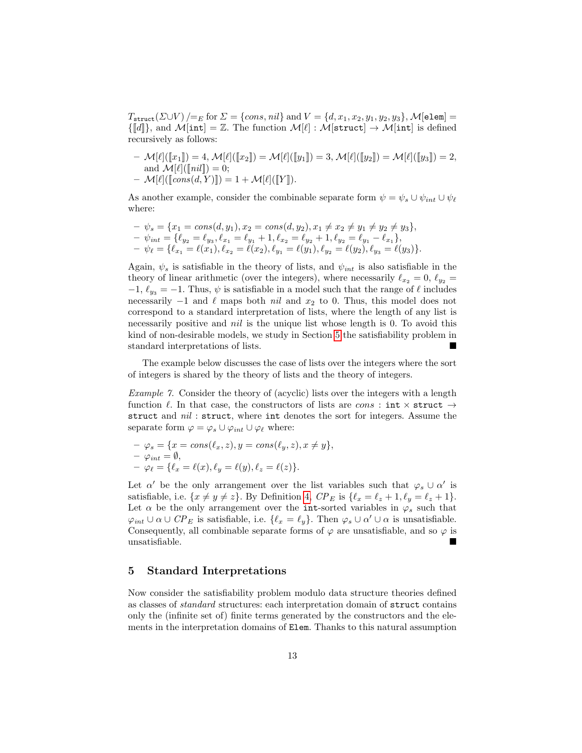$T_{\text{struct}}(\Sigma \cup V) / =_E$  for  $\Sigma = \{cons, nil\}$  and  $V = \{d, x_1, x_2, y_1, y_2, y_3\}, \mathcal{M}$  [elem] =  $\{\llbracket d \rrbracket\}$ , and  $\mathcal{M}[\text{int}] = \mathbb{Z}$ . The function  $\mathcal{M}[\ell] : \mathcal{M}[\text{struct}] \to \mathcal{M}[\text{int}]$  is defined recursively as follows:

$$
- \mathcal{M}[\ell]([\![x_1]\!]) = 4, \mathcal{M}[\ell]([\![x_2]\!]) = \mathcal{M}[\ell]([\![y_1]\!]) = 3, \mathcal{M}[\ell]([\![y_2]\!]) = \mathcal{M}[\ell]([\![y_3]\!]) = 2, \text{and } \mathcal{M}[\ell]([\![nil]\!]) = 0; \n- \mathcal{M}[\ell]([\![cons(d, Y)]\!]) = 1 + \mathcal{M}[\ell]([\![Y]\!]).
$$

As another example, consider the combinable separate form  $\psi = \psi_s \cup \psi_{int} \cup \psi_{\ell}$ where:

 $-\psi_s = \{x_1 = cons(d, y_1), x_2 = cons(d, y_2), x_1 \neq x_2 \neq y_1 \neq y_2 \neq y_3\},\$  $- \psi_{int} = {\ell_{y_2} = \ell_{y_3}, \ell_{x_1} = \ell_{y_1} + 1, \ell_{x_2} = \ell_{y_2} + 1, \ell_{y_2} = \ell_{y_1} - \ell_{x_1}},$  $-\psi_{\ell} = {\ell_{x_1} = \ell(x_1), \ell_{x_2} = \ell(x_2), \ell_{y_1} = \ell(y_1), \ell_{y_2} = \ell(y_2), \ell_{y_3} = \ell(y_3)}.$ 

Again,  $\psi_s$  is satisfiable in the theory of lists, and  $\psi_{int}$  is also satisfiable in the theory of linear arithmetic (over the integers), where necessarily  $\ell_{x_2} = 0, \ell_{y_2} =$  $-1, \ell_{y_3} = -1.$  Thus,  $\psi$  is satisfiable in a model such that the range of  $\ell$  includes necessarily  $-1$  and  $\ell$  maps both *nil* and  $x_2$  to 0. Thus, this model does not correspond to a standard interpretation of lists, where the length of any list is necessarily positive and *nil* is the unique list whose length is 0. To avoid this kind of non-desirable models, we study in Section [5](#page-13-0) the satisfiability problem in standard interpretations of lists.

The example below discusses the case of lists over the integers where the sort of integers is shared by the theory of lists and the theory of integers.

<span id="page-13-1"></span>Example 7. Consider the theory of (acyclic) lists over the integers with a length function  $\ell$ . In that case, the constructors of lists are cons : int  $\times$  struct  $\rightarrow$ struct and *nil* : struct, where int denotes the sort for integers. Assume the separate form  $\varphi = \varphi_s \cup \varphi_{int} \cup \varphi_\ell$  where:

$$
-\varphi_s = \{x = cons(\ell_x, z), y = cons(\ell_y, z), x \neq y\},-\varphi_{int} = \emptyset,
$$

$$
-\varphi_{\ell} = {\ell_x = \ell(x), \ell_y = \ell(y), \ell_z = \ell(z)}.
$$

Let  $\alpha'$  be the only arrangement over the list variables such that  $\varphi_s \cup \alpha'$  is satisfiable, i.e.  $\{x \neq y \neq z\}$ . By Definition [4,](#page-9-1)  $CP_E$  is  $\{\ell_x = \ell_z + 1, \ell_y = \ell_z + 1\}$ . Let  $\alpha$  be the only arrangement over the int-sorted variables in  $\varphi_s$  such that  $\varphi_{int} \cup \alpha \cup CP_E$  is satisfiable, i.e.  $\{\ell_x = \ell_y\}$ . Then  $\varphi_s \cup \alpha' \cup \alpha$  is unsatisfiable. Consequently, all combinable separate forms of  $\varphi$  are unsatisfiable, and so  $\varphi$  is unsatisfiable.

# <span id="page-13-0"></span>5 Standard Interpretations

Now consider the satisfiability problem modulo data structure theories defined as classes of standard structures: each interpretation domain of struct contains only the (infinite set of) finite terms generated by the constructors and the elements in the interpretation domains of Elem. Thanks to this natural assumption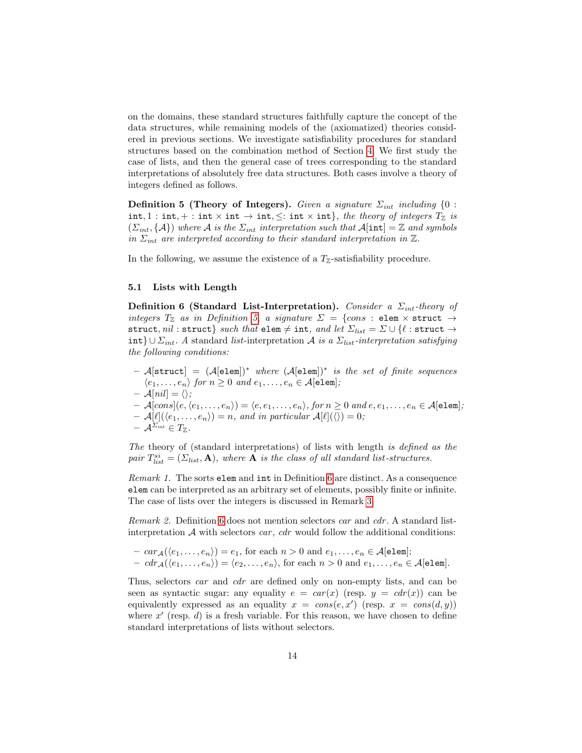on the domains, these standard structures faithfully capture the concept of the data structures, while remaining models of the (axiomatized) theories considered in previous sections. We investigate satisfiability procedures for standard structures based on the combination method of Section [4.](#page-8-0) We first study the case of lists, and then the general case of trees corresponding to the standard interpretations of absolutely free data structures. Both cases involve a theory of integers defined as follows.

<span id="page-14-1"></span>Definition 5 (Theory of Integers). Given a signature  $\Sigma_{int}$  including {0 : int, 1 : int, + : int  $\times$  int  $\rightarrow$  int,  $\le$ : int  $\times$  int}, the theory of integers  $T_{\mathbb{Z}}$  is  $(\Sigma_{int}, \{\mathcal{A}\})$  where A is the  $\Sigma_{int}$  interpretation such that  $\mathcal{A}$ [int] = Z and symbols in  $\Sigma_{int}$  are interpreted according to their standard interpretation in  $\mathbb{Z}$ .

In the following, we assume the existence of a  $T_{\mathbb{Z}}$ -satisfiability procedure.

### <span id="page-14-0"></span>5.1 Lists with Length

<span id="page-14-2"></span>Definition 6 (Standard List-Interpretation). Consider a  $\Sigma_{int}$ -theory of integers  $T_{\mathbb{Z}}$  as in Definition [5,](#page-14-1) a signature  $\Sigma = \{cons : \text{elem} \times \text{struct} \rightarrow \emptyset\}$ struct, nil : struct} such that elem  $\neq$  int, and let  $\Sigma_{list} = \Sigma \cup \{ \ell :$  struct  $\rightarrow$  $\{\text{int}\}\cup\Sigma_{int}$ . A standard list-interpretation A is a  $\Sigma_{list}$ -interpretation satisfying the following conditions:

 $-$  A[struct] =  $(A[elem])^*$  where  $(A[elem])^*$  is the set of finite sequences  $\langle e_1, \ldots, e_n \rangle$  for  $n \geq 0$  and  $e_1, \ldots, e_n \in \mathcal{A}[\text{elem}];$  $\mathcal{A}[nil] = \langle \rangle;$  $\mathcal{A}[cons](e, \langle e_1, \ldots, e_n \rangle) = \langle e, e_1, \ldots, e_n \rangle$ , for  $n \geq 0$  and  $e, e_1, \ldots, e_n \in \mathcal{A}[\text{elem}];$  $\mathcal{A}[\ell](\langle e_1, \ldots, e_n \rangle) = n$ , and in particular  $\mathcal{A}[\ell](\langle \rangle) = 0;$  $-\;\mathcal{A}^{\mathit{\Sigma}_{int}}\in T_{\mathbb{Z}}.$ 

The theory of (standard interpretations) of lists with length is defined as the pair  $T_{list}^{si} = (\Sigma_{list}, \mathbf{A})$ , where **A** is the class of all standard list-structures.

Remark 1. The sorts elem and int in Definition [6](#page-14-2) are distinct. As a consequence elem can be interpreted as an arbitrary set of elements, possibly finite or infinite. The case of lists over the integers is discussed in Remark [3.](#page-16-0)

Remark 2. Definition [6](#page-14-2) does not mention selectors car and cdr . A standard listinterpretation  $A$  with selectors car, cdr would follow the additional conditions:

 $\{-\; car_\mathcal{A}(\langle e_1,\ldots,e_n\rangle)=e_1,\text{ for each }n>0\text{ and }e_1,\ldots,e_n\in\mathcal{A}[\texttt{elem}];$  $- \; cdr_{\mathcal{A}}(\langle e_1,\ldots,e_n \rangle) = \langle e_2,\ldots,e_n \rangle, \, \text{for each}\; n > 0 \; \text{and} \; e_1,\ldots,e_n \in \mathcal{A}[\texttt{elem}].$ 

Thus, selectors *car* and *cdr* are defined only on non-empty lists, and can be seen as syntactic sugar: any equality  $e = car(x)$  (resp.  $y = cdr(x)$ ) can be equivalently expressed as an equality  $x = \text{cons}(e, x')$  (resp.  $x = \text{cons}(d, y)$ ) where  $x'$  (resp.  $d$ ) is a fresh variable. For this reason, we have chosen to define standard interpretations of lists without selectors.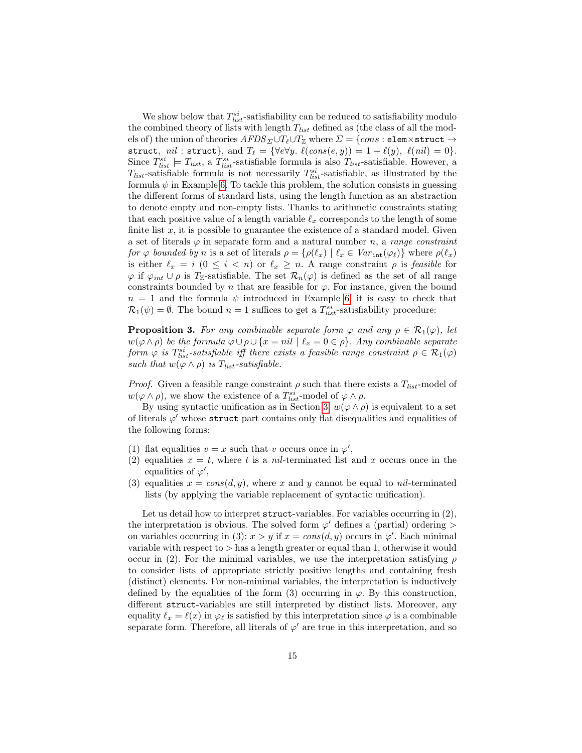We show below that  $T_{list}^{si}$ -satisfiability can be reduced to satisfiability modulo the combined theory of lists with length  $T_{list}$  defined as (the class of all the models of) the union of theories  $AFDS_\Sigma \cup T_\ell \cup T_\mathbb{Z}$  where  $\Sigma = \{cons : \text{element} \rightarrow \bot\}$ struct, nil: struct}, and  $T_\ell = {\forall e \forall y. \ell(cons(e, y)) = 1 + \ell(y), \ell(nil) = 0}.$ Since  $T_{list}^{si} \models T_{list}$ , a  $T_{list}^{si}$ -satisfiable formula is also  $T_{list}$ -satisfiable. However, a  $T_{list}$ -satisfiable formula is not necessarily  $T_{list}^{si}$ -satisfiable, as illustrated by the formula  $\psi$  in Example [6.](#page-12-0) To tackle this problem, the solution consists in guessing the different forms of standard lists, using the length function as an abstraction to denote empty and non-empty lists. Thanks to arithmetic constraints stating that each positive value of a length variable  $\ell_x$  corresponds to the length of some finite list  $x$ , it is possible to guarantee the existence of a standard model. Given a set of literals  $\varphi$  in separate form and a natural number n, a range constraint for  $\varphi$  bounded by n is a set of literals  $\rho = {\rho(\ell_x) | \ell_x \in Var_{\text{int}}(\varphi_\ell)}$  where  $\rho(\ell_x)$ is either  $\ell_x = i \ (0 \leq i < n)$  or  $\ell_x \geq n$ . A range constraint  $\rho$  is feasible for  $\varphi$  if  $\varphi_{int} \cup \rho$  is T<sub>Z</sub>-satisfiable. The set  $\mathcal{R}_n(\varphi)$  is defined as the set of all range constraints bounded by n that are feasible for  $\varphi$ . For instance, given the bound  $n = 1$  and the formula  $\psi$  introduced in Example [6,](#page-12-0) it is easy to check that  $\mathcal{R}_1(\psi) = \emptyset$ . The bound  $n = 1$  suffices to get a  $T_{list}^{si}$ -satisfiability procedure:

<span id="page-15-0"></span>**Proposition 3.** For any combinable separate form  $\varphi$  and any  $\rho \in \mathcal{R}_1(\varphi)$ , let  $w(\varphi \wedge \rho)$  be the formula  $\varphi \cup \rho \cup \{x = nil \mid \ell_x = 0 \in \rho\}$ . Any combinable separate form  $\varphi$  is  $T_{list}^{si}$ -satisfiable iff there exists a feasible range constraint  $\rho \in \mathcal{R}_1(\varphi)$ such that  $w(\varphi \wedge \rho)$  is  $T_{list}$ -satisfiable.

*Proof.* Given a feasible range constraint  $\rho$  such that there exists a  $T_{list}$ -model of  $w(\varphi \wedge \rho)$ , we show the existence of a  $T_{list}^{si}$ -model of  $\varphi \wedge \rho$ .

By using syntactic unification as in Section [3,](#page-6-0)  $w(\varphi \wedge \rho)$  is equivalent to a set of literals  $\varphi'$  whose struct part contains only flat disequalities and equalities of the following forms:

- (1) flat equalities  $v = x$  such that v occurs once in  $\varphi'$ ,
- (2) equalities  $x = t$ , where t is a nil-terminated list and x occurs once in the equalities of  $\varphi'$ ,
- (3) equalities  $x = \cos(d, y)$ , where x and y cannot be equal to nil-terminated lists (by applying the variable replacement of syntactic unification).

Let us detail how to interpret struct-variables. For variables occurring in  $(2)$ , the interpretation is obvious. The solved form  $\varphi'$  defines a (partial) ordering > on variables occurring in (3):  $x > y$  if  $x = const(d, y)$  occurs in  $\varphi'$ . Each minimal variable with respect to  $>$  has a length greater or equal than 1, otherwise it would occur in (2). For the minimal variables, we use the interpretation satisfying  $\rho$ to consider lists of appropriate strictly positive lengths and containing fresh (distinct) elements. For non-minimal variables, the interpretation is inductively defined by the equalities of the form (3) occurring in  $\varphi$ . By this construction, different struct-variables are still interpreted by distinct lists. Moreover, any equality  $\ell_x = \ell(x)$  in  $\varphi_\ell$  is satisfied by this interpretation since  $\varphi$  is a combinable separate form. Therefore, all literals of  $\varphi'$  are true in this interpretation, and so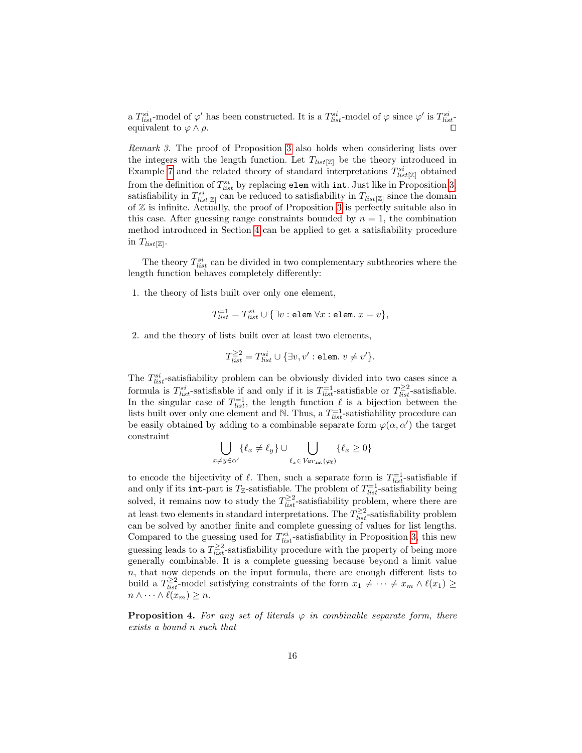a  $T_{list}^{si}$ -model of  $\varphi'$  has been constructed. It is a  $T_{list}^{si}$ -model of  $\varphi$  since  $\varphi'$  is  $T_{list}^{si}$ equivalent to  $\varphi \wedge \rho$ .

<span id="page-16-0"></span>Remark 3. The proof of Proposition [3](#page-15-0) also holds when considering lists over the integers with the length function. Let  $T_{list[\mathbb{Z}]}$  be the theory introduced in Example [7](#page-13-1) and the related theory of standard interpretations  $T_{list[\mathbb{Z}]}^{si}$  obtained from the definition of  $T_{list}^{si}$  by replacing elem with int. Just like in Proposition [3,](#page-15-0) satisfiability in  $T^{si}_{list[\mathbb{Z}]}$  can be reduced to satisfiability in  $T_{list[\mathbb{Z}]}$  since the domain of  $\mathbb Z$  is infinite. Actually, the proof of Proposition [3](#page-15-0) is perfectly suitable also in this case. After guessing range constraints bounded by  $n = 1$ , the combination method introduced in Section [4](#page-8-0) can be applied to get a satisfiability procedure in  $T_{list[\mathbb{Z}]}$ .

The theory  $T_{list}^{si}$  can be divided in two complementary subtheories where the length function behaves completely differently:

1. the theory of lists built over only one element,

$$
T_{list}^{=1}=T_{list}^{si}\cup\{\exists v:\texttt{elem}\; \forall x:\texttt{elem}. \; x=v\},
$$

2. and the theory of lists built over at least two elements,

$$
T_{list}^{\geq 2} = T_{list}^{si} \cup \{\exists v,v':\texttt{elem. } v\neq v'\}.
$$

The  $T_{list}^{si}$ -satisfiability problem can be obviously divided into two cases since a formula is  $T_{list}^{si}$ -satisfiable if and only if it is  $T_{list}^{-1}$ -satisfiable or  $T_{list}^{\geq 2}$ -satisfiable. In the singular case of  $T_{list}^{-1}$ , the length function  $\ell$  is a bijection between the lists built over only one element and  $\mathbb{N}$ . Thus, a  $T_{list}^{-1}$ -satisfiability procedure can be easily obtained by adding to a combinable separate form  $\varphi(\alpha, \alpha')$  the target constraint

$$
\bigcup_{x \neq y \in \alpha'} \{\ell_x \neq \ell_y\} \cup \bigcup_{\ell_x \in \text{Var}_{\text{int}}(\varphi_{\ell})} \{\ell_x \geq 0\}
$$

to encode the bijectivity of  $\ell$ . Then, such a separate form is  $T_{list}^{-1}$ -satisfiable if and only if its  $int$ -part is  $T_{\mathbb{Z}}$ -satisfiable. The problem of  $T_{list}^{-1}$ -satisfiability being solved, it remains now to study the  $T_{list}^{\geq 2}$ -satisfiability problem, where there are at least two elements in standard interpretations. The  $T_{list}^{\geq 2}$ -satisfiability problem can be solved by another finite and complete guessing of values for list lengths. Compared to the guessing used for  $T_{list}^{si}$ -satisfiability in Proposition [3,](#page-15-0) this new guessing leads to a  $T_{list}^{\geq 2}$ -satisfiability procedure with the property of being more generally combinable. It is a complete guessing because beyond a limit value n, that now depends on the input formula, there are enough different lists to build a  $T_{list}^{\geq 2}$ -model satisfying constraints of the form  $x_1 \neq \cdots \neq x_m \wedge \ell(x_1) \geq$  $n \wedge \cdots \wedge \ell(x_m) \geq n.$ 

<span id="page-16-1"></span>**Proposition 4.** For any set of literals  $\varphi$  in combinable separate form, there exists a bound n such that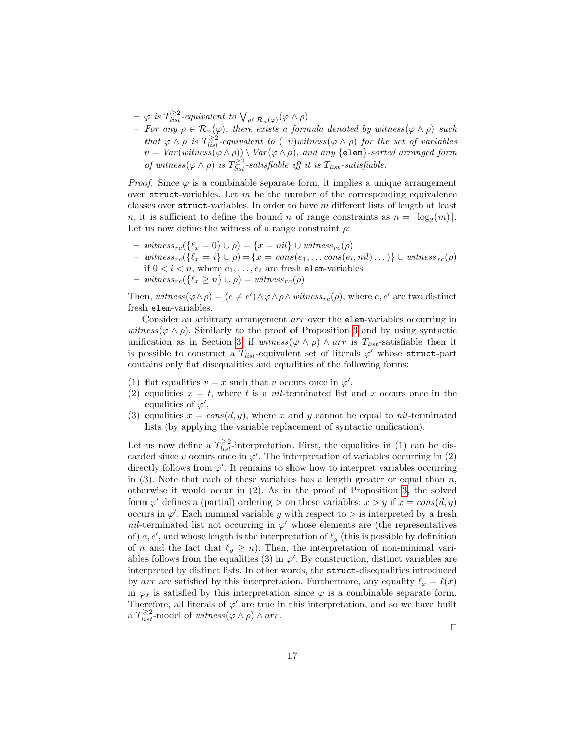- $\varphi$  is  $T_{\text{list}}^{\geq 2}$ -equivalent to  $\bigvee_{\rho \in \mathcal{R}_n(\varphi)} (\varphi \wedge \rho)$
- For any  $\rho \in \mathcal{R}_n(\varphi)$ , there exists a formula denoted by witness $(\varphi \wedge \rho)$  such that  $\varphi \wedge \rho$  is  $T^{\geq 2}_{list}$ -equivalent to  $(\exists \overline{v})$  witness $(\varphi \wedge \rho)$  for the set of variables  $\bar{v} = \textit{Var}(\textit{witness}(\varphi \land \rho)) \setminus \textit{Var}(\varphi \land \rho), \textit{ and any } \{\texttt{elem}\}\textit{-sorted arranged form}$ of witness  $(\varphi \wedge \rho)$  is  $T_{list}^{\geq 2}$ -satisfiable iff it is  $T_{list}$ -satisfiable.

*Proof.* Since  $\varphi$  is a combinable separate form, it implies a unique arrangement over struct-variables. Let  $m$  be the number of the corresponding equivalence classes over struct-variables. In order to have m different lists of length at least *n*, it is sufficient to define the bound *n* of range constraints as  $n = \lfloor \log_2(m) \rfloor$ . Let us now define the witness of a range constraint  $\rho$ :

- $-$  witness<sub>rc</sub>({ $\ell_x = 0$ }  $\cup \rho$ ) = { $x = nil$ }  $\cup$  witness<sub>rc</sub>( $\rho$ )
- $-$  witness<sub>rc</sub>( $\{\ell_x = i\} \cup \rho$ ) = { $x = cons(e_1, \ldots cons(e_i, nil) \ldots)$ }  $\cup$  witness<sub>rc</sub>( $\rho$ ) if  $0 < i < n$ , where  $e_1, \ldots, e_i$  are fresh elem-variables
- $-$  witness<sub>rc</sub>({ $\ell_x$  ≥ n} ∪ ρ) = witness<sub>rc</sub>(ρ)

Then, witness $(\varphi \wedge \rho) = (e \neq e') \wedge \varphi \wedge \rho \wedge \text{witness}_{rc}(\rho)$ , where  $e, e'$  are two distinct fresh elem-variables.

Consider an arbitrary arrangement arr over the elem-variables occurring in witness( $\varphi \wedge \rho$ ). Similarly to the proof of Proposition [3](#page-15-0) and by using syntactic unification as in Section [3,](#page-6-0) if witness( $\varphi \wedge \rho$ )  $\wedge$  arr is T<sub>list</sub>-satisfiable then it is possible to construct a  $T_{list}$ -equivalent set of literals  $\varphi'$  whose struct-part contains only flat disequalities and equalities of the following forms:

- (1) flat equalities  $v = x$  such that v occurs once in  $\varphi'$ ,
- (2) equalities  $x = t$ , where t is a nil-terminated list and x occurs once in the equalities of  $\varphi'$ ,
- (3) equalities  $x = \cos(d, y)$ , where x and y cannot be equal to nil-terminated lists (by applying the variable replacement of syntactic unification).

<span id="page-17-0"></span>Let us now define a  $T_{list}^{\geq 2}$ -interpretation. First, the equalities in (1) can be discarded since v occurs once in  $\varphi'$ . The interpretation of variables occurring in (2) directly follows from  $\varphi'$ . It remains to show how to interpret variables occurring in (3). Note that each of these variables has a length greater or equal than  $n$ , otherwise it would occur in (2). As in the proof of Proposition [3,](#page-15-0) the solved form  $\varphi'$  defines a (partial) ordering > on these variables:  $x > y$  if  $x = const(d, y)$ occurs in  $\varphi'$ . Each minimal variable y with respect to  $\varphi$  is interpreted by a fresh nil-terminated list not occurring in  $\varphi'$  whose elements are (the representatives of)  $e, e',$  and whose length is the interpretation of  $\ell_y$  (this is possible by definition of n and the fact that  $\ell_y \geq n$ ). Then, the interpretation of non-minimal variables follows from the equalities (3) in  $\varphi'$ . By construction, distinct variables are interpreted by distinct lists. In other words, the struct-disequalities introduced by arr are satisfied by this interpretation. Furthermore, any equality  $\ell_x = \ell(x)$ in  $\varphi_{\ell}$  is satisfied by this interpretation since  $\varphi$  is a combinable separate form. Therefore, all literals of  $\varphi'$  are true in this interpretation, and so we have built a  $T_{list}^{\geq 2}$ -model of witness( $\varphi \wedge \rho$ )  $\wedge$  arr.

 $\Box$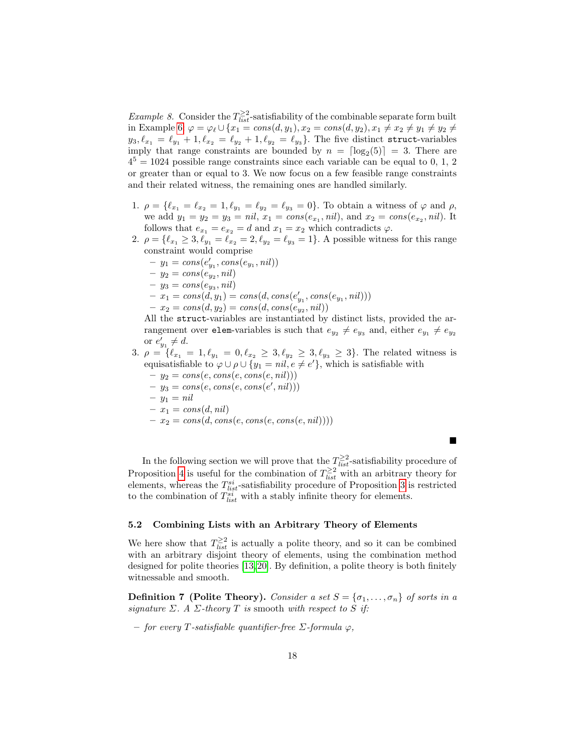*Example 8.* Consider the  $T_{list}^{\geq 2}$ -satisfiability of the combinable separate form built in Example [6:](#page-12-0)  $\varphi = \varphi_{\ell} \cup \{x_1 = const(d, y_1), x_2 = const(d, y_2), x_1 \neq x_2 \neq y_1 \neq y_2 \neq z_1\}$  $y_3, \ell_{x_1} = \ell_{y_1} + 1, \ell_{x_2} = \ell_{y_2} + 1, \ell_{y_2} = \ell_{y_3}$ . The five distinct struct-variables imply that range constraints are bounded by  $n = \lfloor \log_2(5) \rfloor = 3$ . There are  $4<sup>5</sup> = 1024$  possible range constraints since each variable can be equal to 0, 1, 2 or greater than or equal to 3. We now focus on a few feasible range constraints and their related witness, the remaining ones are handled similarly.

- 1.  $\rho = \{\ell_{x_1} = \ell_{x_2} = 1, \ell_{y_1} = \ell_{y_2} = \ell_{y_3} = 0\}$ . To obtain a witness of  $\varphi$  and  $\rho$ , we add  $y_1 = y_2 = y_3 = nil$ ,  $x_1 = cons(e_{x_1}, nil)$ , and  $x_2 = cons(e_{x_2}, nil)$ . It follows that  $e_{x_1} = e_{x_2} = d$  and  $x_1 = x_2$  which contradicts  $\varphi$ .
- 2.  $\rho = \{\ell_{x_1} \geq 3, \ell_{y_1} = \ell_{x_2} = 2, \ell_{y_2} = \ell_{y_3} = 1\}.$  A possible witness for this range constraint would comprise
	- $y_1 = cons(e'_{y_1}, cons(e_{y_1}, nil))$
	- $y_2 = cons(e_{y_2}, nil)$
	- $y_3 = cons(e_{y_3}, nil)$
	- $x_1 = cons(d, y_1) = cons(d, cons(e'_{y_1}, cons(e_{y_1}, nil)))$
	- $x_2 = cons(d, y_2) = cons(d, cons(e_{y_2}, nil))$

All the struct-variables are instantiated by distinct lists, provided the arrangement over **elem-**variables is such that  $e_{y_2} \neq e_{y_3}$  and, either  $e_{y_1} \neq e_{y_2}$ or  $e'_{y_1} \neq d$ .

- 3.  $\rho = {\ell_{x_1} = 1, \ell_{y_1} = 0, \ell_{x_2} \ge 3, \ell_{y_2} \ge 3, \ell_{y_3} \ge 3}.$  The related witness is equisatisfiable to  $\varphi \cup \rho \cup \{y_1 = nil, e \neq e'\}$ , which is satisfiable with
	- $y_2 = cons(e, cons(e, cons(e, nil)))$  $- y_3 = \text{cons}(e, \text{cons}(e, \text{cons}(e', \text{nil})))$
	- $y_1 = nil$
	- $x_1 = const(d, nil)$
	- $x_2 = cons(d, cons(e, cons(e, cons(e, nil))))$

In the following section we will prove that the  $T_{list}^{\geq 2}$ -satisfiability procedure of Proposition [4](#page-16-1) is useful for the combination of  $T_{list}^{\geq 2}$  with an arbitrary theory for elements, whereas the  $T_{list}^{si}$ -satisfiability procedure of Proposition [3](#page-15-0) is restricted to the combination of  $T_{list}^{si}$  with a stably infinite theory for elements.

 $\blacksquare$ 

#### <span id="page-18-0"></span>5.2 Combining Lists with an Arbitrary Theory of Elements

We here show that  $T_{list}^{\geq 2}$  is actually a polite theory, and so it can be combined with an arbitrary disjoint theory of elements, using the combination method designed for polite theories [\[13,](#page-43-9)[20\]](#page-44-10). By definition, a polite theory is both finitely witnessable and smooth.

<span id="page-18-1"></span>**Definition 7 (Polite Theory).** Consider a set  $S = {\sigma_1, \ldots, \sigma_n}$  of sorts in a signature  $\Sigma$ . A  $\Sigma$ -theory T is smooth with respect to S if:

 $-$  for every T-satisfiable quantifier-free  $\Sigma$ -formula  $\varphi$ ,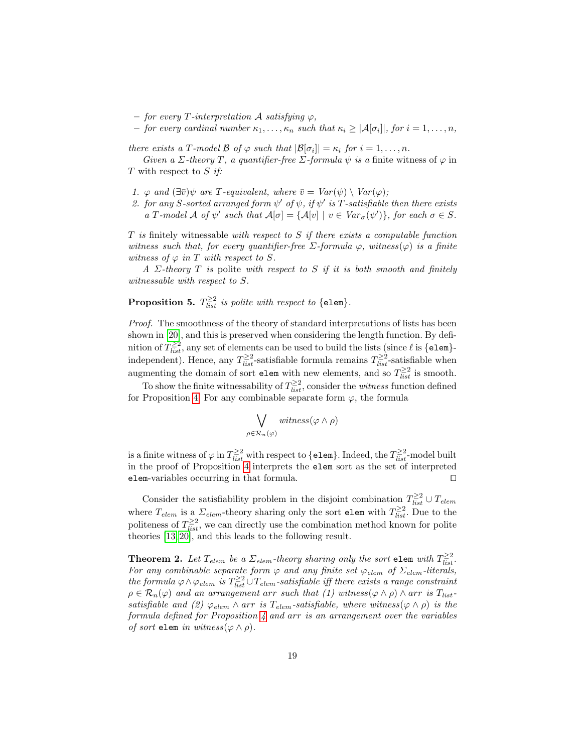- $-$  for every T-interpretation A satisfying  $\varphi$ ,
- $-$  for every cardinal number  $\kappa_1, \ldots, \kappa_n$  such that  $\kappa_i \geq |\mathcal{A}[\sigma_i]|$ , for  $i = 1, \ldots, n$ ,

there exists a T-model B of  $\varphi$  such that  $|\mathcal{B}[\sigma_i]| = \kappa_i$  for  $i = 1, \ldots, n$ .

Given a Σ-theory T, a quantifier-free  $\Sigma$ -formula  $\psi$  is a finite witness of  $\varphi$  in  $T$  with respect to  $S$  if:

- 1.  $\varphi$  and  $(\exists \bar{v})\psi$  are T-equivalent, where  $\bar{v} = Var(\psi) \setminus Var(\varphi)$ ;
- 2. for any S-sorted arranged form  $\psi'$  of  $\psi$ , if  $\psi'$  is T-satisfiable then there exists a T-model A of  $\psi'$  such that  $\mathcal{A}[\sigma] = \{ \mathcal{A}[v] \mid v \in Var_{\sigma}(\psi') \}$ , for each  $\sigma \in S$ .

 $T$  is finitely witnessable with respect to  $S$  if there exists a computable function witness such that, for every quantifier-free  $\Sigma$ -formula  $\varphi$ , witness $(\varphi)$  is a finite witness of  $\varphi$  in T with respect to S.

A  $\Sigma$ -theory  $T$  is polite with respect to  $S$  if it is both smooth and finitely witnessable with respect to S.

<span id="page-19-0"></span>**Proposition 5.**  $T_{list}^{\geq 2}$  is polite with respect to {elem}.

Proof. The smoothness of the theory of standard interpretations of lists has been shown in [\[20\]](#page-44-10), and this is preserved when considering the length function. By definition of  $T^{\geq 2}_{list}$ , any set of elements can be used to build the lists (since  $\ell$  is {elem}independent). Hence, any  $T_{list}^{\geq 2}$ -satisfiable formula remains  $T_{list}^{\geq 2}$ -satisfiable when augmenting the domain of sort element with new elements, and so  $T_{list}^{\geq 2}$  is smooth.

To show the finite witnessability of  $T^{\geq 2}_{list}$ , consider the *witness* function defined for Proposition [4.](#page-16-1) For any combinable separate form  $\varphi$ , the formula

$$
\bigvee_{\rho \in \mathcal{R}_n(\varphi)} \textit{witness}(\varphi \land \rho)
$$

is a finite witness of  $\varphi$  in  $T^{\geq 2}_{list}$  with respect to {elem}. Indeed, the  $T^{\geq 2}_{list}$ -model built in the proof of Proposition [4](#page-16-1) interprets the elem sort as the set of interpreted elem-variables occurring in that formula.  $\Box$ 

Consider the satisfiability problem in the disjoint combination  $T_{list}^{\geq 2} \cup T_{elem}$ where  $T_{elem}$  is a  $\Sigma_{elem}$ -theory sharing only the sort elem with  $T_{list}^{\geq 2}$ . Due to the politeness of  $T_{list}^{\geq 2}$ , we can directly use the combination method known for polite theories [\[13,](#page-43-9) [20\]](#page-44-10), and this leads to the following result.

<span id="page-19-1"></span>**Theorem 2.** Let  $T_{elem}$  be a  $\Sigma_{elem}$ -theory sharing only the sort elem with  $T_{list}^{\geq 2}$ . For any combinable separate form  $\varphi$  and any finite set  $\varphi_{elem}$  of  $\Sigma_{elem}$ -literals, the formula  $\varphi \wedge \varphi_{elem}$  is  $T_{list}^{\geq 2} \cup T_{elem}$ -satisfiable iff there exists a range constraint  $\rho \in \mathcal{R}_n(\varphi)$  and an arrangement arr such that (1) witness $(\varphi \wedge \rho) \wedge arr$  is  $T_{list}$ satisfiable and (2)  $\varphi_{elem} \wedge arr$  is  $T_{elem}$ -satisfiable, where witness( $\varphi \wedge \rho$ ) is the formula defined for Proposition [4](#page-16-1) and arr is an arrangement over the variables of sort elem in witness( $\varphi \wedge \rho$ ).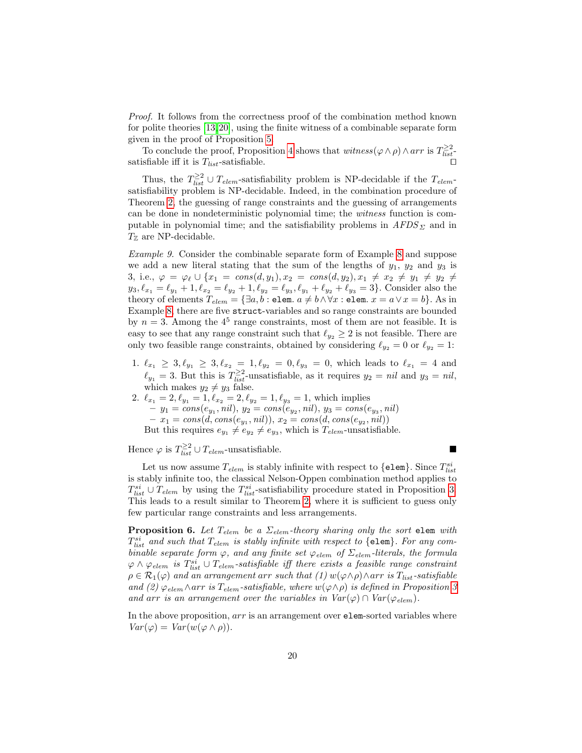Proof. It follows from the correctness proof of the combination method known for polite theories [\[13,](#page-43-9)[20\]](#page-44-10), using the finite witness of a combinable separate form given in the proof of Proposition [5.](#page-19-0)

To conclude the proof, Proposition [4](#page-16-1) shows that  $witness(\varphi \wedge \rho) \wedge arr$  is  $T_{list}^{\geq 2}$ satisfiable iff it is  $T_{list}$ -satisfiable.

Thus, the  $T_{list}^{\geq 2} \cup T_{elem}$ -satisfiability problem is NP-decidable if the  $T_{elem}$ satisfiability problem is NP-decidable. Indeed, in the combination procedure of Theorem [2,](#page-19-1) the guessing of range constraints and the guessing of arrangements can be done in nondeterministic polynomial time; the witness function is computable in polynomial time; and the satisfiability problems in  $AFDS_\Sigma$  and in  $T_{\mathbb{Z}}$  are NP-decidable.

Example 9. Consider the combinable separate form of Example [8](#page-17-0) and suppose we add a new literal stating that the sum of the lengths of  $y_1$ ,  $y_2$  and  $y_3$  is 3, i.e.,  $\varphi = \varphi_{\ell} \cup \{x_1 = const(d, y_1), x_2 = const(d, y_2), x_1 \neq x_2 \neq y_1 \neq y_2 \neq z_1\}$  $y_3, \ell_{x_1} = \ell_{y_1} + 1, \ell_{x_2} = \ell_{y_2} + 1, \ell_{y_2} = \ell_{y_3}, \ell_{y_1} + \ell_{y_2} + \ell_{y_3} = 3$ . Consider also the theory of elements  $T_{elem} = \{\exists a, b : \texttt{elem}.~ a \neq b \land \forall x : \texttt{elem}.~ x = a \lor x = b\}.$  As in Example [8,](#page-17-0) there are five struct-variables and so range constraints are bounded by  $n = 3$ . Among the  $4^5$  range constraints, most of them are not feasible. It is easy to see that any range constraint such that  $\ell_{y_2} \geq 2$  is not feasible. There are only two feasible range constraints, obtained by considering  $\ell_{y_2} = 0$  or  $\ell_{y_2} = 1$ :

- 1.  $\ell_{x_1} \geq 3, \ell_{y_1} \geq 3, \ell_{x_2} = 1, \ell_{y_2} = 0, \ell_{y_3} = 0$ , which leads to  $\ell_{x_1} = 4$  and  $\ell_{y_1} = 3$ . But this is  $T_{list}^{\geq 2}$ -unsatisfiable, as it requires  $y_2 = nil$  and  $y_3 = nil$ , which makes  $y_2 \neq y_3$  false.
- 2.  $\ell_{x_1} = 2, \ell_{y_1} = 1, \ell_{x_2} = 2, \ell_{y_2} = 1, \ell_{y_3} = 1$ , which implies  $-y_1 = cons(e_{y_1}, nil), y_2 = cons(e_{y_2}, nil), y_3 = cons(e_{y_3}, nil)$  $- x_1 = cons(d, cons(e_{y_1}, nil)), x_2 = cons(d, cons(e_{y_2}, nil))$ But this requires  $e_{y_1} \neq e_{y_2} \neq e_{y_3}$ , which is  $T_{elem}$ -unsatisfiable.

Hence  $\varphi$  is  $T_{list}^{\geq 2} \cup T_{elem}$ -unsatisfiable.

Let us now assume  $T_{elem}$  is stably infinite with respect to {elem}. Since  $T_{list}^{si}$ is stably infinite too, the classical Nelson-Oppen combination method applies to  $T_{list}^{si} \cup T_{elem}$  by using the  $T_{list}^{si}$ -satisfiability procedure stated in Proposition [3.](#page-15-0) This leads to a result similar to Theorem [2,](#page-19-1) where it is sufficient to guess only few particular range constraints and less arrangements.

<span id="page-20-0"></span>**Proposition 6.** Let  $T_{elem}$  be a  $\Sigma_{elem}$ -theory sharing only the sort elem with  $T_{list}^{si}$  and such that  $T_{elem}$  is stably infinite with respect to {elem}. For any combinable separate form  $\varphi$ , and any finite set  $\varphi_{elem}$  of  $\Sigma_{elem}$ -literals, the formula  $\varphi \wedge \varphi_{elem}$  is  $T_{list}^{si} \cup T_{elem}$ -satisfiable iff there exists a feasible range constraint  $\rho \in \mathcal{R}_1(\varphi)$  and an arrangement arr such that  $(1) w(\varphi \wedge \rho) \wedge arr$  is  $T_{list}$ -satisfiable and (2)  $\varphi_{elem} \wedge arr$  is  $T_{elem}$ -satisfiable, where  $w(\varphi \wedge \rho)$  is defined in Proposition [3](#page-15-0) and arr is an arrangement over the variables in  $Var(\varphi) \cap Var(\varphi_{elem}).$ 

In the above proposition,  $arr$  is an arrangement over elem-sorted variables where  $Var(\varphi) = Var(w(\varphi \wedge \rho)).$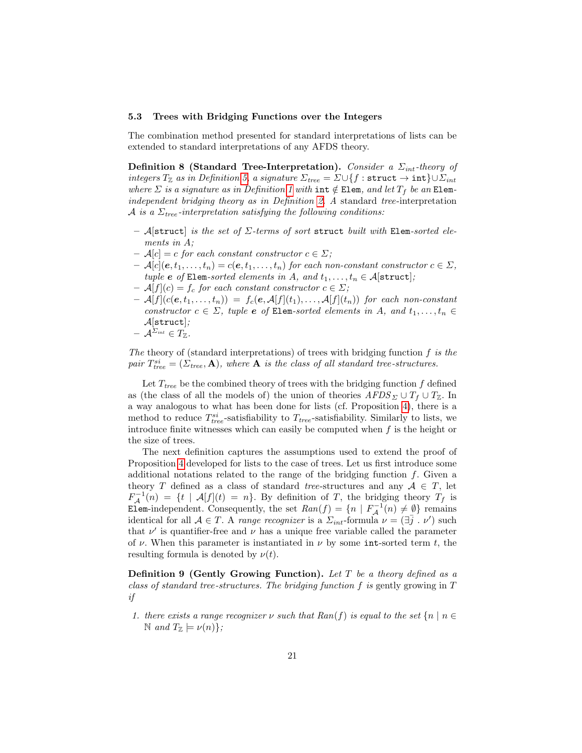#### <span id="page-21-0"></span>5.3 Trees with Bridging Functions over the Integers

The combination method presented for standard interpretations of lists can be extended to standard interpretations of any AFDS theory.

Definition 8 (Standard Tree-Interpretation). Consider a  $\Sigma_{int}$ -theory of integers  $T_{\mathbb{Z}}$  as in Definition [5,](#page-14-1) a signature  $\Sigma_{tree} = \Sigma \cup \{f : \text{struct} \to \text{int}\} \cup \Sigma_{int}$ where  $\Sigma$  is a signature as in Definition [1](#page-6-1) with int  $\notin$  Elem, and let  $T_f$  be an Elemindependent bridging theory as in Definition [2.](#page-8-2) A standard tree-interpretation A is a  $\Sigma_{tree}$ -interpretation satisfying the following conditions:

- $-$  A[struct] is the set of  $\Sigma$ -terms of sort struct built with Elem-sorted elements in A;
- $-$  A[c] = c for each constant constructor  $c \in \Sigma$ ;
- $-\mathcal{A}[c](e, t_1, \ldots, t_n) = c(e, t_1, \ldots, t_n)$  for each non-constant constructor  $c \in \Sigma$ , tuple e of Elem-sorted elements in A, and  $t_1, \ldots, t_n \in A[\text{struct}];$
- $-$  A[f](c) = f<sub>c</sub> for each constant constructor  $c \in \Sigma$ ;
- $-\mathcal{A}[f](c(e,t_1,\ldots,t_n)) = f_c(e,\mathcal{A}[f](t_1),\ldots,\mathcal{A}[f](t_n))$  for each non-constant constructor  $c \in \Sigma$ , tuple e of Elem-sorted elements in A, and  $t_1, \ldots, t_n \in$  $\mathcal{A}[\text{struct}];$

$$
- \mathcal{A}^{\varSigma_{int}} \in T_{\mathbb{Z}}.
$$

The theory of (standard interpretations) of trees with bridging function  $f$  is the pair  $T_{tree}^{si} = (\Sigma_{tree}, \mathbf{A})$ , where  $\mathbf{A}$  is the class of all standard tree-structures.

Let  $T_{tree}$  be the combined theory of trees with the bridging function f defined as (the class of all the models of) the union of theories  $AFDS_\Sigma \cup T_f \cup T_\mathbb{Z}$ . In a way analogous to what has been done for lists (cf. Proposition [4\)](#page-16-1), there is a method to reduce  $T_{tree}^{si}$ -satisfiability to  $T_{tree}$ -satisfiability. Similarly to lists, we introduce finite witnesses which can easily be computed when  $f$  is the height or the size of trees.

The next definition captures the assumptions used to extend the proof of Proposition [4](#page-16-1) developed for lists to the case of trees. Let us first introduce some additional notations related to the range of the bridging function  $f$ . Given a theory T defined as a class of standard tree-structures and any  $A \in T$ , let  $F^{-1}_{\mathcal{A}}(n) = \{t \mid \mathcal{A}[f](t) = n\}.$  By definition of T, the bridging theory  $T_f$  is Elem-independent. Consequently, the set  $Ran(f) = \{ n \mid F_{\mathcal{A}}^{-1}(n) \neq \emptyset \}$  remains identical for all  $A \in T$ . A range recognizer is a  $\Sigma_{int}$ -formula  $\nu = (\exists \bar{j} \cdot \nu')$  such that  $\nu'$  is quantifier-free and  $\nu$  has a unique free variable called the parameter of  $\nu$ . When this parameter is instantiated in  $\nu$  by some int-sorted term t, the resulting formula is denoted by  $\nu(t)$ .

<span id="page-21-1"></span>**Definition 9 (Gently Growing Function).** Let  $T$  be a theory defined as a class of standard tree-structures. The bridging function  $f$  is gently growing in  $T$ if

1. there exists a range recognizer  $\nu$  such that  $Ran(f)$  is equal to the set  $\{n \mid n \in$  $\mathbb{N}$  and  $T_{\mathbb{Z}} \models \nu(n)$ ;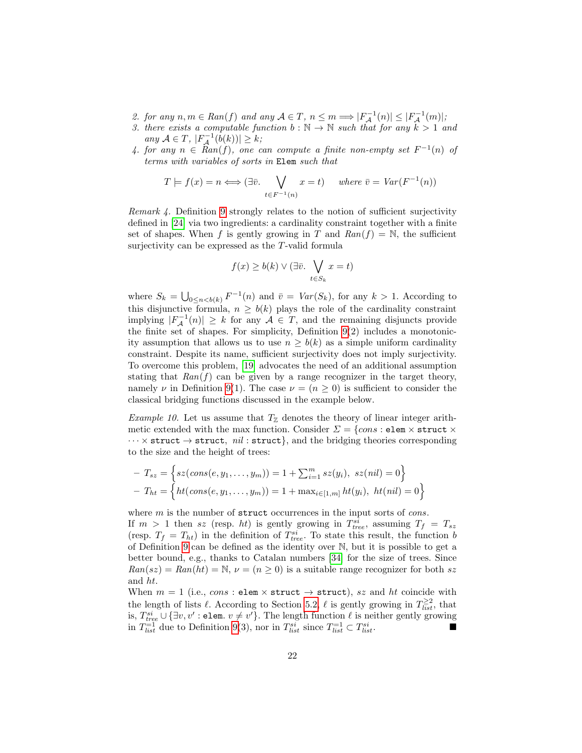- 2. for any  $n, m \in Ran(f)$  and any  $A \in T$ ,  $n \leq m \Longrightarrow |F_A^{-1}(n)| \leq |F_A^{-1}(m)|$ ;
- 3. there exists a computable function  $b : \mathbb{N} \to \mathbb{N}$  such that for any  $\hat{k} > 1$  and any  $A \in T$ ,  $|F_{\mathcal{A}}^{-1}(b(k))| \geq k$ ;
- 4. for any  $n \in \text{Ran}(f)$ , one can compute a finite non-empty set  $F^{-1}(n)$  of terms with variables of sorts in Elem such that

$$
T \models f(x) = n \Longleftrightarrow (\exists \bar{v}.\bigvee_{t \in F^{-1}(n)} x = t) \quad \text{where } \bar{v} = Var(F^{-1}(n))
$$

Remark 4. Definition [9](#page-21-1) strongly relates to the notion of sufficient surjectivity defined in [\[24\]](#page-44-5) via two ingredients: a cardinality constraint together with a finite set of shapes. When f is gently growing in T and  $Ran(f) = N$ , the sufficient surjectivity can be expressed as the T-valid formula

$$
f(x) \ge b(k) \vee (\exists \overline{v}.\bigvee_{t \in S_k} x = t)
$$

where  $S_k = \bigcup_{0 \leq n < b(k)} F^{-1}(n)$  and  $\bar{v} = Var(S_k)$ , for any  $k > 1$ . According to this disjunctive formula,  $n \geq b(k)$  plays the role of the cardinality constraint implying  $|F_{\mathcal{A}}^{-1}(n)| \geq k$  for any  $\mathcal{A} \in T$ , and the remaining disjuncts provide the finite set of shapes. For simplicity, Definition  $9(2)$  includes a monotonicity assumption that allows us to use  $n \geq b(k)$  as a simple uniform cardinality constraint. Despite its name, sufficient surjectivity does not imply surjectivity. To overcome this problem, [\[19\]](#page-44-11) advocates the need of an additional assumption stating that  $Ran(f)$  can be given by a range recognizer in the target theory, namely  $\nu$  in Definition [9\(](#page-21-1)1). The case  $\nu = (n > 0)$  is sufficient to consider the classical bridging functions discussed in the example below.

<span id="page-22-0"></span>Example 10. Let us assume that  $T_{\mathbb{Z}}$  denotes the theory of linear integer arithmetic extended with the max function. Consider  $\Sigma = \{cons : \text{elem} \times \text{struct} \times \}$  $\cdots \times$  struct  $\rightarrow$  struct, nil: struct, and the bridging theories corresponding to the size and the height of trees:

$$
-T_{sz} = \left\{ sz(cons(e, y_1, ..., y_m)) = 1 + \sum_{i=1}^m sz(y_i), \ sz(nil) = 0 \right\}
$$
  

$$
-T_{ht} = \left\{ ht(cons(e, y_1, ..., y_m)) = 1 + \max_{i \in [1,m]} ht(y_i), \ ht(nil) = 0 \right\}
$$

where  $m$  is the number of struct occurrences in the input sorts of  $cons$ .

If  $m > 1$  then sz (resp. ht) is gently growing in  $T_{tree}^{si}$ , assuming  $T_f = T_{sz}$ (resp.  $T_f = T_{ht}$ ) in the definition of  $T_{tree}^{si}$ . To state this result, the function b of Definition [9](#page-21-1) can be defined as the identity over N, but it is possible to get a better bound, e.g., thanks to Catalan numbers [\[34\]](#page-44-6) for the size of trees. Since  $Ran(sz) = Ran(ht) = N, \nu = (n \ge 0)$  is a suitable range recognizer for both sz and ht.

When  $m = 1$  (i.e.,  $cons :$  elem  $\times$  struct  $\rightarrow$  struct), sz and ht coincide with the length of lists  $\ell$ . According to Section [5.2,](#page-18-0)  $\ell$  is gently growing in  $T_{list}^{\geq 2}$ , that is,  $T_{tree}^{si} \cup \{\exists v, v': \texttt{elem}.~v \neq v'\}$ . The length function  $\ell$  is neither gently growing in  $T_{list}^{=1}$  due to Definition [9\(](#page-21-1)3), nor in  $T_{list}^{si}$  since  $T_{list}^{=1} \subset T_{list}^{si}$ .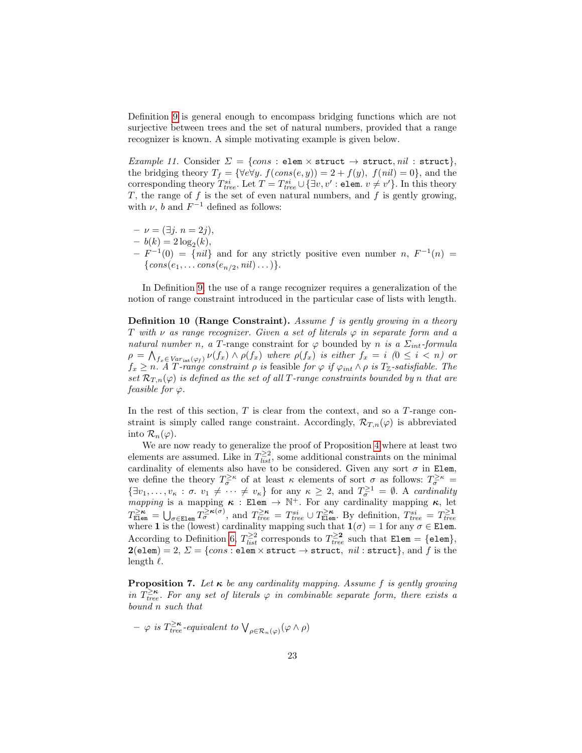Definition [9](#page-21-1) is general enough to encompass bridging functions which are not surjective between trees and the set of natural numbers, provided that a range recognizer is known. A simple motivating example is given below.

Example 11. Consider  $\Sigma = \{cons : \text{elem} \times \text{struct} \rightarrow \text{struct}, \text{nil} : \text{struct}\},\$ the bridging theory  $T_f = \{ \forall e \forall y. f(cons(e, y)) = 2 + f(y), f(nil) = 0 \}$ , and the corresponding theory  $T_{tree}^{si}$ . Let  $T = T_{tree}^{si} \cup {\exists v, v' : \text{elem. } v \neq v'}$ . In this theory T, the range of  $f$  is the set of even natural numbers, and  $f$  is gently growing, with  $\nu$ , b and  $F^{-1}$  defined as follows:

 $-\nu = (\exists j.\; n = 2j),$  $- b(k) = 2 \log_2(k),$  $-F^{-1}(0) = \{nil\}$  and for any strictly positive even number n,  $F^{-1}(n) =$  $\{cons(e_1, \ldots cons(e_{n/2}, nil) \ldots)\}.$ 

In Definition [9,](#page-21-1) the use of a range recognizer requires a generalization of the notion of range constraint introduced in the particular case of lists with length.

Definition 10 (Range Constraint). Assume f is gently growing in a theory T with v as range recognizer. Given a set of literals  $\varphi$  in separate form and a natural number n, a T-range constraint for  $\varphi$  bounded by n is a  $\Sigma_{int}$ -formula  $\rho = \bigwedge_{f_x \in \text{Var}_{\text{int}}(\varphi_f)} \nu(f_x) \wedge \rho(f_x)$  where  $\rho(f_x)$  is either  $f_x = i \tag{0 \leq i \leq n}$  or  $f_x \ge n$ . A T-range constraint  $\rho$  is feasible for  $\varphi$  if  $\varphi_{int} \wedge \rho$  is T<sub>Z</sub>-satisfiable. The set  $\mathcal{R}_{T,n}(\varphi)$  is defined as the set of all T-range constraints bounded by n that are feasible for  $\varphi$ .

In the rest of this section,  $T$  is clear from the context, and so a  $T$ -range constraint is simply called range constraint. Accordingly,  $\mathcal{R}_{T,n}(\varphi)$  is abbreviated into  $\mathcal{R}_n(\varphi)$ .

We are now ready to generalize the proof of Proposition [4](#page-16-1) where at least two elements are assumed. Like in  $T_{list}^{\geq 2}$ , some additional constraints on the minimal cardinality of elements also have to be considered. Given any sort  $\sigma$  in Elem, we define the theory  $T_{\sigma}^{\geq \kappa}$  of at least  $\kappa$  elements of sort  $\sigma$  as follows:  $T_{\sigma}^{\geq \kappa}$  =  $\{\exists v_1,\ldots,v_\kappa:\sigma. v_1 \neq \cdots \neq v_\kappa\}$  for any  $\kappa \geq 2$ , and  $T_{\sigma}^{\geq 1} = \emptyset$ . A cardinality *mapping* is a mapping  $\kappa$  : Elem  $\rightarrow$  N<sup>+</sup>. For any cardinality mapping  $\kappa$ , let  $T_{\text{Elem}}^{\geq \kappa} = \bigcup_{\sigma \in \text{Elem}} T_{\sigma}^{\geq \kappa(\sigma)}$ , and  $T_{tree}^{\geq \kappa} = T_{tree}^{si} \cup T_{\text{Elem}}^{\geq \kappa}$ . By definition,  $T_{tree}^{si} = T_{tree}^{\geq 1}$ <br>where **1** is the (lowest) cardinality mapping such that  $\mathbf{1}(\sigma) = 1$  for any  $\sigma \in \text{E$ According to Definition [6,](#page-14-2)  $T_{list}^{\geq 2}$  corresponds to  $T_{tree}^{\geq 2}$  such that Elem = {elem},  $2(\text{elem}) = 2, \Sigma = \{cons : \text{elem} \times \text{struct} \rightarrow \text{struct}, \ nil : \text{struct}\}, \text{and } f \text{ is the}$ length  $\ell$ .

<span id="page-23-0"></span>**Proposition 7.** Let  $\kappa$  be any cardinality mapping. Assume f is gently growing in  $T^{\geq \kappa}_{tree}$ . For any set of literals  $\varphi$  in combinable separate form, there exists a bound n such that

- 
$$
\varphi
$$
 is  $T_{tree}^{\geq \kappa}$ -equivalent to  $\bigvee_{\rho \in \mathcal{R}_n(\varphi)} (\varphi \wedge \rho)$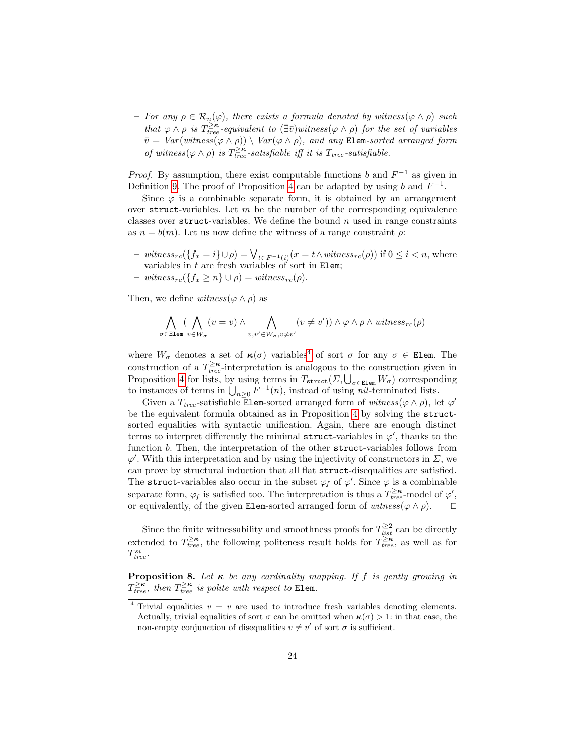– For any  $\rho \in \mathcal{R}_n(\varphi)$ , there exists a formula denoted by witness $(\varphi \wedge \rho)$  such that  $\varphi \wedge \rho$  is  $T^{\geq \kappa}_{tree}$ -equivalent to  $(\exists \bar{v})$  witness $(\varphi \wedge \rho)$  for the set of variables  $\bar{v} = \textit{Var}(\textit{witness}(\varphi \land \rho)) \setminus \textit{Var}(\varphi \land \rho), \textit{ and any \; Elemented\; arranged \; form}$ of witness  $(\varphi \wedge \rho)$  is  $T^{\geq \kappa}_{tree}$ -satisfiable iff it is  $T_{tree}$ -satisfiable.

*Proof.* By assumption, there exist computable functions b and  $F^{-1}$  as given in Definition [9.](#page-21-1) The proof of Proposition [4](#page-16-1) can be adapted by using b and  $F^{-1}$ .

Since  $\varphi$  is a combinable separate form, it is obtained by an arrangement over struct-variables. Let  $m$  be the number of the corresponding equivalence classes over struct-variables. We define the bound  $n$  used in range constraints as  $n = b(m)$ . Let us now define the witness of a range constraint  $\rho$ :

- $-$  witness<sub>rc</sub>({ $f_x = i$ } $\cup \rho$ ) =  $\bigvee_{t \in F^{-1}(i)} (x = t \wedge witness_{rc}(\rho))$  if  $0 \le i < n$ , where variables in  $t$  are fresh variables of sort in Elem;
- $-$  witness<sub>rc</sub>({ $f_x \ge n$ }  $\cup \rho$ } = witness<sub>rc</sub>( $\rho$ ).

Then, we define  $witness(\varphi \wedge \rho)$  as

$$
\bigwedge_{\sigma \in \text{Elem}} (\bigwedge_{v \in W_{\sigma}} (v = v) \land \bigwedge_{v, v' \in W_{\sigma}, v \neq v'} (v \neq v')) \land \varphi \land \rho \land \text{witness}_{rc}(\rho)
$$

where  $W_{\sigma}$  denotes a set of  $\kappa(\sigma)$  variables<sup>[4](#page-24-0)</sup> of sort  $\sigma$  for any  $\sigma \in \mathbb{E}$ lem. The construction of a  $T^{\geq \kappa}_{tree}$ -interpretation is analogous to the construction given in Proposition [4](#page-16-1) for lists, by using terms in  $T_{\text{struct}}(\Sigma, \bigcup_{\sigma \in \text{Elem}} W_{\sigma})$  corresponding to instances of terms in  $\bigcup_{n\geq 0} F^{-1}(n)$ , instead of using *nil*-terminated lists.

Given a  $T_{tree}$ -satisfiable Elem-sorted arranged form of  $witness(\varphi \wedge \rho)$ , let  $\varphi'$ be the equivalent formula obtained as in Proposition [4](#page-16-1) by solving the structsorted equalities with syntactic unification. Again, there are enough distinct terms to interpret differently the minimal struct-variables in  $\varphi'$ , thanks to the function b. Then, the interpretation of the other struct-variables follows from  $\varphi'$ . With this interpretation and by using the injectivity of constructors in  $\Sigma$ , we can prove by structural induction that all flat struct-disequalities are satisfied. The struct-variables also occur in the subset  $\varphi_f$  of  $\varphi'$ . Since  $\varphi$  is a combinable separate form,  $\varphi_f$  is satisfied too. The interpretation is thus a  $T_{tree}^{\geq \kappa}$ -model of  $\varphi'$ , or equivalently, of the given Elem-sorted arranged form of  $witness(\varphi \land \rho)$ .  $\Box$ 

Since the finite witnessability and smoothness proofs for  $T_{list}^{\geq 2}$  can be directly extended to  $T^{\geq \kappa}_{tree}$ , the following politeness result holds for  $T^{\geq \kappa}_{tree}$ , as well as for  $T_{tree}^{si}$ .

<span id="page-24-1"></span>**Proposition 8.** Let  $\kappa$  be any cardinality mapping. If f is gently growing in  $T^{\geq \kappa}_{tree}$ , then  $T^{\geq \kappa}_{tree}$  is polite with respect to Elem.

<span id="page-24-0"></span><sup>&</sup>lt;sup>4</sup> Trivial equalities  $v = v$  are used to introduce fresh variables denoting elements. Actually, trivial equalities of sort  $\sigma$  can be omitted when  $\kappa(\sigma) > 1$ : in that case, the non-empty conjunction of disequalities  $v \neq v'$  of sort  $\sigma$  is sufficient.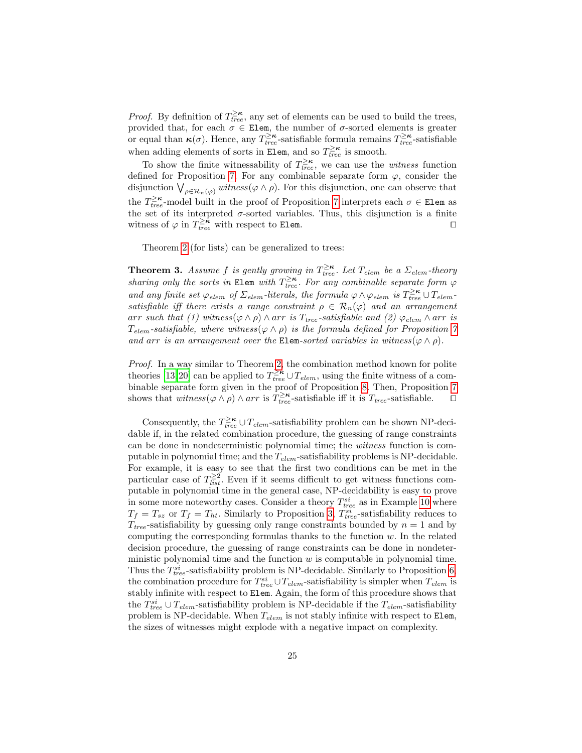*Proof.* By definition of  $T_{tree}^{\geq \kappa}$ , any set of elements can be used to build the trees, provided that, for each  $\sigma \in \text{Elem}$ , the number of  $\sigma$ -sorted elements is greater or equal than  $\kappa(\sigma)$ . Hence, any  $T^{\geq \kappa}_{tree}$ -satisfiable formula remains  $T^{\geq \kappa}_{tree}$ -satisfiable when adding elements of sorts in Elem, and so  $T^{\geq \kappa}_{tree}$  is smooth.

To show the finite witnessability of  $T_{tree}^{\geq \kappa}$ , we can use the *witness* function defined for Proposition [7.](#page-23-0) For any combinable separate form  $\varphi$ , consider the disjunction  $\bigvee_{\rho \in \mathcal{R}_n(\varphi)}$  witness $(\varphi \wedge \rho)$ . For this disjunction, one can observe that the  $T_{tree}^{\geq \kappa}$ -model built in the proof of Proposition [7](#page-23-0) interprets each  $\sigma \in \text{Element}$  as the set of its interpreted  $\sigma$ -sorted variables. Thus, this disjunction is a finite witness of  $\varphi$  in  $T_{tree}^{\geq \kappa}$  with respect to Elem.

Theorem [2](#page-19-1) (for lists) can be generalized to trees:

**Theorem 3.** Assume f is gently growing in  $T_{tree}^{\geq \kappa}$ . Let  $T_{elem}$  be a  $\Sigma_{elem}$ -theory sharing only the sorts in Elem with  $T^{\geq \kappa}_{tree}$ . For any combinable separate form  $\varphi$ and any finite set  $\varphi_{elem}$  of  $\Sigma_{elem}$ -literals, the formula  $\varphi \wedge \varphi_{elem}$  is  $T_{tree}^{\geq \kappa} \cup T_{elem}$ satisfiable iff there exists a range constraint  $\rho \in \mathcal{R}_n(\varphi)$  and an arrangement arr such that (1) witness( $\varphi \wedge \rho$ )  $\wedge$  arr is  $T_{tree}$ -satisfiable and (2)  $\varphi_{elem} \wedge arr$  is  $T_{elem}$ -satisfiable, where witness $(\varphi \wedge \rho)$  is the formula defined for Proposition [7](#page-23-0) and arr is an arrangement over the Elem-sorted variables in witness( $\varphi \wedge \rho$ ).

Proof. In a way similar to Theorem [2,](#page-19-1) the combination method known for polite theories [\[13,](#page-43-9)[20\]](#page-44-10) can be applied to  $T_{tree}^{\geq \kappa} \cup T_{elem}$ , using the finite witness of a combinable separate form given in the proof of Proposition [8.](#page-24-1) Then, Proposition [7](#page-23-0) shows that  $witness(\varphi \wedge \rho) \wedge arr$  is  $T^{\geq \kappa}_{tree}$ -satisfiable iff it is  $T_{tree}$ -satisfiable.  $\square$ 

Consequently, the  $T_{tree}^{\geq \kappa} \cup T_{elem}$ -satisfiability problem can be shown NP-decidable if, in the related combination procedure, the guessing of range constraints can be done in nondeterministic polynomial time; the witness function is computable in polynomial time; and the  $T_{elem}$ -satisfiability problems is NP-decidable. For example, it is easy to see that the first two conditions can be met in the particular case of  $T_{list}^{\geq 2}$ . Even if it seems difficult to get witness functions computable in polynomial time in the general case, NP-decidability is easy to prove in some more noteworthy cases. Consider a theory  $T_{tree}^{si}$  as in Example [10](#page-22-0) where  $T_f = T_{sz}$  or  $T_f = T_{ht}$ . Similarly to Proposition [3,](#page-15-0)  $T_{tree}^{si}$ -satisfiability reduces to  $T_{tree}$ -satisfiability by guessing only range constraints bounded by  $n = 1$  and by computing the corresponding formulas thanks to the function  $w$ . In the related decision procedure, the guessing of range constraints can be done in nondeterministic polynomial time and the function  $w$  is computable in polynomial time. Thus the  $T_{tree}^{si}$ -satisfiability problem is NP-decidable. Similarly to Proposition [6,](#page-20-0) the combination procedure for  $T_{tree}^{si} \cup T_{elem}$ -satisfiability is simpler when  $T_{elem}$  is stably infinite with respect to Elem. Again, the form of this procedure shows that the  $T_{tree}^{si} \cup T_{elem}$ -satisfiability problem is NP-decidable if the  $T_{elem}$ -satisfiability problem is NP-decidable. When  $T_{elem}$  is not stably infinite with respect to Elem, the sizes of witnesses might explode with a negative impact on complexity.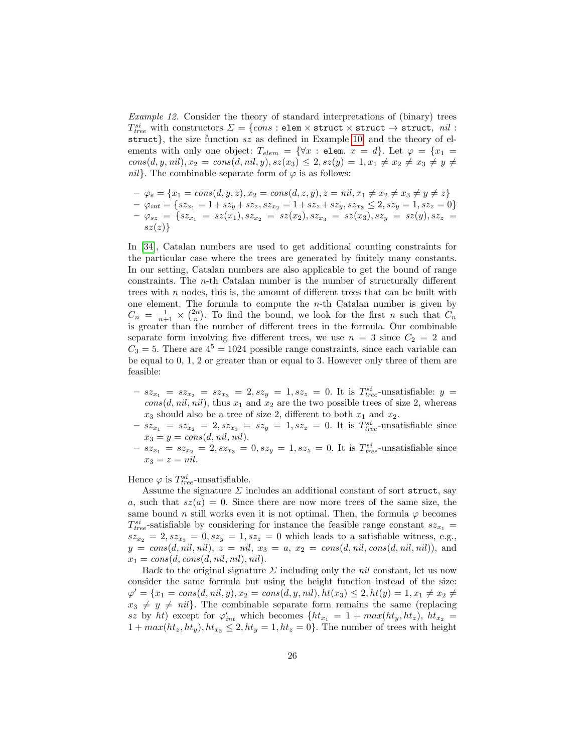Example 12. Consider the theory of standard interpretations of (binary) trees  $T_{tree}^{si}$  with constructors  $\mathit{\Sigma} = \{cons: \texttt{element} \times \texttt{struct} \rightarrow \texttt{struct}, \; nil: \}$ struct}, the size function  $sz$  as defined in Example [10,](#page-22-0) and the theory of elements with only one object:  $T_{elem} = \{ \forall x : \text{elem. } x = d \}.$  Let  $\varphi = \{ x_1 = \varphi \}$  $cons(d, y, nil), x_2 = cons(d, nil, y), sz(x_3) \leq 2, sz(y) = 1, x_1 \neq x_2 \neq x_3 \neq y \neq z_3$ nil}. The combinable separate form of  $\varphi$  is as follows:

- $-\varphi_s = \{x_1 = cons(d, y, z), x_2 = cons(d, z, y), z = nil, x_1 \neq x_2 \neq x_3 \neq y \neq z\}$
- $\varphi_{int} = \{sz_{x_1} = 1 + sz_y + sz_z, sz_{x_2} = 1 + sz_z + sz_y, sz_{x_3} \leq 2, sz_y = 1, sz_z = 0\}$
- $\varphi_{sz} = \{sz_{x_1} = sz(x_1), sz_{x_2} = sz(x_2), sz_{x_3} = sz(x_3), sz_y = sz(y), sz_z =$  $sz(z)$

In [\[34\]](#page-44-6), Catalan numbers are used to get additional counting constraints for the particular case where the trees are generated by finitely many constants. In our setting, Catalan numbers are also applicable to get the bound of range constraints. The n-th Catalan number is the number of structurally different trees with  $n$  nodes, this is, the amount of different trees that can be built with one element. The formula to compute the  $n$ -th Catalan number is given by  $C_n = \frac{1}{n+1} \times {2n \choose n}$ . To find the bound, we look for the first n such that  $C_n$ is greater than the number of different trees in the formula. Our combinable separate form involving five different trees, we use  $n = 3$  since  $C_2 = 2$  and  $C_3 = 5$ . There are  $4^5 = 1024$  possible range constraints, since each variable can be equal to 0, 1, 2 or greater than or equal to 3. However only three of them are feasible:

- $-sz_{x_1} = sz_{x_2} = sz_{x_3} = 2, sz_y = 1, sz_z = 0$ . It is  $T_{tree}^{si}$ -unsatisfiable:  $y =$  $cons(d, nil, nil)$ , thus  $x_1$  and  $x_2$  are the two possible trees of size 2, whereas  $x_3$  should also be a tree of size 2, different to both  $x_1$  and  $x_2$ .
- $s z_{x_1} = s z_{x_2} = 2, s z_{x_3} = s z_y = 1, s z_z = 0$ . It is  $T_{tree}^{si}$ -unsatisfiable since  $x_3 = y = cons(d, nil, nil).$
- $s z_{x_1} = s z_{x_2} = 2, s z_{x_3} = 0, s z_y = 1, s z_z = 0$ . It is  $T_{tree}^{si}$ -unsatisfiable since  $x_3 = z = nil.$

Hence  $\varphi$  is  $T_{tree}^{si}$ -unsatisfiable.

Assume the signature  $\Sigma$  includes an additional constant of sort struct, say a, such that  $sz(a) = 0$ . Since there are now more trees of the same size, the same bound n still works even it is not optimal. Then, the formula  $\varphi$  becomes  $T_{tree}^{si}$ -satisfiable by considering for instance the feasible range constant  $sz_{x_1}$  =  $sz_{x_2} = 2, sz_{x_3} = 0, sz_y = 1, sz_z = 0$  which leads to a satisfiable witness, e.g.,  $y = \cos(d, nil, nil), z = nil, x_3 = a, x_2 = \cos(d, nil, \cos(d, nil, nil)),$  and  $x_1 = const(d, cons(d, nil, nil), nil).$ 

Back to the original signature  $\Sigma$  including only the *nil* constant, let us now consider the same formula but using the height function instead of the size:  $\varphi' = \{x_1 = cons(d, nil, y), x_2 = cons(d, y, nil), ht(x_3) \le 2, ht(y) = 1, x_1 \neq x_2 \neq 0\}$  $x_3 \neq y \neq nil$ . The combinable separate form remains the same (replacing sz by ht) except for  $\varphi'_{int}$  which becomes  $\{ht_{x_1} = 1 + max(ht_y, ht_z), ht_{x_2} =$  $1 + max(ht_z, ht_y), ht_{x_3} \leq 2, ht_y = 1, ht_z = 0$ . The number of trees with height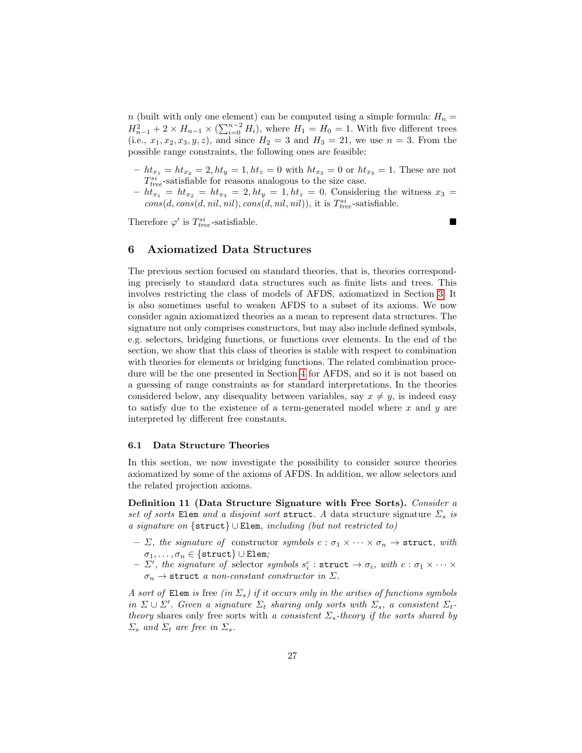n (built with only one element) can be computed using a simple formula:  $H_n =$  $H_{n-1}^2 + 2 \times H_{n-1} \times (\sum_{i=0}^{n-2} H_i)$ , where  $H_1 = H_0 = 1$ . With five different trees (i.e.,  $x_1, x_2, x_3, y, z$ ), and since  $H_2 = 3$  and  $H_3 = 21$ , we use  $n = 3$ . From the possible range constraints, the following ones are feasible:

- $h t_{x_1} = h t_{x_2} = 2, h t_y = 1, h t_z = 0$  with  $h t_{x_3} = 0$  or  $h t_{x_3} = 1$ . These are not  $T_{tree}^{si}$ -satisfiable for reasons analogous to the size case.
- $h t_{x_1} = h t_{x_2} = h t_{x_3} = 2, h t_y = 1, h t_z = 0.$  Considering the witness  $x_3 =$  $cons(d, cons(d, nil, nil), cons(d, nil, nil)),$  it is  $T_{tree}^{si}$ -satisfiable.

Therefore  $\varphi'$  is  $T_{tree}^{si}$ -satisfiable.

# <span id="page-27-0"></span>6 Axiomatized Data Structures

The previous section focused on standard theories, that is, theories corresponding precisely to standard data structures such as finite lists and trees. This involves restricting the class of models of AFDS, axiomatized in Section [3.](#page-6-0) It is also sometimes useful to weaken AFDS to a subset of its axioms. We now consider again axiomatized theories as a mean to represent data structures. The signature not only comprises constructors, but may also include defined symbols, e.g. selectors, bridging functions, or functions over elements. In the end of the section, we show that this class of theories is stable with respect to combination with theories for elements or bridging functions. The related combination procedure will be the one presented in Section [4](#page-8-0) for AFDS, and so it is not based on a guessing of range constraints as for standard interpretations. In the theories considered below, any disequality between variables, say  $x \neq y$ , is indeed easy to satisfy due to the existence of a term-generated model where  $x$  and  $y$  are interpreted by different free constants.

#### 6.1 Data Structure Theories

In this section, we now investigate the possibility to consider source theories axiomatized by some of the axioms of AFDS. In addition, we allow selectors and the related projection axioms.

<span id="page-27-1"></span>Definition 11 (Data Structure Signature with Free Sorts). Consider a set of sorts Elem and a disjoint sort struct. A data structure signature  $\Sigma_s$  is a signature on {struct} ∪ Elem, including (but not restricted to)

- $\Sigma$ , the signature of constructor symbols  $c : \sigma_1 \times \cdots \times \sigma_n \to$  struct, with  $\sigma_1, \ldots, \sigma_n \in \{\texttt{struct}\} \cup \texttt{Elem};$
- $\Sigma'$ , the signature of selector symbols  $s_i^c$  :  $\texttt{struct} \rightarrow \sigma_i$ , with  $c : \sigma_1 \times \cdots \times \sigma_n$  $\sigma_n \to$  struct a non-constant constructor in  $\Sigma$ .

A sort of Elem is free (in  $\Sigma_s$ ) if it occurs only in the arities of functions symbols in  $\Sigma \cup \Sigma'$ . Given a signature  $\Sigma_t$  sharing only sorts with  $\Sigma_s$ , a consistent  $\Sigma_t$ theory shares only free sorts with a consistent  $\Sigma_s$ -theory if the sorts shared by  $\Sigma_s$  and  $\Sigma_t$  are free in  $\Sigma_s$ .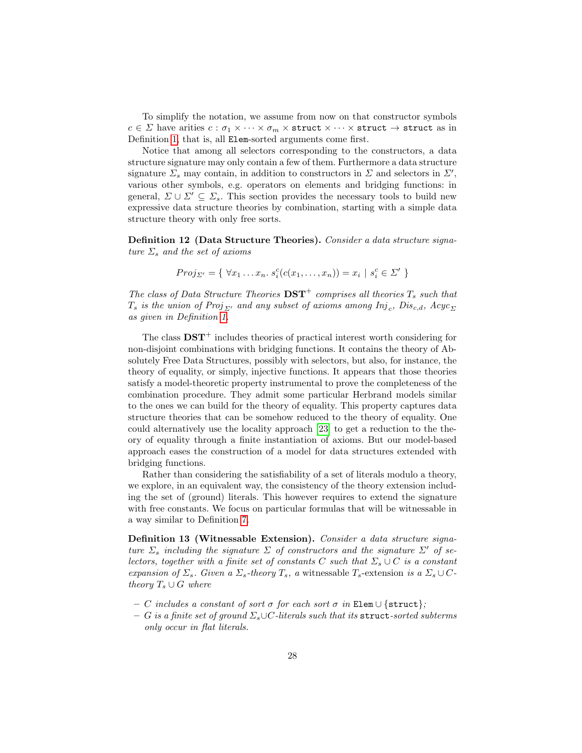To simplify the notation, we assume from now on that constructor symbols  $c \in \Sigma$  have arities  $c : \sigma_1 \times \cdots \times \sigma_m \times$  struct  $\times \cdots \times$  struct  $\rightarrow$  struct as in Definition [1,](#page-6-1) that is, all Elem-sorted arguments come first.

Notice that among all selectors corresponding to the constructors, a data structure signature may only contain a few of them. Furthermore a data structure signature  $\Sigma_s$  may contain, in addition to constructors in  $\Sigma$  and selectors in  $\Sigma'$ , various other symbols, e.g. operators on elements and bridging functions: in general,  $\Sigma \cup \Sigma' \subseteq \Sigma_s$ . This section provides the necessary tools to build new expressive data structure theories by combination, starting with a simple data structure theory with only free sorts.

Definition 12 (Data Structure Theories). Consider a data structure signature  $\Sigma_s$  and the set of axioms

$$
Proj_{\Sigma'} = \{ \ \forall x_1 \ldots x_n \ldotp s_i^c(c(x_1, \ldots, x_n)) = x_i \ | \ s_i^c \in \Sigma' \ \}
$$

The class of Data Structure Theories  $\mathbf{DST}^+$  comprises all theories  $T_s$  such that  $T_s$  is the union of Proj $_{\Sigma'}$  and any subset of axioms among Inj $_c$ , Dis $_{c,d}$ , Acyc $_{\Sigma}$ as given in Definition [1.](#page-6-1)

The class  $\text{DST}^+$  includes theories of practical interest worth considering for non-disjoint combinations with bridging functions. It contains the theory of Absolutely Free Data Structures, possibly with selectors, but also, for instance, the theory of equality, or simply, injective functions. It appears that those theories satisfy a model-theoretic property instrumental to prove the completeness of the combination procedure. They admit some particular Herbrand models similar to the ones we can build for the theory of equality. This property captures data structure theories that can be somehow reduced to the theory of equality. One could alternatively use the locality approach [\[23\]](#page-44-15) to get a reduction to the theory of equality through a finite instantiation of axioms. But our model-based approach eases the construction of a model for data structures extended with bridging functions.

Rather than considering the satisfiability of a set of literals modulo a theory, we explore, in an equivalent way, the consistency of the theory extension including the set of (ground) literals. This however requires to extend the signature with free constants. We focus on particular formulas that will be witnessable in a way similar to Definition [7.](#page-18-1)

<span id="page-28-0"></span>Definition 13 (Witnessable Extension). Consider a data structure signature  $\Sigma_s$  including the signature  $\Sigma$  of constructors and the signature  $\Sigma'$  of selectors, together with a finite set of constants C such that  $\Sigma_s \cup C$  is a constant expansion of  $\Sigma_s$ . Given a  $\Sigma_s$ -theory  $T_s$ , a witnessable  $T_s$ -extension is a  $\Sigma_s\cup C$ theory  $T_s \cup G$  where

- C includes a constant of sort  $\sigma$  for each sort  $\sigma$  in Elem  $\cup$  {struct};
- $− G$  is a finite set of ground  $\Sigma$ <sub>s</sub>∪C-literals such that its **struct**-sorted subterms only occur in flat literals.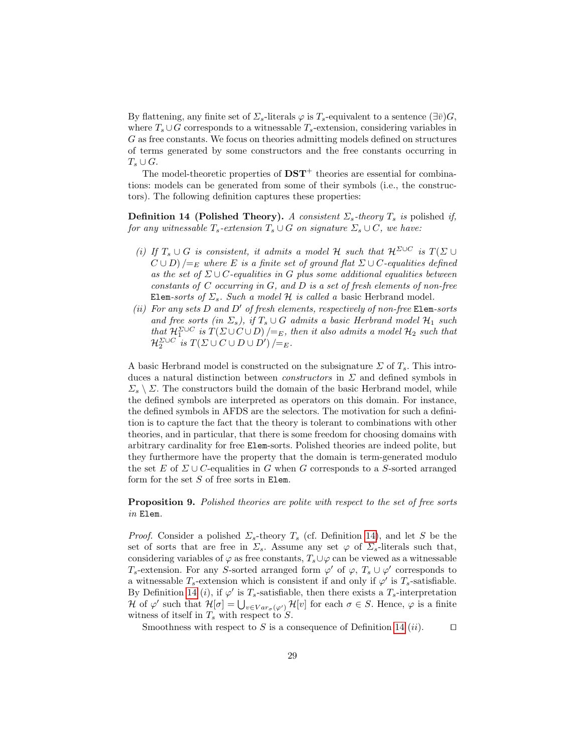By flattening, any finite set of  $\Sigma_s$ -literals  $\varphi$  is  $T_s$ -equivalent to a sentence  $(\exists \bar{v})G$ , where  $T_s \cup G$  corresponds to a witnessable  $T_s$ -extension, considering variables in G as free constants. We focus on theories admitting models defined on structures of terms generated by some constructors and the free constants occurring in  $T_s\cup G.$ 

The model-theoretic properties of  $\mathbf{DST}^+$  theories are essential for combinations: models can be generated from some of their symbols (i.e., the constructors). The following definition captures these properties:

**Definition 14 (Polished Theory).** A consistent  $\Sigma$ <sub>s</sub>-theory  $T_s$  is polished if, for any witnessable  $T_s$ -extension  $T_s \cup G$  on signature  $\Sigma_s \cup C$ , we have:

- <span id="page-29-0"></span>(i) If  $T_s \cup G$  is consistent, it admits a model H such that  $\mathcal{H}^{\Sigma \cup C}$  is  $T(\Sigma \cup$  $(C \cup D)$  /=<sub>E</sub> where E is a finite set of ground flat  $\Sigma \cup C$ -equalities defined as the set of  $\Sigma \cup C$ -equalities in G plus some additional equalities between constants of  $C$  occurring in  $G$ , and  $D$  is a set of fresh elements of non-free Elem-sorts of  $\Sigma_s$ . Such a model H is called a basic Herbrand model.
- (ii) For any sets D and D' of fresh elements, respectively of non-free  $Elem$ -sorts and free sorts (in  $\Sigma_s$ ), if  $T_s \cup G$  admits a basic Herbrand model  $\mathcal{H}_1$  such that  $\mathcal{H}_1^{\Sigma\cup C}$  is  $T(\Sigma\cup C\cup D)/=_E$ , then it also admits a model  $\mathcal{H}_2$  such that  $\mathcal{H}_2^{\Sigma\cup C}$  is  $T(\Sigma\cup C\cup D\cup D')$  /=  $_E$ .

A basic Herbrand model is constructed on the subsignature  $\Sigma$  of  $T_s$ . This introduces a natural distinction between *constructors* in  $\Sigma$  and defined symbols in  $\Sigma_s \setminus \Sigma$ . The constructors build the domain of the basic Herbrand model, while the defined symbols are interpreted as operators on this domain. For instance, the defined symbols in AFDS are the selectors. The motivation for such a definition is to capture the fact that the theory is tolerant to combinations with other theories, and in particular, that there is some freedom for choosing domains with arbitrary cardinality for free Elem-sorts. Polished theories are indeed polite, but they furthermore have the property that the domain is term-generated modulo the set E of  $\Sigma \cup C$ -equalities in G when G corresponds to a S-sorted arranged form for the set  $S$  of free sorts in Elem.

Proposition 9. Polished theories are polite with respect to the set of free sorts in Elem.

*Proof.* Consider a polished  $\Sigma_s$ -theory  $T_s$  (cf. Definition [14\)](#page-29-0), and let S be the set of sorts that are free in  $\Sigma_s$ . Assume any set  $\varphi$  of  $\Sigma_s$ -literals such that, considering variables of  $\varphi$  as free constants,  $T_s \cup \varphi$  can be viewed as a witnessable  $T_s$ -extension. For any S-sorted arranged form  $\varphi'$  of  $\varphi$ ,  $T_s \cup \varphi'$  corresponds to a witnessable  $T_s$ -extension which is consistent if and only if  $\varphi'$  is  $T_s$ -satisfiable. By Definition [14](#page-29-0) (*i*), if  $\varphi'$  is  $T_s$ -satisfiable, then there exists a  $T_s$ -interpretation H of  $\varphi'$  such that  $\mathcal{H}[\sigma] = \bigcup_{v \in Var_{\sigma}(\varphi')} \mathcal{H}[v]$  for each  $\sigma \in S$ . Hence,  $\varphi$  is a finite witness of itself in  $T_s$  with respect to  $S$ .

Smoothness with respect to S is a consequence of Definition [14](#page-29-0) (*ii*).  $\Box$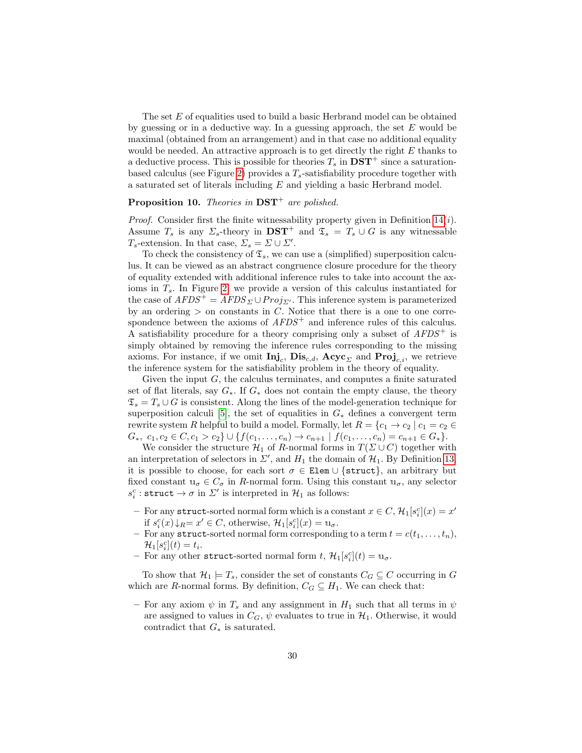The set E of equalities used to build a basic Herbrand model can be obtained by guessing or in a deductive way. In a guessing approach, the set  $E$  would be maximal (obtained from an arrangement) and in that case no additional equality would be needed. An attractive approach is to get directly the right  $E$  thanks to a deductive process. This is possible for theories  $T_s$  in  $\text{DST}^+$  since a saturation-based calculus (see Figure [2\)](#page-32-1) provides a  $T_s$ -satisfiability procedure together with a saturated set of literals including E and yielding a basic Herbrand model.

## <span id="page-30-0"></span>**Proposition 10.** Theories in  $\text{DST}^+$  are polished.

*Proof.* Consider first the finite witnessability property given in Definition  $14(i)$ . Assume  $T_s$  is any  $\Sigma_s$ -theory in  $\mathbf{DST}^+$  and  $\mathfrak{T}_s = T_s \cup G$  is any witnessable  $T_s$ -extension. In that case,  $\Sigma_s = \Sigma \cup \Sigma'$ .

To check the consistency of  $\mathfrak{T}_s$ , we can use a (simplified) superposition calculus. It can be viewed as an abstract congruence closure procedure for the theory of equality extended with additional inference rules to take into account the axioms in  $T_s$ . In Figure [2,](#page-32-1) we provide a version of this calculus instantiated for the case of  $AFDS^+ = AFDS \Sigma \cup Proj \Sigma'$ . This inference system is parameterized by an ordering  $>$  on constants in C. Notice that there is a one to one correspondence between the axioms of  $AFDS^+$  and inference rules of this calculus. A satisfiability procedure for a theory comprising only a subset of  $APDS^+$  is simply obtained by removing the inference rules corresponding to the missing axioms. For instance, if we omit  $\text{Inj}_c$ ,  $\text{Dis}_{c,d}$ ,  $\text{Acyc}_{\Sigma}$  and  $\text{Proj}_{c,i}$ , we retrieve the inference system for the satisfiability problem in the theory of equality.

Given the input  $G$ , the calculus terminates, and computes a finite saturated set of flat literals, say  $G_*$ . If  $G_*$  does not contain the empty clause, the theory  $\mathfrak{T}_s = T_s \cup G$  is consistent. Along the lines of the model-generation technique for superposition calculi [\[5\]](#page-43-13), the set of equalities in  $G_*$  defines a convergent term rewrite system R helpful to build a model. Formally, let  $R = \{c_1 \rightarrow c_2 \mid c_1 = c_2 \in$  $G_*, c_1, c_2 \in C, c_1 > c_2$   $\cup$  { $f(c_1, \ldots, c_n) \rightarrow c_{n+1} | f(c_1, \ldots, c_n) = c_{n+1} \in G_*$  }.

We consider the structure  $\mathcal{H}_1$  of R-normal forms in  $T(\Sigma \cup C)$  together with an interpretation of selectors in  $\Sigma'$ , and  $H_1$  the domain of  $\mathcal{H}_1$ . By Definition [13,](#page-28-0) it is possible to choose, for each sort  $\sigma \in \text{Element} \setminus \{\text{struct}\},\$ an arbitrary but fixed constant  $u_{\sigma} \in C_{\sigma}$  in R-normal form. Using this constant  $u_{\sigma}$ , any selector  $s_i^c$ : struct  $\rightarrow \sigma$  in  $\Sigma'$  is interpreted in  $\mathcal{H}_1$  as follows:

- For any struct-sorted normal form which is a constant  $x \in C$ ,  $\mathcal{H}_1[s_i^c](x) = x'$ if  $s_i^c(x)\downarrow_R = x' \in C$ , otherwise,  $\mathcal{H}_1[s_i^c](x) = \mathfrak{u}_{\sigma}$ .
- For any struct-sorted normal form corresponding to a term  $t = c(t_1, \ldots, t_n)$ ,  $\mathcal{H}_1[s_i^c](t) = t_i.$
- For any other struct-sorted normal form  $t$ ,  $\mathcal{H}_1[s_i^c](t) = \mathbf{u}_{\sigma}$ .

To show that  $\mathcal{H}_1 \models T_s$ , consider the set of constants  $C_G \subseteq C$  occurring in G which are R-normal forms. By definition,  $C_G \subseteq H_1$ . We can check that:

– For any axiom  $\psi$  in  $T_s$  and any assignment in  $H_1$  such that all terms in  $\psi$ are assigned to values in  $C_G$ ,  $\psi$  evaluates to true in  $\mathcal{H}_1$ . Otherwise, it would contradict that  $G_*$  is saturated.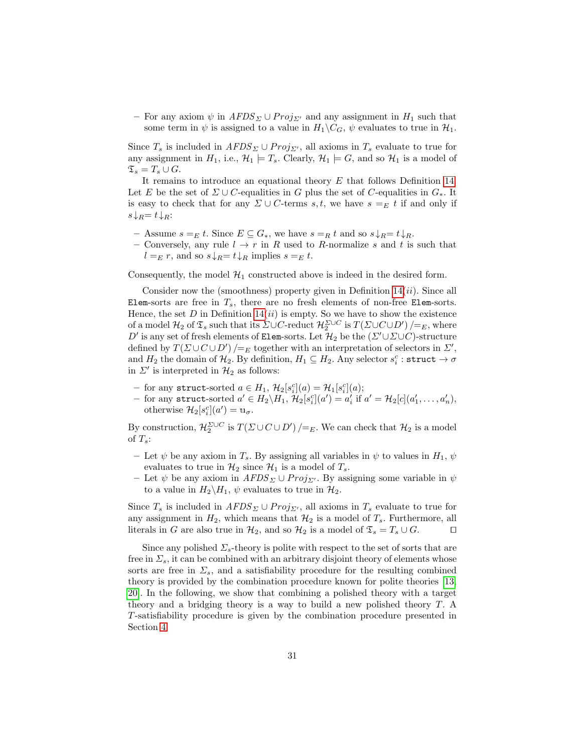– For any axiom  $\psi$  in  $AFDS_{\Sigma} \cup Proj_{\Sigma'}$  and any assignment in  $H_1$  such that some term in  $\psi$  is assigned to a value in  $H_1 \backslash C_G$ ,  $\psi$  evaluates to true in  $\mathcal{H}_1$ .

Since  $T_s$  is included in  $AFDS \Sigma \cup Proj \Sigma'$ , all axioms in  $T_s$  evaluate to true for any assignment in  $H_1$ , i.e.,  $\mathcal{H}_1 \models T_s$ . Clearly,  $\mathcal{H}_1 \models G$ , and so  $\mathcal{H}_1$  is a model of  $\mathfrak{T}_s = T_s \cup G.$ 

It remains to introduce an equational theory E that follows Definition [14.](#page-29-0) Let E be the set of  $\Sigma \cup C$ -equalities in G plus the set of C-equalities in  $G_*$ . It is easy to check that for any  $\Sigma \cup C$ -terms s, t, we have  $s =_E t$  if and only if  $s\downarrow_R=t\downarrow_R$ :

- Assume  $s =_E t$ . Since  $E \subseteq G_*$ , we have  $s =_R t$  and so  $s \downarrow_R = t \downarrow_R$ .
- Conversely, any rule  $l \to r$  in R used to R-normalize s and t is such that  $l = E r$ , and so  $s \downarrow_R = t \downarrow_R$  implies  $s = E t$ .

Consequently, the model  $\mathcal{H}_1$  constructed above is indeed in the desired form.

Consider now the (smoothness) property given in Definition  $14(ii)$ . Since all Elem-sorts are free in  $T_s$ , there are no fresh elements of non-free Elem-sorts. Hence, the set  $D$  in Definition [14\(](#page-29-0)ii) is empty. So we have to show the existence of a model  $\mathcal{H}_2$  of  $\mathfrak{T}_s$  such that its  $\Sigma \cup C$ -reduct  $\mathcal{H}_2^{\Sigma \cup C}$  is  $T(\Sigma \cup C \cup D')$  /= $_E$ , where D' is any set of fresh elements of Elem-sorts. Let  $\mathcal{H}_2$  be the  $(\Sigma' \cup \Sigma \cup C)$ -structure defined by  $T(\Sigma \cup C \cup D')/=E$  together with an interpretation of selectors in  $\Sigma'$ , and  $H_2$  the domain of  $\mathcal{H}_2$ . By definition,  $H_1 \subseteq H_2$ . Any selector  $s_i^c$ : struct  $\rightarrow \sigma$ in  $\Sigma'$  is interpreted in  $\mathcal{H}_2$  as follows:

- for any struct-sorted  $a \in H_1$ ,  $\mathcal{H}_2[s_i^c](a) = \mathcal{H}_1[s_i^c](a)$ ;
- for any struct-sorted  $a' \in H_2 \backslash H_1$ ,  $\mathcal{H}_2[s_i^c](a') = a'_i$  if  $a' = \mathcal{H}_2[c](a'_1, \ldots, a'_n)$ , otherwise  $\mathcal{H}_2[s_i^c](a') = \mathfrak{u}_{\sigma}$ .

By construction,  $\mathcal{H}_2^{\Sigma\cup C}$  is  $T(\Sigma\cup C\cup D')/_{E}$ . We can check that  $\mathcal{H}_2$  is a model of  $T_s$ :

- Let  $\psi$  be any axiom in  $T_s$ . By assigning all variables in  $\psi$  to values in  $H_1$ ,  $\psi$ evaluates to true in  $\mathcal{H}_2$  since  $\mathcal{H}_1$  is a model of  $T_s$ .
- Let  $\psi$  be any axiom in  $AFDS_{\Sigma} \cup Proj_{\Sigma'}$ . By assigning some variable in  $\psi$ to a value in  $H_2 \backslash H_1$ ,  $\psi$  evaluates to true in  $\mathcal{H}_2$ .

Since  $T_s$  is included in  $AFDS_\Sigma \cup Proj_{\Sigma'}$ , all axioms in  $T_s$  evaluate to true for any assignment in  $H_2$ , which means that  $\mathcal{H}_2$  is a model of  $T_s$ . Furthermore, all literals in G are also true in  $\mathcal{H}_2$ , and so  $\mathcal{H}_2$  is a model of  $\mathfrak{T}_s = T_s \cup G$ .

Since any polished  $\Sigma_s$ -theory is polite with respect to the set of sorts that are free in  $\Sigma_s$ , it can be combined with an arbitrary disjoint theory of elements whose sorts are free in  $\Sigma_s$ , and a satisfiability procedure for the resulting combined theory is provided by the combination procedure known for polite theories [\[13,](#page-43-9) [20\]](#page-44-10). In the following, we show that combining a polished theory with a target theory and a bridging theory is a way to build a new polished theory T. A T-satisfiability procedure is given by the combination procedure presented in Section [4.](#page-8-0)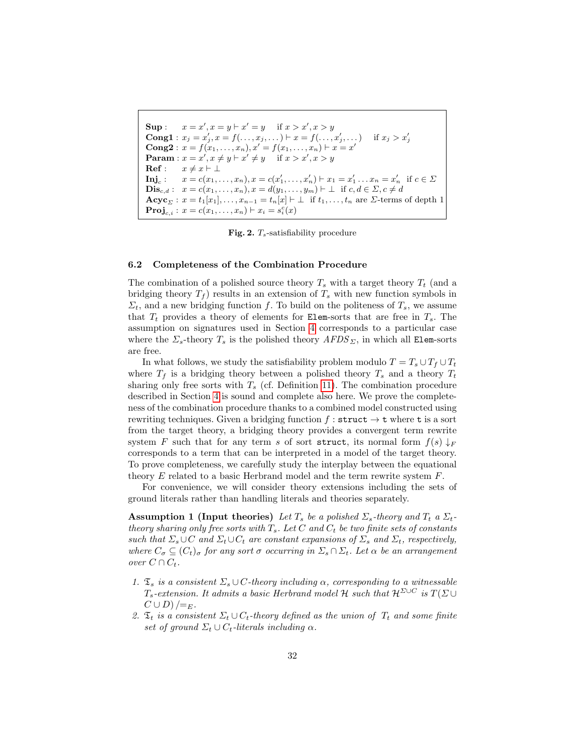```
\mathbf{Sup}:x, x = y \vdash x' = y if x > x', x > yCong1: x_j = x'_j, x = f(\ldots, x_j, \ldots) \vdash x = f(\ldots, x'_j, \ldots) if x_j > x'_jCong2: x = f(x_1, ..., x_n), x' = f(x_1, ..., x_n) \vdash x = x'Param: x = x', x \neq y \vdash x' \neq y if x > x', x > yRef : x \neq x \vdash \botInj<sub>c</sub>: x = c(x_1, ..., x_n), x = c(x'_1, ..., x'_n) \vdash x_1 = x'_1 ... x_n = x'_n if c \in \SigmaDis<sub>c,d</sub> : x = c(x_1, ..., x_n), x = d(y_1, ..., y_m) ⊢ ⊥ if c, d \in \Sigma, c \neq d\mathbf{Acyc}_{\Sigma}: x = t_1[x_1], \ldots, x_{n-1} = t_n[x] \vdash \bot \text{ if } t_1, \ldots, t_n \text{ are } \Sigma \text{-terms of depth 1}\mathbf{Proj}_{c,i} : x = c(x_1, \ldots, x_n) \vdash x_i = s_i^c(x)
```
<span id="page-32-1"></span>Fig. 2.  $T_s$ -satisfiability procedure

#### <span id="page-32-0"></span>6.2 Completeness of the Combination Procedure

The combination of a polished source theory  $T_s$  with a target theory  $T_t$  (and a bridging theory  $T_f$ ) results in an extension of  $T_s$  with new function symbols in  $\Sigma_t$ , and a new bridging function f. To build on the politeness of  $T_s$ , we assume that  $T_t$  provides a theory of elements for **Elem**-sorts that are free in  $T_s$ . The assumption on signatures used in Section [4](#page-8-0) corresponds to a particular case where the  $\Sigma_s$ -theory  $T_s$  is the polished theory  $AFDS_\Sigma$ , in which all Elem-sorts are free.

In what follows, we study the satisfiability problem modulo  $T = T_s \cup T_f \cup T_t$ where  $T_f$  is a bridging theory between a polished theory  $T_s$  and a theory  $T_t$ sharing only free sorts with  $T_s$  (cf. Definition [11\)](#page-27-1). The combination procedure described in Section [4](#page-8-0) is sound and complete also here. We prove the completeness of the combination procedure thanks to a combined model constructed using rewriting techniques. Given a bridging function  $f :$  struct  $\rightarrow$  t where t is a sort from the target theory, a bridging theory provides a convergent term rewrite system F such that for any term s of sort struct, its normal form  $f(s) \downarrow_F$ corresponds to a term that can be interpreted in a model of the target theory. To prove completeness, we carefully study the interplay between the equational theory  $E$  related to a basic Herbrand model and the term rewrite system  $F$ .

<span id="page-32-2"></span>For convenience, we will consider theory extensions including the sets of ground literals rather than handling literals and theories separately.

**Assumption 1 (Input theories)** Let  $T_s$  be a polished  $\Sigma_s$ -theory and  $T_t$  a  $\Sigma_t$ theory sharing only free sorts with  $T_s$ . Let C and  $C_t$  be two finite sets of constants such that  $\Sigma_s \cup C$  and  $\Sigma_t \cup C_t$  are constant expansions of  $\Sigma_s$  and  $\Sigma_t$ , respectively, where  $C_{\sigma} \subseteq (C_t)_{\sigma}$  for any sort  $\sigma$  occurring in  $\Sigma_s \cap \Sigma_t$ . Let  $\alpha$  be an arrangement over  $C \cap C_t$ .

- 1.  $\mathfrak{T}_s$  is a consistent  $\Sigma_s \cup C$ -theory including  $\alpha$ , corresponding to a witnessable  $T_s$ -extension. It admits a basic Herbrand model H such that  $\mathcal{H}^{\Sigma\cup C}$  is  $T(\Sigma\cup$  $C\cup D$ )  $\equiv_{E}$ .
- 2.  $\mathfrak{T}_t$  is a consistent  $\Sigma_t \cup C_t$ -theory defined as the union of  $T_t$  and some finite set of ground  $\Sigma_t \cup C_t$ -literals including  $\alpha$ .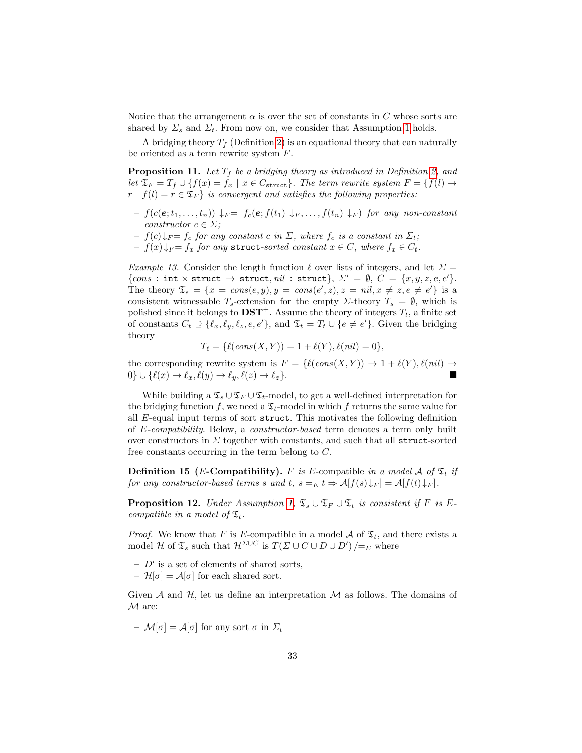Notice that the arrangement  $\alpha$  is over the set of constants in C whose sorts are shared by  $\Sigma_s$  and  $\Sigma_t$ . From now on, we consider that Assumption [1](#page-32-2) holds.

<span id="page-33-2"></span>A bridging theory  $T_f$  (Definition [2\)](#page-8-2) is an equational theory that can naturally be oriented as a term rewrite system F.

**Proposition 11.** Let  $T_f$  be a bridging theory as introduced in Definition [2,](#page-8-2) and let  $\mathfrak{T}_F = T_f \cup \{f(x) = f_x \mid x \in C_{\text{struct}}\}$ . The term rewrite system  $F = \{f(l) \rightarrow$  $r | f(l) = r \in \mathfrak{T}_F$  is convergent and satisfies the following properties:

- $f(c(e; t_1, \ldots, t_n)) \downarrow_F = f_c(e; f(t_1) \downarrow_F, \ldots, f(t_n) \downarrow_F)$  for any non-constant constructor  $c \in \Sigma$ ;
- $f(c) \downarrow_F = f_c$  for any constant c in  $\Sigma$ , where  $f_c$  is a constant in  $\Sigma_t$ ;
- $-f(x)\downarrow_F = f_x$  for any struct-sorted constant  $x \in C$ , where  $f_x \in C_t$ .

<span id="page-33-0"></span>Example 13. Consider the length function  $\ell$  over lists of integers, and let  $\Sigma =$  ${cons : \text{int} \times \text{struct} \rightarrow \text{struct}, \textit{nil} : \text{struct}, \Sigma' = \emptyset, C = \{x, y, z, e, e'\}.$ The theory  $\mathfrak{T}_s = \{x = \text{cons}(e, y), y = \text{cons}(e', z), z = \text{nil}, x \neq z, e \neq e'\}$  is a consistent witnessable  $T_s$ -extension for the empty  $\Sigma$ -theory  $T_s = \emptyset$ , which is polished since it belongs to  $\mathbf{DST}^+$ . Assume the theory of integers  $T_t$ , a finite set of constants  $C_t \supseteq \{\ell_x, \ell_y, \ell_z, e, e'\}$ , and  $\mathfrak{T}_t = T_t \cup \{e \neq e'\}$ . Given the bridging theory

$$
T_{\ell} = {\ell(\text{cons}(X, Y)) = 1 + \ell(Y), \ell(nil) = 0},
$$

the corresponding rewrite system is  $F = \{ \ell(\text{cons}(X, Y)) \to 1 + \ell(Y), \ell(\text{nil}) \to \ell(\text{nil}) \}$  $0\} \cup \{ \ell(x) \to \ell_x, \ell(y) \to \ell_y, \ell(z) \to \ell_z \}.$ 

While building a  $\mathfrak{T}_s \cup \mathfrak{T}_r \cup \mathfrak{T}_t$ -model, to get a well-defined interpretation for the bridging function f, we need a  $\mathfrak{T}_t$ -model in which f returns the same value for all E-equal input terms of sort struct. This motivates the following definition of E-compatibility. Below, a constructor-based term denotes a term only built over constructors in  $\Sigma$  together with constants, and such that all struct-sorted free constants occurring in the term belong to C.

**Definition 15 (E-Compatibility).** F is E-compatible in a model A of  $\mathfrak{T}_t$  if for any constructor-based terms s and t,  $s =_E t \Rightarrow A[f(s) \downarrow_F] = A[f(t) \downarrow_F]$ .

<span id="page-33-1"></span>**Proposition 12.** Under Assumption [1,](#page-32-2)  $\mathfrak{T}_s \cup \mathfrak{T}_f \cup \mathfrak{T}_t$  is consistent if F is Ecompatible in a model of  $\mathfrak{T}_t$ .

*Proof.* We know that F is E-compatible in a model  $\mathcal A$  of  $\mathfrak T_t$ , and there exists a model H of  $\mathfrak{T}_s$  such that  $\mathcal{H}^{\Sigma\cup C}$  is  $T(\Sigma\cup C\cup D\cup D')$  /=  $_E$  where

- $D'$  is a set of elements of shared sorts,
- $\mathcal{H}[\sigma] = \mathcal{A}[\sigma]$  for each shared sort.

Given  $A$  and  $H$ , let us define an interpretation  $M$  as follows. The domains of M are:

–  $\mathcal{M}[\sigma] = \mathcal{A}[\sigma]$  for any sort  $\sigma$  in  $\Sigma_t$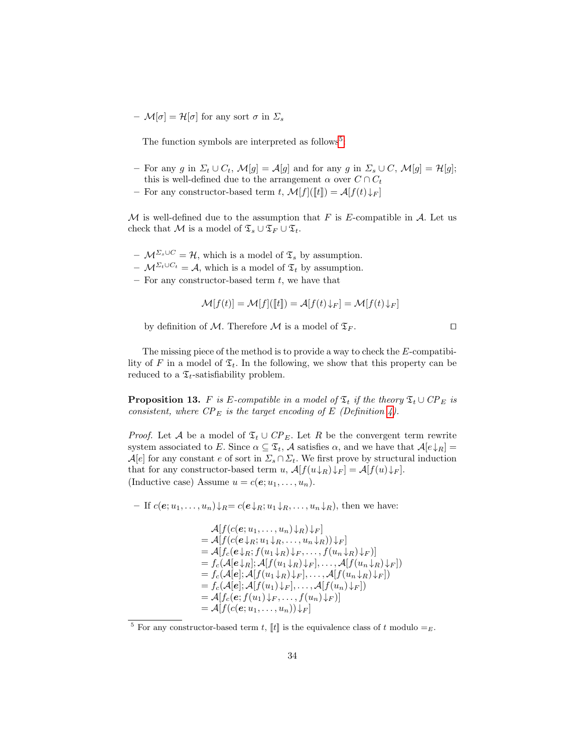$\mathcal{M}[\sigma] = \mathcal{H}[\sigma]$  for any sort  $\sigma$  in  $\Sigma_s$ 

The function symbols are interpreted as follows<sup>[5](#page-34-0)</sup>:

- For any g in  $\Sigma_t \cup C_t$ ,  $\mathcal{M}[g] = \mathcal{A}[g]$  and for any g in  $\Sigma_s \cup C$ ,  $\mathcal{M}[g] = \mathcal{H}[g]$ ; this is well-defined due to the arrangement  $\alpha$  over  $C \cap C_t$
- For any constructor-based term t,  $\mathcal{M}[f]([t]) = \mathcal{A}[f(t) \downarrow_F]$

 $M$  is well-defined due to the assumption that F is E-compatible in  $A$ . Let us check that M is a model of  $\mathfrak{T}_s \cup \mathfrak{T}_F \cup \mathfrak{T}_t$ .

- $\mathcal{M}^{\Sigma_s \cup C} = \mathcal{H}$ , which is a model of  $\mathfrak{T}_s$  by assumption.
- $\mathcal{M}^{\Sigma_t \cup C_t} = \mathcal{A}$ , which is a model of  $\mathfrak{T}_t$  by assumption.
- $-$  For any constructor-based term  $t$ , we have that

$$
\mathcal{M}[f(t)] = \mathcal{M}[f]([\![t]\!]) = \mathcal{A}[f(t)\downarrow_F] = \mathcal{M}[f(t)\downarrow_F]
$$

by definition of M. Therefore M is a model of  $\mathfrak{T}_F$ .

The missing piece of the method is to provide a way to check the E-compatibility of F in a model of  $\mathfrak{T}_t$ . In the following, we show that this property can be reduced to a  $\mathfrak{T}_t$ -satisfiability problem.

<span id="page-34-1"></span>**Proposition 13.** F is E-compatible in a model of  $\mathfrak{T}_t$  if the theory  $\mathfrak{T}_t \cup CP_E$  is consistent, where  $CP_E$  is the target encoding of E (Definition [4\)](#page-9-1).

*Proof.* Let A be a model of  $\mathfrak{T}_t \cup CP_E$ . Let R be the convergent term rewrite system associated to E. Since  $\alpha \subseteq \mathfrak{T}_t$ , A satisfies  $\alpha$ , and we have that  $\mathcal{A}[e\downarrow_R] =$  $\mathcal{A}[e]$  for any constant e of sort in  $\Sigma_s \cap \Sigma_t$ . We first prove by structural induction that for any constructor-based term u,  $\mathcal{A}[f(u\downarrow_R)\downarrow_F] = \mathcal{A}[f(u)\downarrow_F]$ . (Inductive case) Assume  $u = c(e; u_1, \ldots, u_n)$ .

- If 
$$
c(e; u_1, \ldots, u_n) \downarrow_R = c(e \downarrow_R; u_1 \downarrow_R, \ldots, u_n \downarrow_R)
$$
, then we have:

$$
\mathcal{A}[f(c(e; u_1, \ldots, u_n) \downarrow_R) \downarrow_F] \n= \mathcal{A}[f(c(e \downarrow_R; u_1 \downarrow_R, \ldots, u_n \downarrow_R)) \downarrow_F] \n= \mathcal{A}[f_c(e \downarrow_R; f(u_1 \downarrow_R) \downarrow_F, \ldots, f(u_n \downarrow_R) \downarrow_F)] \n= f_c(\mathcal{A}[e \downarrow_R]; \mathcal{A}[f(u_1 \downarrow_R) \downarrow_F], \ldots, \mathcal{A}[f(u_n \downarrow_R) \downarrow_F]) \n= f_c(\mathcal{A}[e]; \mathcal{A}[f(u_1 \downarrow_R) \downarrow_F], \ldots, \mathcal{A}[f(u_n \downarrow_R) \downarrow_F]) \n= f_c(\mathcal{A}[e]; \mathcal{A}[f(u_1) \downarrow_F], \ldots, \mathcal{A}[f(u_n) \downarrow_F]) \n= \mathcal{A}[f_c(e; f(u_1) \downarrow_F, \ldots, f(u_n) \downarrow_F)] \n= \mathcal{A}[f(c(e; u_1, \ldots, u_n)) \downarrow_F]
$$

<span id="page-34-0"></span><sup>&</sup>lt;sup>5</sup> For any constructor-based term t,  $\llbracket t \rrbracket$  is the equivalence class of t modulo = $_E$ .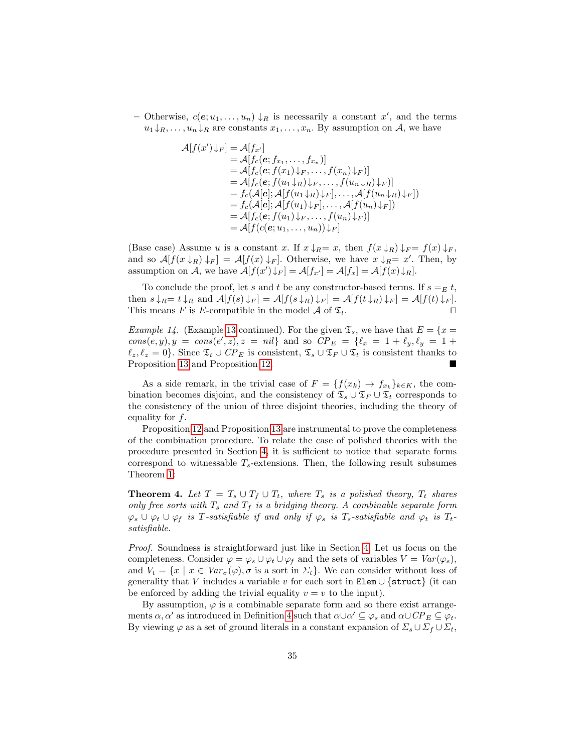– Otherwise,  $c(e; u_1, \ldots, u_n)$  ↓R is necessarily a constant  $x'$ , and the terms  $u_1 \downarrow_R, \ldots, u_n \downarrow_R$  are constants  $x_1, \ldots, x_n$ . By assumption on A, we have

$$
\begin{aligned}\n\mathcal{A}[f(x') \downarrow F] &= \mathcal{A}[f_{x'}] \\
&= \mathcal{A}[f_c(e; f_{x_1}, \dots, f_{x_n})] \\
&= \mathcal{A}[f_c(e; f(x_1) \downarrow F, \dots, f(x_n) \downarrow F)] \\
&= \mathcal{A}[f_c(e; f(u_1 \downarrow R) \downarrow F, \dots, f(u_n \downarrow R) \downarrow F)] \\
&= f_c(\mathcal{A}[e]; \mathcal{A}[f(u_1 \downarrow R) \downarrow F], \dots, \mathcal{A}[f(u_n \downarrow R) \downarrow F]) \\
&= f_c(\mathcal{A}[e]; \mathcal{A}[f(u_1) \downarrow F], \dots, \mathcal{A}[f(u_n) \downarrow F]) \\
&= \mathcal{A}[f_c(e; f(u_1) \downarrow F, \dots, f(u_n) \downarrow F)] \\
&= \mathcal{A}[f(c(e; u_1, \dots, u_n)) \downarrow F]\n\end{aligned}
$$

(Base case) Assume u is a constant x. If  $x \downarrow_R = x$ , then  $f(x \downarrow_R) \downarrow_F = f(x) \downarrow_F$ , and so  $\mathcal{A}[f(x\downarrow_R)\downarrow_F] = \mathcal{A}[f(x)\downarrow_F]$ . Otherwise, we have  $x\downarrow_R=x'$ . Then, by assumption on A, we have  $\mathcal{A}[f(x')\downarrow_F] = \mathcal{A}[f_{x'}] = \mathcal{A}[f_x] = \mathcal{A}[f(x)\downarrow_R].$ 

To conclude the proof, let s and t be any constructor-based terms. If  $s =_E t$ , then  $s \downarrow_R = t \downarrow_R$  and  $\mathcal{A}[f(s) \downarrow_F] = \mathcal{A}[f(s \downarrow_R) \downarrow_F] = \mathcal{A}[f(t \downarrow_R) \downarrow_F] = \mathcal{A}[f(t) \downarrow_F]$ . This means F is E-compatible in the model A of  $\mathfrak{T}_t$ .

*Example 14.* (Example [13](#page-33-0) continued). For the given  $\mathfrak{T}_s$ , we have that  $E = \{x =$  $cons(e, y), y = cons(e', z), z = nil$  and so  $CP_E = \{\ell_x = 1 + \ell_y, \ell_y = 1 + \ell_z\}$  $\ell_z, \ell_z = 0$ . Since  $\mathfrak{T}_t \cup CP_E$  is consistent,  $\mathfrak{T}_s \cup \mathfrak{T}_F \cup \mathfrak{T}_t$  is consistent thanks to Proposition [13](#page-34-1) and Proposition [12.](#page-33-1)

As a side remark, in the trivial case of  $F = \{f(x_k) \to f_{x_k}\}_{k \in K}$ , the combination becomes disjoint, and the consistency of  $\mathfrak{T}_s \cup \mathfrak{T}_F \cup \mathfrak{T}_t$  corresponds to the consistency of the union of three disjoint theories, including the theory of equality for  $f$ .

Proposition [12](#page-33-1) and Proposition [13](#page-34-1) are instrumental to prove the completeness of the combination procedure. To relate the case of polished theories with the procedure presented in Section [4,](#page-8-0) it is sufficient to notice that separate forms correspond to witnessable  $T_s$ -extensions. Then, the following result subsumes Theorem [1:](#page-10-0)

<span id="page-35-0"></span>**Theorem 4.** Let  $T = T_s \cup T_f \cup T_t$ , where  $T_s$  is a polished theory,  $T_t$  shares only free sorts with  $T_s$  and  $T_f$  is a bridging theory. A combinable separate form  $\varphi_s \cup \varphi_t \cup \varphi_f$  is T-satisfiable if and only if  $\varphi_s$  is T<sub>s</sub>-satisfiable and  $\varphi_t$  is T<sub>t</sub>satisfiable.

Proof. Soundness is straightforward just like in Section [4.](#page-8-0) Let us focus on the completeness. Consider  $\varphi = \varphi_s \cup \varphi_t \cup \varphi_f$  and the sets of variables  $V = Var(\varphi_s)$ , and  $V_t = \{x \mid x \in Var_{\sigma}(\varphi), \sigma \text{ is a sort in } \Sigma_t\}.$  We can consider without loss of generality that V includes a variable v for each sort in Elem  $\cup$  {struct} (it can be enforced by adding the trivial equality  $v = v$  to the input).

By assumption,  $\varphi$  is a combinable separate form and so there exist arrangements  $\alpha, \alpha'$  as introduced in Definition [4](#page-9-1) such that  $\alpha \cup \alpha' \subseteq \varphi_s$  and  $\alpha \cup CP_E \subseteq \varphi_t$ . By viewing  $\varphi$  as a set of ground literals in a constant expansion of  $\Sigma_s \cup \Sigma_f \cup \Sigma_t$ ,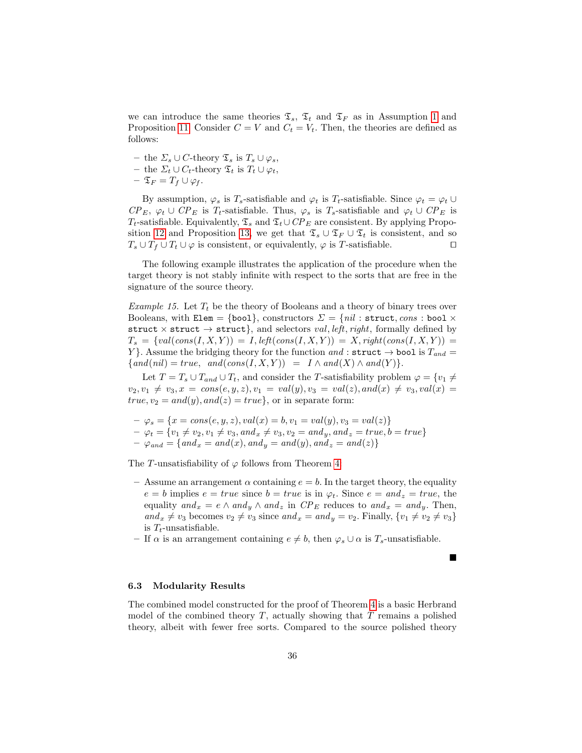we can introduce the same theories  $\mathfrak{T}_s$ ,  $\mathfrak{T}_t$  and  $\mathfrak{T}_F$  as in Assumption [1](#page-32-2) and Proposition [11.](#page-33-2) Consider  $C = V$  and  $C_t = V_t$ . Then, the theories are defined as follows:

- the  $\Sigma_s$  ∪ C-theory  $\mathfrak{T}_s$  is  $T_s \cup \varphi_s$ ,
- the  $\Sigma_t \cup C_t$ -theory  $\mathfrak{T}_t$  is  $T_t \cup \varphi_t$ ,
- $\mathfrak{T}_F = T_f \cup \varphi_f.$

By assumption,  $\varphi_s$  is  $T_s$ -satisfiable and  $\varphi_t$  is  $T_t$ -satisfiable. Since  $\varphi_t = \varphi_t \cup$  $CP_E$ ,  $\varphi_t \cup CP_E$  is  $T_t$ -satisfiable. Thus,  $\varphi_s$  is  $T_s$ -satisfiable and  $\varphi_t \cup CP_E$  is  $T_t$ -satisfiable. Equivalently,  $\mathfrak{T}_s$  and  $\mathfrak{T}_t \cup CP_E$  are consistent. By applying Propo-sition [12](#page-33-1) and Proposition [13,](#page-34-1) we get that  $\mathfrak{T}_s \cup \mathfrak{T}_F \cup \mathfrak{T}_t$  is consistent, and so  $T_s \cup T_f \cup T_t \cup \varphi$  is consistent, or equivalently,  $\varphi$  is T-satisfiable.

The following example illustrates the application of the procedure when the target theory is not stably infinite with respect to the sorts that are free in the signature of the source theory.

<span id="page-36-0"></span>*Example 15.* Let  $T_t$  be the theory of Booleans and a theory of binary trees over Booleans, with Elem = {bool}, constructors  $\Sigma = \{nil : \text{struct}, \text{cons} : \text{bool} \times \}$ struct  $\times$  struct  $\rightarrow$  struct}, and selectors *val*, *left*, *right*, formally defined by  $T_s = \{val(cons(I, X, Y)) = I, left(cons(I, X, Y)) = X, right(cons(I, X, Y)) =$ Y }. Assume the bridging theory for the function and : struct  $\rightarrow$  bool is  $T_{and}$  =  ${and(nil) = true, and (cons(I, X, Y)) = I \wedge and(X) \wedge and(Y)}.$ 

Let  $T = T_s \cup T_{and} \cup T_t$ , and consider the T-satisfiability problem  $\varphi = \{v_1 \neq$  $v_2, v_1 \neq v_3, x = \text{cons}(e, y, z), v_1 = \text{val}(y), v_3 = \text{val}(z), \text{and}(x) \neq v_3, \text{val}(x) =$  $true, v_2 = and(y), and(z) = true\},$  or in separate form:

- $-\varphi_s = \{x = cons(e, y, z), val(x) = b, v_1 = val(y), v_3 = val(z)\}\$
- $-\varphi_t = \{v_1 \neq v_2, v_1 \neq v_3, and_x \neq v_3, v_2 = and_y, and_z = true, b = true\}$
- $-\varphi_{and} = \{and_x = and(x), and_y = and(y), and_z = and(z)\}\$

The T-unsatisfiability of  $\varphi$  follows from Theorem [4:](#page-35-0)

- Assume an arrangement  $\alpha$  containing  $e = b$ . In the target theory, the equality  $e = b$  implies  $e = true$  since  $b = true$  is in  $\varphi_t$ . Since  $e = and_z = true$ , the equality and  $_x = e \wedge and_y \wedge and_z$  in  $CP_E$  reduces to and  $_x = and_y$ . Then, and  $x \neq v_3$  becomes  $v_2 \neq v_3$  since and  $x =$  and  $y = v_2$ . Finally,  $\{v_1 \neq v_2 \neq v_3\}$ is  $T_t$ -unsatisfiable.
- If  $\alpha$  is an arrangement containing  $e \neq b$ , then  $\varphi_s \cup \alpha$  is  $T_s$ -unsatisfiable.

п

#### 6.3 Modularity Results

The combined model constructed for the proof of Theorem [4](#page-35-0) is a basic Herbrand model of the combined theory  $T$ , actually showing that  $T$  remains a polished theory, albeit with fewer free sorts. Compared to the source polished theory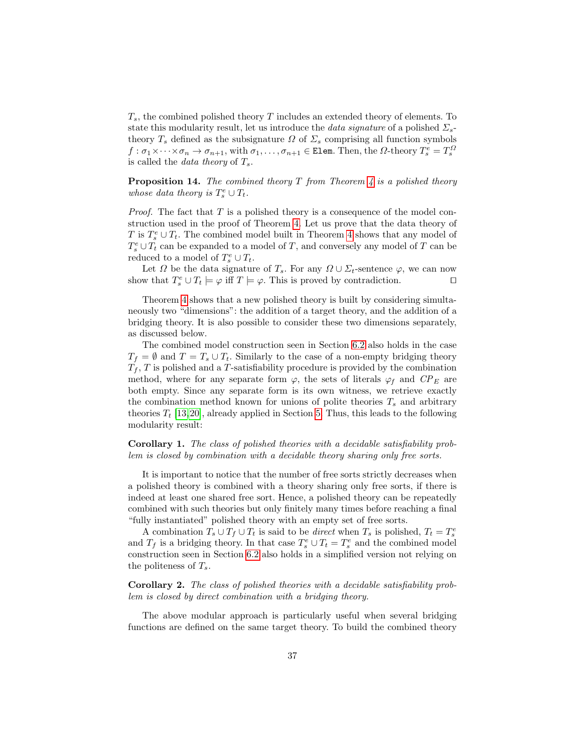$T_s$ , the combined polished theory T includes an extended theory of elements. To state this modularity result, let us introduce the *data signature* of a polished  $\Sigma_s$ theory  $T_s$  defined as the subsignature  $\Omega$  of  $\Sigma_s$  comprising all function symbols  $f:\sigma_1{\times} \cdots {\times} \sigma_n\to \sigma_{n+1},$  with  $\sigma_1,\ldots,\sigma_{n+1}\in$  Elem. Then, the  $\varOmega$ -theory  $T^e_s=T^{\varOmega}_s$ is called the *data theory* of  $T_s$ .

**Proposition 14.** The combined theory  $T$  from Theorem  $\lambda$  is a polished theory whose data theory is  $T_s^e \cup T_t$ .

*Proof.* The fact that  $T$  is a polished theory is a consequence of the model construction used in the proof of Theorem [4.](#page-35-0) Let us prove that the data theory of T is  $T_s^e \cup T_t$ . The combined model built in Theorem [4](#page-35-0) shows that any model of  $T^e_s \cup T_t$  can be expanded to a model of T, and conversely any model of T can be reduced to a model of  $T_s^e \cup T_t$ .

Let  $\Omega$  be the data signature of  $T_s$ . For any  $\Omega \cup \Sigma_t$ -sentence  $\varphi$ , we can now show that  $T_s^e \cup T_t \models \varphi$  iff  $T \models \varphi$ . This is proved by contradiction.

Theorem [4](#page-35-0) shows that a new polished theory is built by considering simultaneously two "dimensions": the addition of a target theory, and the addition of a bridging theory. It is also possible to consider these two dimensions separately, as discussed below.

The combined model construction seen in Section [6.2](#page-32-0) also holds in the case  $T_f = \emptyset$  and  $T = T_s \cup T_t$ . Similarly to the case of a non-empty bridging theory  $T_f$ , T is polished and a T-satisfiability procedure is provided by the combination method, where for any separate form  $\varphi$ , the sets of literals  $\varphi_f$  and  $CP_E$  are both empty. Since any separate form is its own witness, we retrieve exactly the combination method known for unions of polite theories  $T_s$  and arbitrary theories  $T_t$  [\[13,](#page-43-9)[20\]](#page-44-10), already applied in Section [5.](#page-13-0) Thus, this leads to the following modularity result:

Corollary 1. The class of polished theories with a decidable satisfiability problem is closed by combination with a decidable theory sharing only free sorts.

It is important to notice that the number of free sorts strictly decreases when a polished theory is combined with a theory sharing only free sorts, if there is indeed at least one shared free sort. Hence, a polished theory can be repeatedly combined with such theories but only finitely many times before reaching a final "fully instantiated" polished theory with an empty set of free sorts.

A combination  $T_s \cup T_f \cup T_t$  is said to be *direct* when  $T_s$  is polished,  $T_t = T_s^e$ and  $T_f$  is a bridging theory. In that case  $T_s^e \cup T_t = T_s^e$  and the combined model construction seen in Section [6.2](#page-32-0) also holds in a simplified version not relying on the politeness of  $T_s$ .

Corollary 2. The class of polished theories with a decidable satisfiability problem is closed by direct combination with a bridging theory.

The above modular approach is particularly useful when several bridging functions are defined on the same target theory. To build the combined theory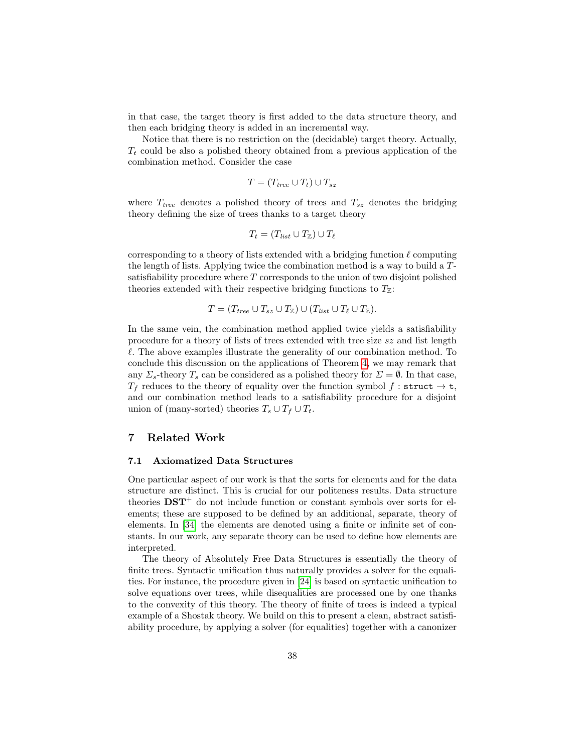in that case, the target theory is first added to the data structure theory, and then each bridging theory is added in an incremental way.

Notice that there is no restriction on the (decidable) target theory. Actually,  $T_t$  could be also a polished theory obtained from a previous application of the combination method. Consider the case

$$
T = (T_{tree} \cup T_t) \cup T_{sz}
$$

where  $T_{tree}$  denotes a polished theory of trees and  $T_{sz}$  denotes the bridging theory defining the size of trees thanks to a target theory

$$
T_t = (T_{list} \cup T_{\mathbb{Z}}) \cup T_{\ell}
$$

corresponding to a theory of lists extended with a bridging function  $\ell$  computing the length of lists. Applying twice the combination method is a way to build a Tsatisfiability procedure where  $T$  corresponds to the union of two disjoint polished theories extended with their respective bridging functions to  $T_{\mathbb{Z}}$ :

$$
T = (T_{tree} \cup T_{sz} \cup T_{\mathbb{Z}}) \cup (T_{list} \cup T_{\ell} \cup T_{\mathbb{Z}}).
$$

In the same vein, the combination method applied twice yields a satisfiability procedure for a theory of lists of trees extended with tree size sz and list length  $\ell$ . The above examples illustrate the generality of our combination method. To conclude this discussion on the applications of Theorem [4,](#page-35-0) we may remark that any  $\Sigma_s$ -theory  $T_s$  can be considered as a polished theory for  $\Sigma = \emptyset$ . In that case,  $T_f$  reduces to the theory of equality over the function symbol  $f :$  struct  $\rightarrow \infty$ , and our combination method leads to a satisfiability procedure for a disjoint union of (many-sorted) theories  $T_s \cup T_f \cup T_t$ .

# <span id="page-38-0"></span>7 Related Work

#### 7.1 Axiomatized Data Structures

One particular aspect of our work is that the sorts for elements and for the data structure are distinct. This is crucial for our politeness results. Data structure theories  $\text{DST}^+$  do not include function or constant symbols over sorts for elements; these are supposed to be defined by an additional, separate, theory of elements. In [\[34\]](#page-44-6) the elements are denoted using a finite or infinite set of constants. In our work, any separate theory can be used to define how elements are interpreted.

The theory of Absolutely Free Data Structures is essentially the theory of finite trees. Syntactic unification thus naturally provides a solver for the equalities. For instance, the procedure given in [\[24\]](#page-44-5) is based on syntactic unification to solve equations over trees, while disequalities are processed one by one thanks to the convexity of this theory. The theory of finite of trees is indeed a typical example of a Shostak theory. We build on this to present a clean, abstract satisfiability procedure, by applying a solver (for equalities) together with a canonizer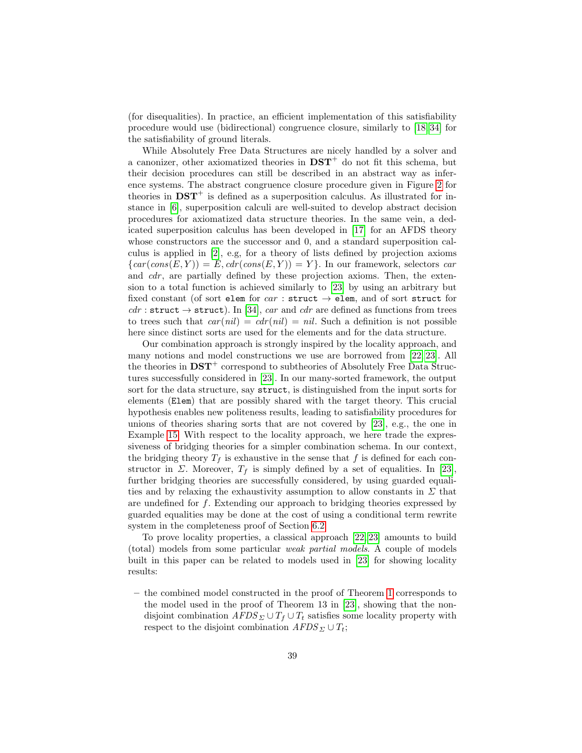(for disequalities). In practice, an efficient implementation of this satisfiability procedure would use (bidirectional) congruence closure, similarly to [\[18,](#page-43-14) [34\]](#page-44-6) for the satisfiability of ground literals.

While Absolutely Free Data Structures are nicely handled by a solver and a canonizer, other axiomatized theories in  $\text{DST}^+$  do not fit this schema, but their decision procedures can still be described in an abstract way as inference systems. The abstract congruence closure procedure given in Figure [2](#page-32-1) for theories in  $DST^+$  is defined as a superposition calculus. As illustrated for instance in [\[6\]](#page-43-15), superposition calculi are well-suited to develop abstract decision procedures for axiomatized data structure theories. In the same vein, a dedicated superposition calculus has been developed in [\[17\]](#page-43-8) for an AFDS theory whose constructors are the successor and 0, and a standard superposition calculus is applied in [\[2\]](#page-42-1), e.g, for a theory of lists defined by projection axioms  $\{car(cons(E, Y)) = E, \,cdr(cons(E, Y)) = Y\}.$  In our framework, selectors car and  $cdr$ , are partially defined by these projection axioms. Then, the extension to a total function is achieved similarly to [\[23\]](#page-44-15) by using an arbitrary but fixed constant (of sort elem for  $car :$  struct  $\rightarrow$  elem, and of sort struct for  $cdr:$  struct  $\rightarrow$  struct). In [\[34\]](#page-44-6), car and cdr are defined as functions from trees to trees such that  $car(nil) = cdr(nil) = nil$ . Such a definition is not possible here since distinct sorts are used for the elements and for the data structure.

Our combination approach is strongly inspired by the locality approach, and many notions and model constructions we use are borrowed from [\[22,](#page-44-4) [23\]](#page-44-15). All the theories in  $\text{DST}^+$  correspond to subtheories of Absolutely Free Data Structures successfully considered in [\[23\]](#page-44-15). In our many-sorted framework, the output sort for the data structure, say struct, is distinguished from the input sorts for elements (Elem) that are possibly shared with the target theory. This crucial hypothesis enables new politeness results, leading to satisfiability procedures for unions of theories sharing sorts that are not covered by [\[23\]](#page-44-15), e.g., the one in Example [15.](#page-36-0) With respect to the locality approach, we here trade the expressiveness of bridging theories for a simpler combination schema. In our context, the bridging theory  $T_f$  is exhaustive in the sense that f is defined for each constructor in  $\Sigma$ . Moreover,  $T_f$  is simply defined by a set of equalities. In [\[23\]](#page-44-15), further bridging theories are successfully considered, by using guarded equalities and by relaxing the exhaustivity assumption to allow constants in  $\Sigma$  that are undefined for f. Extending our approach to bridging theories expressed by guarded equalities may be done at the cost of using a conditional term rewrite system in the completeness proof of Section [6.2.](#page-32-0)

To prove locality properties, a classical approach [\[22,](#page-44-4) [23\]](#page-44-15) amounts to build (total) models from some particular weak partial models. A couple of models built in this paper can be related to models used in [\[23\]](#page-44-15) for showing locality results:

– the combined model constructed in the proof of Theorem [1](#page-10-0) corresponds to the model used in the proof of Theorem 13 in [\[23\]](#page-44-15), showing that the nondisjoint combination  $AFDS \Sigma \cup T_f \cup T_t$  satisfies some locality property with respect to the disjoint combination  $AFDS \Sigma \cup T_t$ ;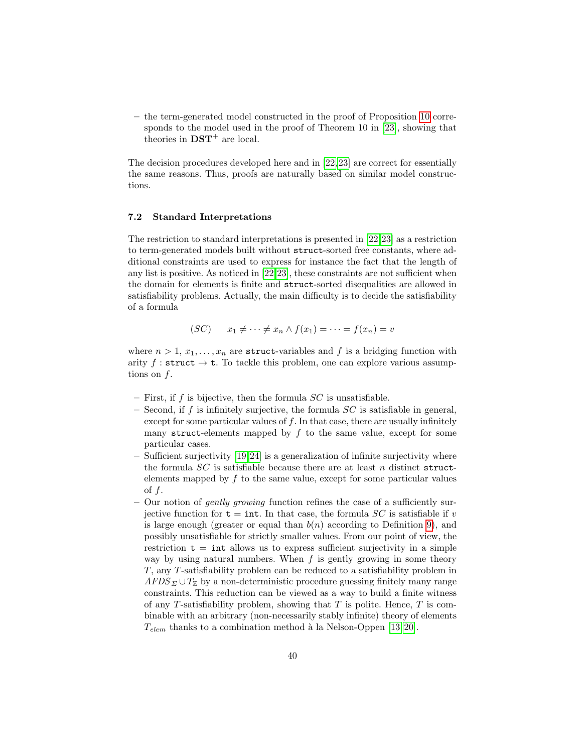– the term-generated model constructed in the proof of Proposition [10](#page-30-0) corresponds to the model used in the proof of Theorem 10 in [\[23\]](#page-44-15), showing that theories in  $\text{DST}^+$  are local.

The decision procedures developed here and in [\[22,](#page-44-4) [23\]](#page-44-15) are correct for essentially the same reasons. Thus, proofs are naturally based on similar model constructions.

#### 7.2 Standard Interpretations

The restriction to standard interpretations is presented in [\[22,](#page-44-4)[23\]](#page-44-15) as a restriction to term-generated models built without struct-sorted free constants, where additional constraints are used to express for instance the fact that the length of any list is positive. As noticed in [\[22,](#page-44-4)[23\]](#page-44-15), these constraints are not sufficient when the domain for elements is finite and struct-sorted disequalities are allowed in satisfiability problems. Actually, the main difficulty is to decide the satisfiability of a formula

$$
(SC) \qquad x_1 \neq \cdots \neq x_n \land f(x_1) = \cdots = f(x_n) = v
$$

where  $n > 1, x_1, \ldots, x_n$  are struct-variables and f is a bridging function with arity f : struct  $\rightarrow$  t. To tackle this problem, one can explore various assumptions on f.

- First, if  $f$  is bijective, then the formula  $SC$  is unsatisfiable.
- Second, if f is infinitely surjective, the formula  $SC$  is satisfiable in general, except for some particular values of  $f$ . In that case, there are usually infinitely many struct-elements mapped by  $f$  to the same value, except for some particular cases.
- $-$  Sufficient surjectivity  $[19,24]$  $[19,24]$  is a generalization of infinite surjectivity where the formula  $SC$  is satisfiable because there are at least n distinct structelements mapped by  $f$  to the same value, except for some particular values of  $f$ .
- Our notion of gently growing function refines the case of a sufficiently surjective function for  $t = int$ . In that case, the formula SC is satisfiable if v is large enough (greater or equal than  $b(n)$  according to Definition [9\)](#page-21-1), and possibly unsatisfiable for strictly smaller values. From our point of view, the restriction  $t = int$  allows us to express sufficient surjectivity in a simple way by using natural numbers. When  $f$  is gently growing in some theory T, any T-satisfiability problem can be reduced to a satisfiability problem in  $AFDS_\Sigma \cup T_\mathbb{Z}$  by a non-deterministic procedure guessing finitely many range constraints. This reduction can be viewed as a way to build a finite witness of any T-satisfiability problem, showing that  $T$  is polite. Hence,  $T$  is combinable with an arbitrary (non-necessarily stably infinite) theory of elements  $T_{elem}$  thanks to a combination method à la Nelson-Oppen [\[13,](#page-43-9) [20\]](#page-44-10).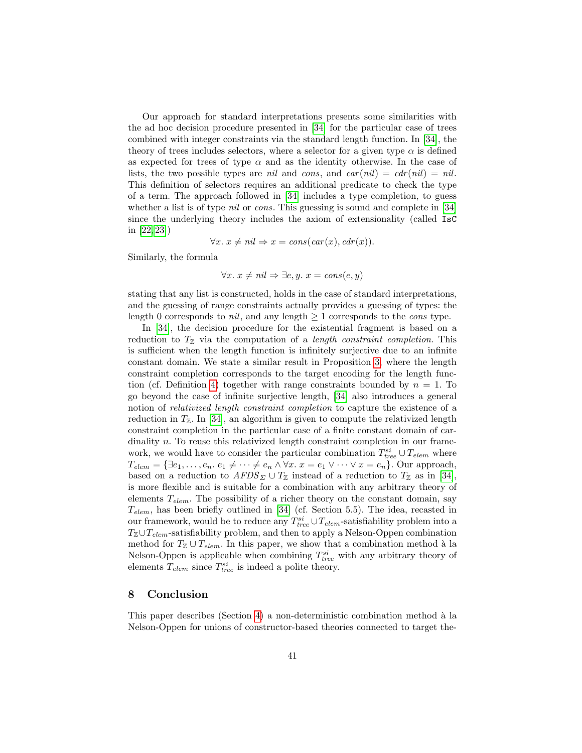Our approach for standard interpretations presents some similarities with the ad hoc decision procedure presented in [\[34\]](#page-44-6) for the particular case of trees combined with integer constraints via the standard length function. In [\[34\]](#page-44-6), the theory of trees includes selectors, where a selector for a given type  $\alpha$  is defined as expected for trees of type  $\alpha$  and as the identity otherwise. In the case of lists, the two possible types are *nil* and *cons*, and  $car(nil) = cdr(nil) = nil$ . This definition of selectors requires an additional predicate to check the type of a term. The approach followed in [\[34\]](#page-44-6) includes a type completion, to guess whether a list is of type *nil* or *cons*. This guessing is sound and complete in [\[34\]](#page-44-6) since the underlying theory includes the axiom of extensionality (called IsC in [\[22,](#page-44-4) [23\]](#page-44-15))

$$
\forall x. \ x \neq nil \Rightarrow x = cons(car(x), cdr(x)).
$$

Similarly, the formula

$$
\forall x. \; x \neq nil \Rightarrow \exists e, y. \; x = cons(e, y)
$$

stating that any list is constructed, holds in the case of standard interpretations, and the guessing of range constraints actually provides a guessing of types: the length 0 corresponds to *nil*, and any length  $\geq 1$  corresponds to the *cons* type.

In [\[34\]](#page-44-6), the decision procedure for the existential fragment is based on a reduction to  $T_{\mathbb{Z}}$  via the computation of a length constraint completion. This is sufficient when the length function is infinitely surjective due to an infinite constant domain. We state a similar result in Proposition [3,](#page-15-0) where the length constraint completion corresponds to the target encoding for the length func-tion (cf. Definition [4\)](#page-9-1) together with range constraints bounded by  $n = 1$ . To go beyond the case of infinite surjective length, [\[34\]](#page-44-6) also introduces a general notion of relativized length constraint completion to capture the existence of a reduction in  $T_{\mathbb{Z}}$ . In [\[34\]](#page-44-6), an algorithm is given to compute the relativized length constraint completion in the particular case of a finite constant domain of cardinality  $n$ . To reuse this relativized length constraint completion in our framework, we would have to consider the particular combination  $T_{tree}^{si} \cup T_{elem}$  where  $T_{elem} = {\exists e_1, \ldots, e_n, e_1 \neq \cdots \neq e_n \land \forall x. \ x = e_1 \lor \cdots \lor x = e_n}.$  Our approach, based on a reduction to  $AFDS_{\Sigma} \cup T_{\mathbb{Z}}$  instead of a reduction to  $T_{\mathbb{Z}}$  as in [\[34\]](#page-44-6), is more flexible and is suitable for a combination with any arbitrary theory of elements  $T_{elem}$ . The possibility of a richer theory on the constant domain, say  $T_{elem}$ , has been briefly outlined in [\[34\]](#page-44-6) (cf. Section 5.5). The idea, recasted in our framework, would be to reduce any  $T_{tree}^{si} \cup T_{elem}$ -satisfiability problem into a  $T_{\mathbb{Z}} \cup T_{elem}$ -satisfiability problem, and then to apply a Nelson-Oppen combination method for  $T_{\mathbb{Z}} \cup T_{elem}$ . In this paper, we show that a combination method à la Nelson-Oppen is applicable when combining  $T_{tree}^{si}$  with any arbitrary theory of elements  $T_{elem}$  since  $T_{tree}^{si}$  is indeed a polite theory.

# 8 Conclusion

This paper describes (Section [4\)](#page-8-0) a non-deterministic combination method à la Nelson-Oppen for unions of constructor-based theories connected to target the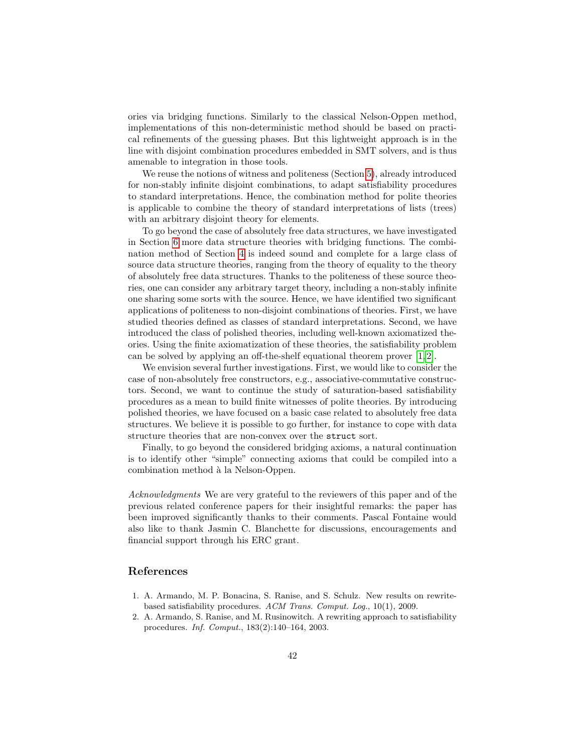ories via bridging functions. Similarly to the classical Nelson-Oppen method, implementations of this non-deterministic method should be based on practical refinements of the guessing phases. But this lightweight approach is in the line with disjoint combination procedures embedded in SMT solvers, and is thus amenable to integration in those tools.

We reuse the notions of witness and politeness (Section [5\)](#page-13-0), already introduced for non-stably infinite disjoint combinations, to adapt satisfiability procedures to standard interpretations. Hence, the combination method for polite theories is applicable to combine the theory of standard interpretations of lists (trees) with an arbitrary disjoint theory for elements.

To go beyond the case of absolutely free data structures, we have investigated in Section [6](#page-27-0) more data structure theories with bridging functions. The combination method of Section [4](#page-8-0) is indeed sound and complete for a large class of source data structure theories, ranging from the theory of equality to the theory of absolutely free data structures. Thanks to the politeness of these source theories, one can consider any arbitrary target theory, including a non-stably infinite one sharing some sorts with the source. Hence, we have identified two significant applications of politeness to non-disjoint combinations of theories. First, we have studied theories defined as classes of standard interpretations. Second, we have introduced the class of polished theories, including well-known axiomatized theories. Using the finite axiomatization of these theories, the satisfiability problem can be solved by applying an off-the-shelf equational theorem prover  $[1, 2]$  $[1, 2]$ .

We envision several further investigations. First, we would like to consider the case of non-absolutely free constructors, e.g., associative-commutative constructors. Second, we want to continue the study of saturation-based satisfiability procedures as a mean to build finite witnesses of polite theories. By introducing polished theories, we have focused on a basic case related to absolutely free data structures. We believe it is possible to go further, for instance to cope with data structure theories that are non-convex over the struct sort.

Finally, to go beyond the considered bridging axioms, a natural continuation is to identify other "simple" connecting axioms that could be compiled into a combination method `a la Nelson-Oppen.

Acknowledgments We are very grateful to the reviewers of this paper and of the previous related conference papers for their insightful remarks: the paper has been improved significantly thanks to their comments. Pascal Fontaine would also like to thank Jasmin C. Blanchette for discussions, encouragements and financial support through his ERC grant.

# References

- <span id="page-42-0"></span>1. A. Armando, M. P. Bonacina, S. Ranise, and S. Schulz. New results on rewritebased satisfiability procedures. ACM Trans. Comput. Log., 10(1), 2009.
- <span id="page-42-1"></span>2. A. Armando, S. Ranise, and M. Rusinowitch. A rewriting approach to satisfiability procedures. Inf. Comput., 183(2):140–164, 2003.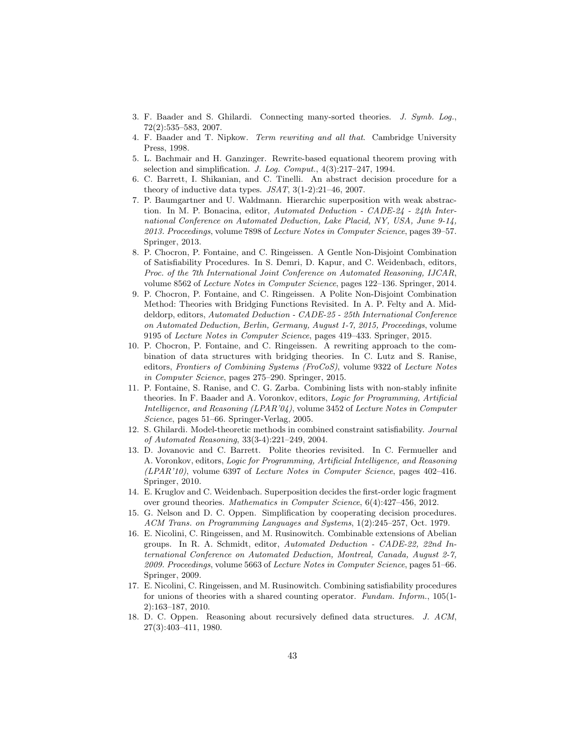- <span id="page-43-4"></span>3. F. Baader and S. Ghilardi. Connecting many-sorted theories. J. Symb. Log., 72(2):535–583, 2007.
- <span id="page-43-12"></span>4. F. Baader and T. Nipkow. Term rewriting and all that. Cambridge University Press, 1998.
- <span id="page-43-13"></span>5. L. Bachmair and H. Ganzinger. Rewrite-based equational theorem proving with selection and simplification. J. Log. Comput., 4(3):217–247, 1994.
- <span id="page-43-15"></span>6. C. Barrett, I. Shikanian, and C. Tinelli. An abstract decision procedure for a theory of inductive data types.  $JSAT$ ,  $3(1-2):21-46$ , 2007.
- <span id="page-43-5"></span>7. P. Baumgartner and U. Waldmann. Hierarchic superposition with weak abstraction. In M. P. Bonacina, editor, Automated Deduction - CADE-24 - 24th International Conference on Automated Deduction, Lake Placid, NY, USA, June 9-14, 2013. Proceedings, volume 7898 of Lecture Notes in Computer Science, pages 39–57. Springer, 2013.
- <span id="page-43-2"></span>8. P. Chocron, P. Fontaine, and C. Ringeissen. A Gentle Non-Disjoint Combination of Satisfiability Procedures. In S. Demri, D. Kapur, and C. Weidenbach, editors, Proc. of the 7th International Joint Conference on Automated Reasoning, IJCAR, volume 8562 of Lecture Notes in Computer Science, pages 122–136. Springer, 2014.
- <span id="page-43-10"></span>9. P. Chocron, P. Fontaine, and C. Ringeissen. A Polite Non-Disjoint Combination Method: Theories with Bridging Functions Revisited. In A. P. Felty and A. Middeldorp, editors, Automated Deduction - CADE-25 - 25th International Conference on Automated Deduction, Berlin, Germany, August 1-7, 2015, Proceedings, volume 9195 of Lecture Notes in Computer Science, pages 419–433. Springer, 2015.
- <span id="page-43-11"></span>10. P. Chocron, P. Fontaine, and C. Ringeissen. A rewriting approach to the combination of data structures with bridging theories. In C. Lutz and S. Ranise, editors, Frontiers of Combining Systems (FroCoS), volume 9322 of Lecture Notes in Computer Science, pages 275–290. Springer, 2015.
- <span id="page-43-3"></span>11. P. Fontaine, S. Ranise, and C. G. Zarba. Combining lists with non-stably infinite theories. In F. Baader and A. Voronkov, editors, Logic for Programming, Artificial Intelligence, and Reasoning (LPAR'04), volume 3452 of Lecture Notes in Computer Science, pages 51–66. Springer-Verlag, 2005.
- <span id="page-43-1"></span>12. S. Ghilardi. Model-theoretic methods in combined constraint satisfiability. Journal of Automated Reasoning, 33(3-4):221–249, 2004.
- <span id="page-43-9"></span>13. D. Jovanovic and C. Barrett. Polite theories revisited. In C. Fermueller and A. Voronkov, editors, Logic for Programming, Artificial Intelligence, and Reasoning (LPAR'10), volume 6397 of Lecture Notes in Computer Science, pages 402–416. Springer, 2010.
- <span id="page-43-7"></span>14. E. Kruglov and C. Weidenbach. Superposition decides the first-order logic fragment over ground theories. Mathematics in Computer Science, 6(4):427–456, 2012.
- <span id="page-43-0"></span>15. G. Nelson and D. C. Oppen. Simplification by cooperating decision procedures. ACM Trans. on Programming Languages and Systems, 1(2):245–257, Oct. 1979.
- <span id="page-43-6"></span>16. E. Nicolini, C. Ringeissen, and M. Rusinowitch. Combinable extensions of Abelian groups. In R. A. Schmidt, editor, Automated Deduction - CADE-22, 22nd International Conference on Automated Deduction, Montreal, Canada, August 2-7, 2009. Proceedings, volume 5663 of Lecture Notes in Computer Science, pages 51–66. Springer, 2009.
- <span id="page-43-8"></span>17. E. Nicolini, C. Ringeissen, and M. Rusinowitch. Combining satisfiability procedures for unions of theories with a shared counting operator. Fundam. Inform., 105(1- 2):163–187, 2010.
- <span id="page-43-14"></span>18. D. C. Oppen. Reasoning about recursively defined data structures. J. ACM, 27(3):403–411, 1980.